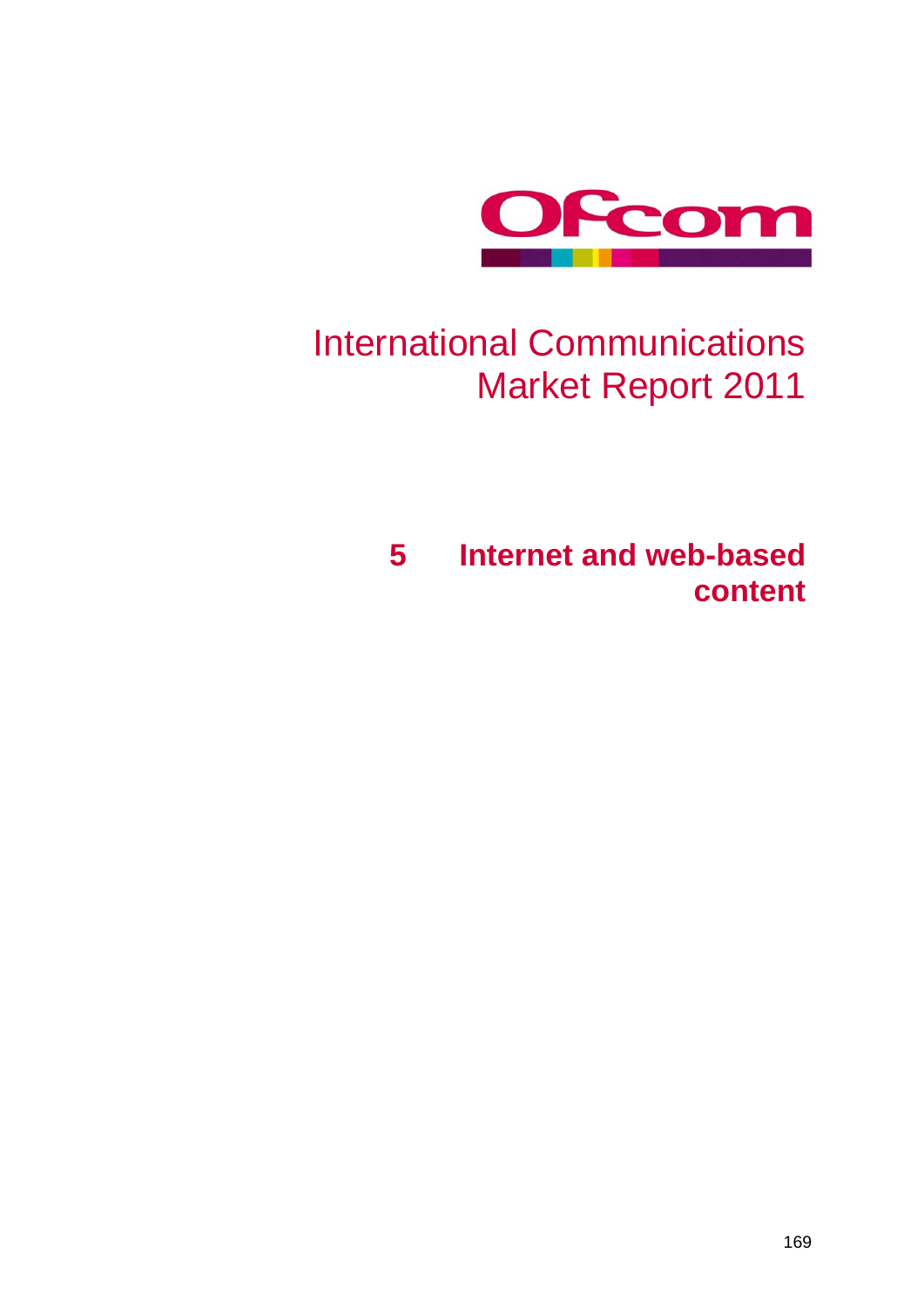

# International Communications Market Report 2011

**5 Internet and web-based content**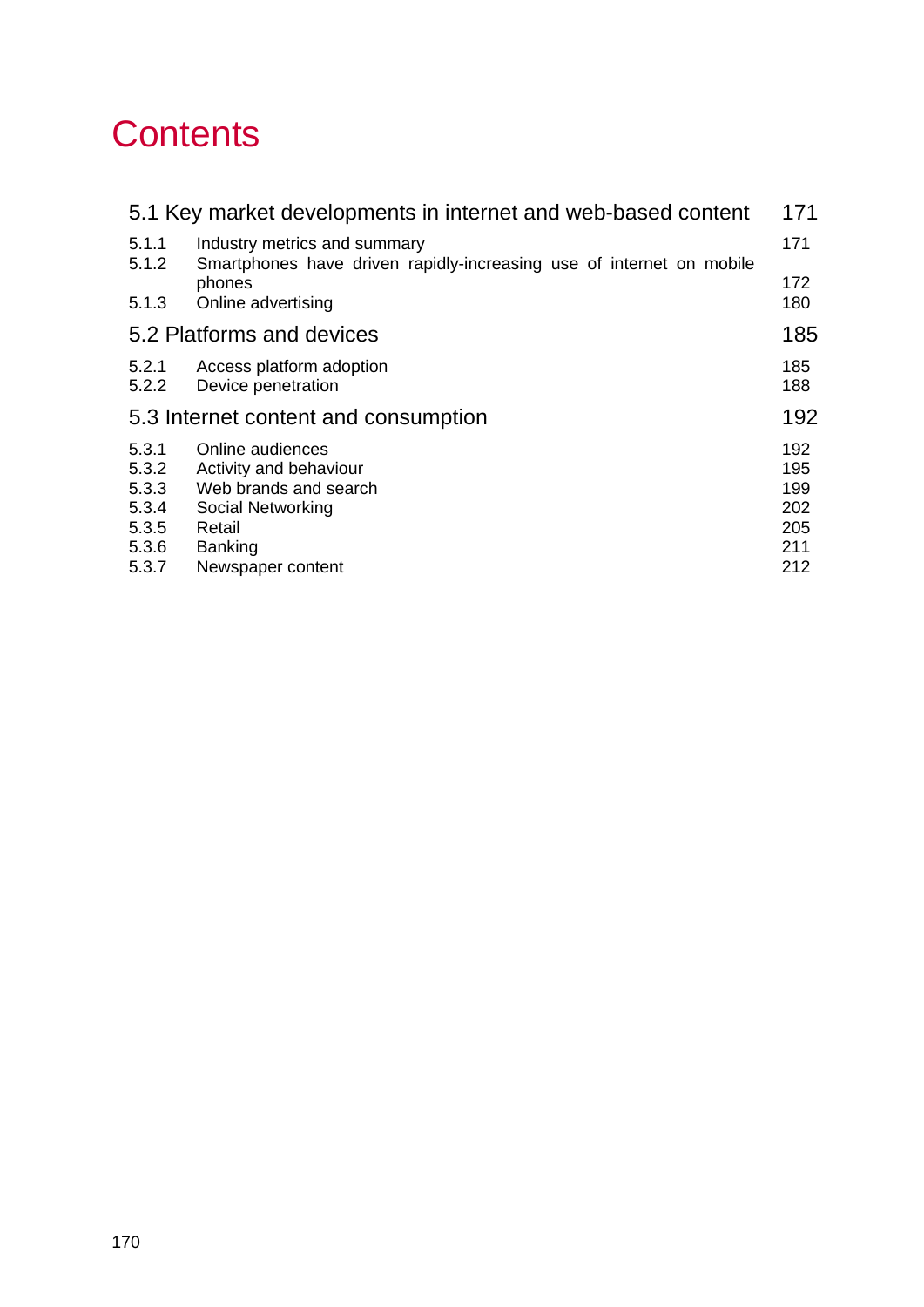# **Contents**

| 5.1 Key market developments in internet and web-based content<br>171 |                                                                                                                                           |                                               |  |  |  |  |  |  |
|----------------------------------------------------------------------|-------------------------------------------------------------------------------------------------------------------------------------------|-----------------------------------------------|--|--|--|--|--|--|
| 5.1.1<br>5.1.2                                                       | Industry metrics and summary<br>Smartphones have driven rapidly-increasing use of internet on mobile                                      |                                               |  |  |  |  |  |  |
| 5.1.3                                                                | phones<br>Online advertising                                                                                                              | 172<br>180                                    |  |  |  |  |  |  |
| 5.2 Platforms and devices                                            |                                                                                                                                           |                                               |  |  |  |  |  |  |
| 5.2.1<br>5.2.2                                                       | Access platform adoption<br>Device penetration                                                                                            | 185<br>188                                    |  |  |  |  |  |  |
| 5.3 Internet content and consumption                                 |                                                                                                                                           |                                               |  |  |  |  |  |  |
| 5.3.1<br>5.3.2<br>5.3.3<br>5.3.4<br>5.3.5<br>5.3.6<br>5.3.7          | Online audiences<br>Activity and behaviour<br>Web brands and search<br>Social Networking<br>Retail<br><b>Banking</b><br>Newspaper content | 192<br>195<br>199<br>202<br>205<br>211<br>212 |  |  |  |  |  |  |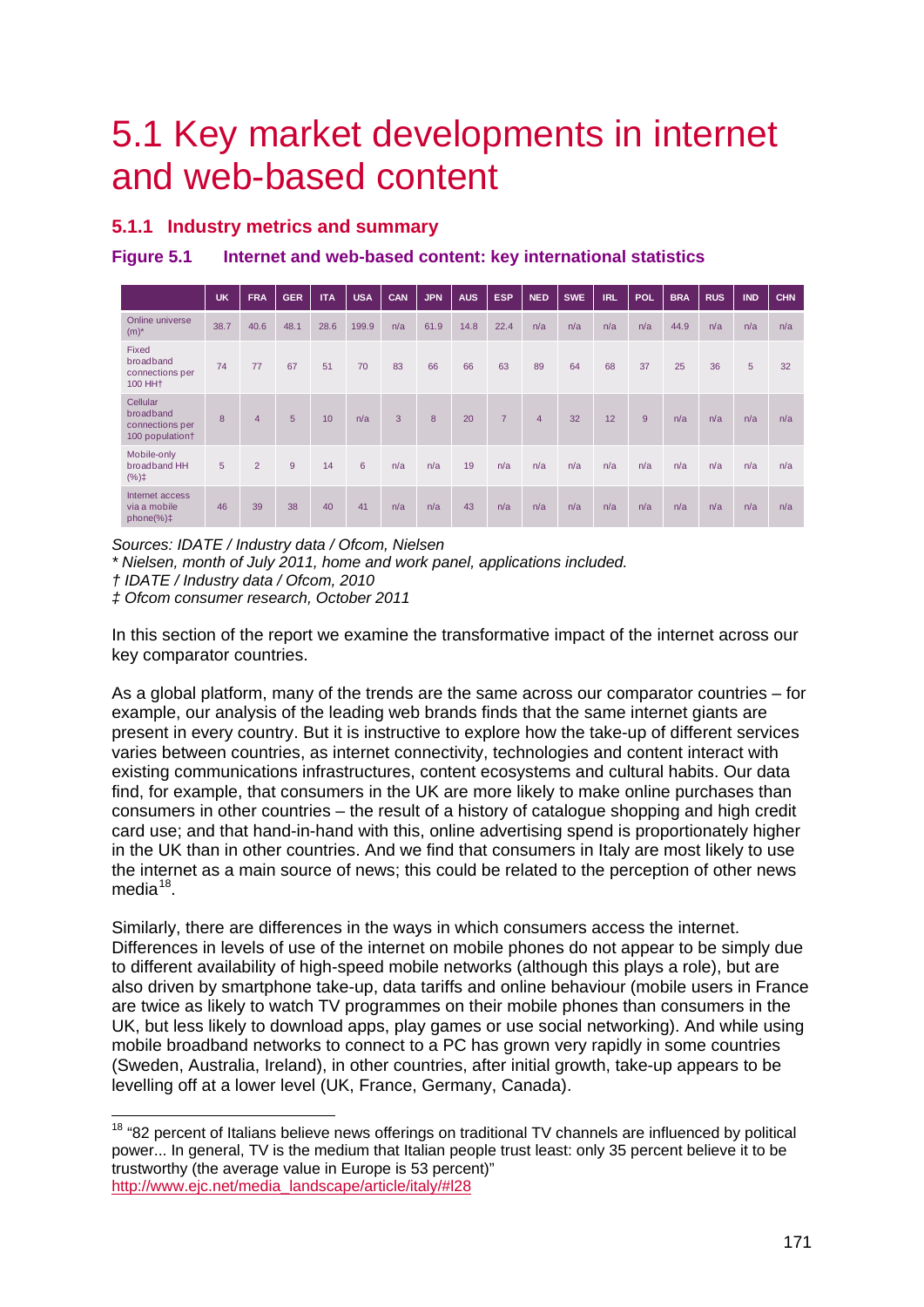# <span id="page-2-0"></span>5.1 Key market developments in internet and web-based content

# <span id="page-2-1"></span>**5.1.1 Industry metrics and summary**

**Figure 5.1 Internet and web-based content: key international statistics**

|                                                              | <b>UK</b> | <b>FRA</b>     | <b>GER</b> | <b>ITA</b> | <b>USA</b>  | <b>CAN</b> | <b>JPN</b> | <b>AUS</b> | <b>ESP</b>     | <b>NED</b> | <b>SWE</b> | <b>IRL</b> | <b>POL</b> | <b>BRA</b> | <b>RUS</b> | <b>IND</b> | <b>CHN</b> |
|--------------------------------------------------------------|-----------|----------------|------------|------------|-------------|------------|------------|------------|----------------|------------|------------|------------|------------|------------|------------|------------|------------|
| Online universe<br>$(m)^*$                                   | 38.7      | 40.6           | 48.1       | 28.6       | 199.9       | n/a        | 61.9       | 14.8       | 22.4           | n/a        | n/a        | n/a        | n/a        | 44.9       | n/a        | n/a        | n/a        |
| Fixed<br>broadband<br>connections per<br>100 HH <sub>+</sub> | 74        | 77             | 67         | 51         | 70          | 83         | 66         | 66         | 63             | 89         | 64         | 68         | 37         | 25         | 36         | 5          | 32         |
| Cellular<br>broadband<br>connections per<br>100 population+  | 8         | $\overline{4}$ | 5          | 10         | n/a         | 3          | 8          | 20         | $\overline{7}$ | 4          | 32         | 12         | 9          | n/a        | n/a        | n/a        | n/a        |
| Mobile-only<br>broadband HH<br>$(%)$ ‡                       | 5         | $\overline{2}$ | 9          | 14         | $6^{\circ}$ | n/a        | n/a        | 19         | n/a            | n/a        | n/a        | n/a        | n/a        | n/a        | n/a        | n/a        | n/a        |
| Internet access<br>via a mobile<br>$phone(\%)\ddagger$       | 46        | 39             | 38         | 40         | 41          | n/a        | n/a        | 43         | n/a            | n/a        | n/a        | n/a        | n/a        | n/a        | n/a        | n/a        | n/a        |

*Sources: IDATE / Industry data / Ofcom, Nielsen*

*\* Nielsen, month of July 2011, home and work panel, applications included.*

*‡ Ofcom consumer research, October 2011*

In this section of the report we examine the transformative impact of the internet across our key comparator countries.

As a global platform, many of the trends are the same across our comparator countries – for example, our analysis of the leading web brands finds that the same internet giants are present in every country. But it is instructive to explore how the take-up of different services varies between countries, as internet connectivity, technologies and content interact with existing communications infrastructures, content ecosystems and cultural habits. Our data find, for example, that consumers in the UK are more likely to make online purchases than consumers in other countries – the result of a history of catalogue shopping and high credit card use; and that hand-in-hand with this, online advertising spend is proportionately higher in the UK than in other countries. And we find that consumers in Italy are most likely to use the internet as a main source of news; this could be related to the perception of other news media<sup>[18](#page-2-2)</sup>.

Similarly, there are differences in the ways in which consumers access the internet. Differences in levels of use of the internet on mobile phones do not appear to be simply due to different availability of high-speed mobile networks (although this plays a role), but are also driven by smartphone take-up, data tariffs and online behaviour (mobile users in France are twice as likely to watch TV programmes on their mobile phones than consumers in the UK, but less likely to download apps, play games or use social networking). And while using mobile broadband networks to connect to a PC has grown very rapidly in some countries (Sweden, Australia, Ireland), in other countries, after initial growth, take-up appears to be levelling off at a lower level (UK, France, Germany, Canada).

*<sup>†</sup> IDATE / Industry data / Ofcom, 2010*

<span id="page-2-2"></span><sup>&</sup>lt;sup>18</sup> "82 percent of Italians believe news offerings on traditional TV channels are influenced by political power... In general, TV is the medium that Italian people trust least: only 35 percent believe it to be trustworthy (the average value in Europe is 53 percent)" [http://www.ejc.net/media\\_landscape/article/italy/#l28](http://www.ejc.net/media_landscape/article/italy/#l28)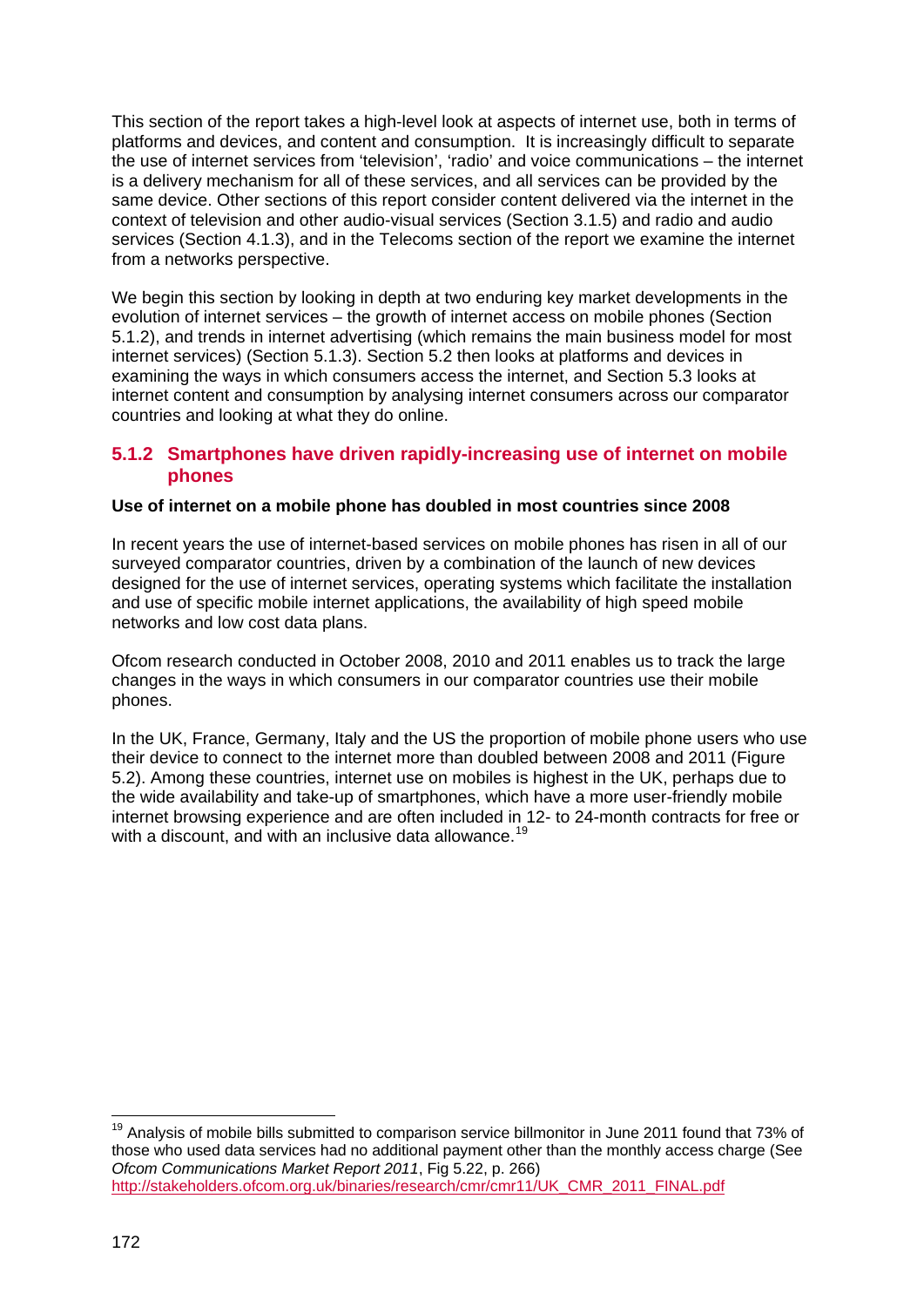This section of the report takes a high-level look at aspects of internet use, both in terms of platforms and devices, and content and consumption. It is increasingly difficult to separate the use of internet services from 'television', 'radio' and voice communications – the internet is a delivery mechanism for all of these services, and all services can be provided by the same device. Other sections of this report consider content delivered via the internet in the context of television and other audio-visual services (Section 3.1.5) and radio and audio services (Section 4.1.3), and in the Telecoms section of the report we examine the internet from a networks perspective.

We begin this section by looking in depth at two enduring key market developments in the evolution of internet services – the growth of internet access on mobile phones (Section [5.1.2\)](#page-3-0), and trends in internet advertising (which remains the main business model for most internet services) (Section [5.1.3\)](#page-11-0). Section [5.2](#page-16-0) then looks at platforms and devices in examining the ways in which consumers access the internet, and Section [5.3](#page-23-0) looks at internet content and consumption by analysing internet consumers across our comparator countries and looking at what they do online.

## <span id="page-3-0"></span>**5.1.2 Smartphones have driven rapidly-increasing use of internet on mobile phones**

#### **Use of internet on a mobile phone has doubled in most countries since 2008**

In recent years the use of internet-based services on mobile phones has risen in all of our surveyed comparator countries, driven by a combination of the launch of new devices designed for the use of internet services, operating systems which facilitate the installation and use of specific mobile internet applications, the availability of high speed mobile networks and low cost data plans.

Ofcom research conducted in October 2008, 2010 and 2011 enables us to track the large changes in the ways in which consumers in our comparator countries use their mobile phones.

In the UK, France, Germany, Italy and the US the proportion of mobile phone users who use their device to connect to the internet more than doubled between 2008 and 2011 (Figure [5.2\)](#page-4-0). Among these countries, internet use on mobiles is highest in the UK, perhaps due to the wide availability and take-up of smartphones, which have a more user-friendly mobile internet browsing experience and are often included in 12- to 24-month contracts for free or with a discount, and with an inclusive data allowance.<sup>[19](#page-3-1)</sup>

<span id="page-3-1"></span><sup>&</sup>lt;sup>19</sup> Analvsis of mobile bills submitted to comparison service billmonitor in June 2011 found that 73% of those who used data services had no additional payment other than the monthly access charge (See *Ofcom Communications Market Report 2011*, Fig 5.22, p. 266) [http://stakeholders.ofcom.org.uk/binaries/research/cmr/cmr11/UK\\_CMR\\_2011\\_FINAL.pdf](http://stakeholders.ofcom.org.uk/binaries/research/cmr/cmr11/UK_CMR_2011_FINAL.pdf)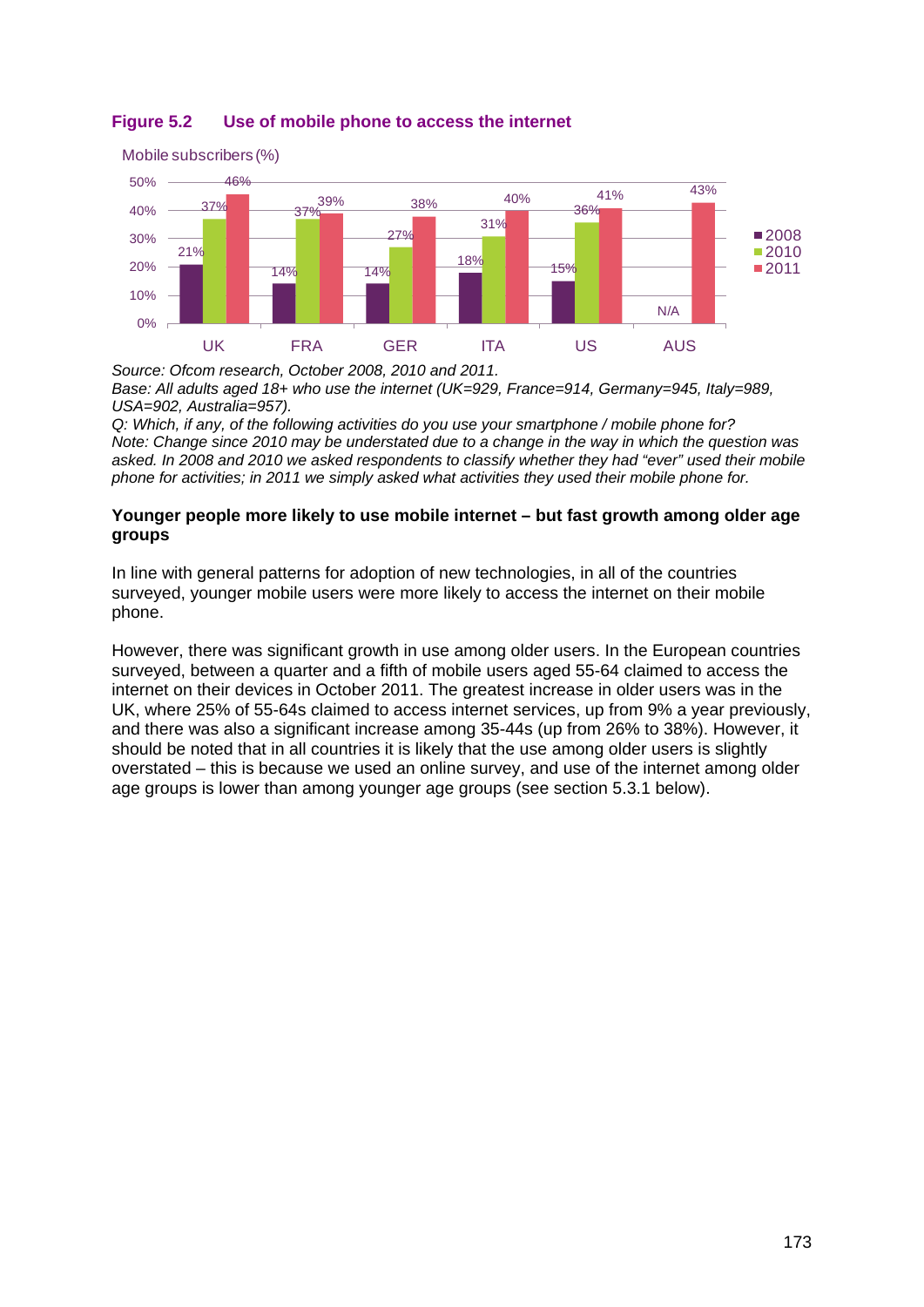# <span id="page-4-0"></span>**Figure 5.2 Use of mobile phone to access the internet**



*Source: Ofcom research, October 2008, 2010 and 2011. Base: All adults aged 18+ who use the internet (UK=929, France=914, Germany=945, Italy=989, USA=902, Australia=957).*

*Q: Which, if any, of the following activities do you use your smartphone / mobile phone for? Note: Change since 2010 may be understated due to a change in the way in which the question was asked. In 2008 and 2010 we asked respondents to classify whether they had "ever" used their mobile phone for activities; in 2011 we simply asked what activities they used their mobile phone for.*

#### **Younger people more likely to use mobile internet – but fast growth among older age groups**

In line with general patterns for adoption of new technologies, in all of the countries surveyed, younger mobile users were more likely to access the internet on their mobile phone.

However, there was significant growth in use among older users. In the European countries surveyed, between a quarter and a fifth of mobile users aged 55-64 claimed to access the internet on their devices in October 2011. The greatest increase in older users was in the UK, where 25% of 55-64s claimed to access internet services, up from 9% a year previously, and there was also a significant increase among 35-44s (up from 26% to 38%). However, it should be noted that in all countries it is likely that the use among older users is slightly overstated – this is because we used an online survey, and use of the internet among older age groups is lower than among younger age groups (see section [5.3.1](#page-23-1) below).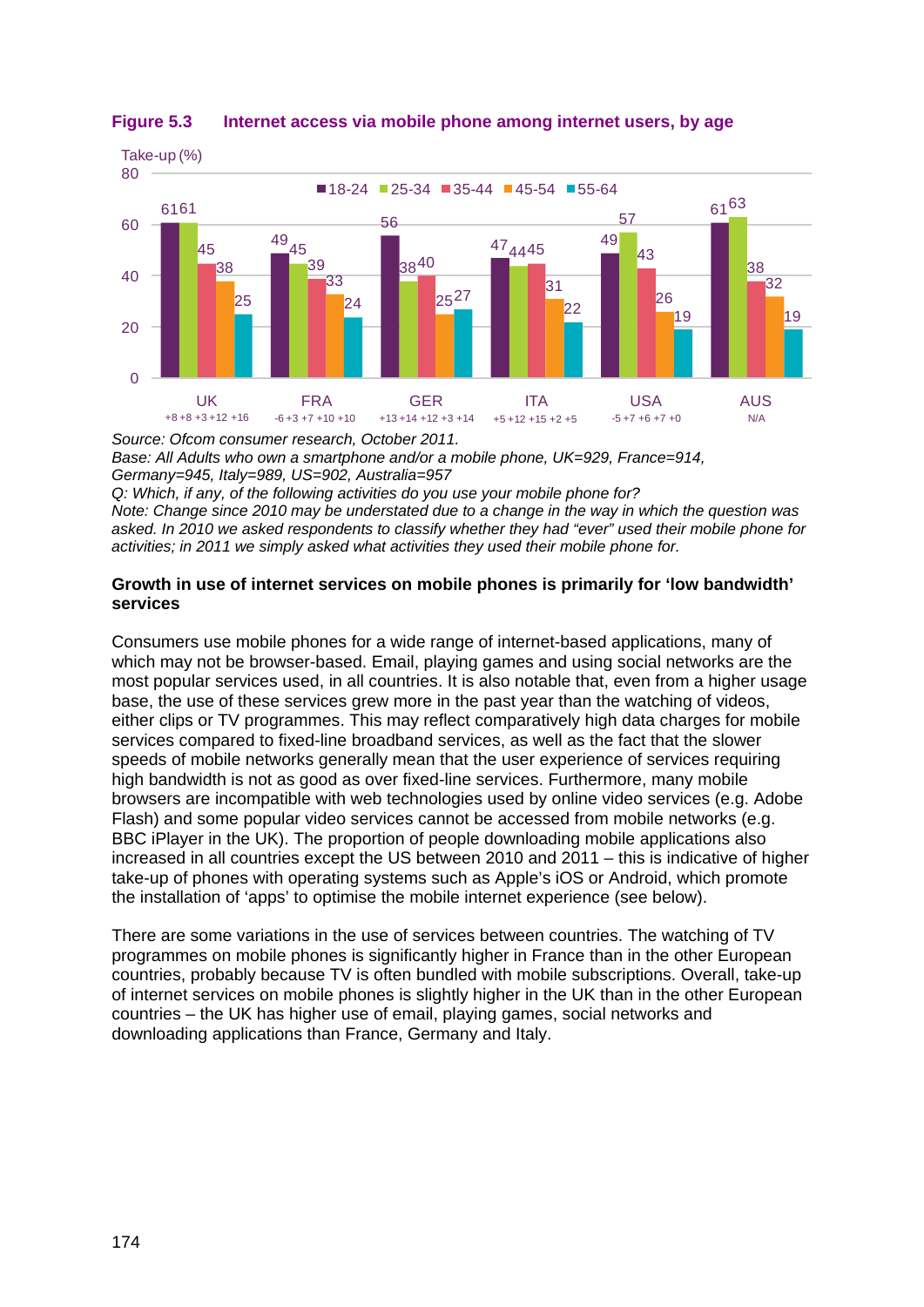

#### **Figure 5.3 Internet access via mobile phone among internet users, by age**

*Source: Ofcom consumer research, October 2011. Base: All Adults who own a smartphone and/or a mobile phone, UK=929, France=914, Germany=945, Italy=989, US=902, Australia=957 Q: Which, if any, of the following activities do you use your mobile phone for? Note: Change since 2010 may be understated due to a change in the way in which the question was asked. In 2010 we asked respondents to classify whether they had "ever" used their mobile phone for* 

#### **Growth in use of internet services on mobile phones is primarily for 'low bandwidth' services**

*activities; in 2011 we simply asked what activities they used their mobile phone for.*

Consumers use mobile phones for a wide range of internet-based applications, many of which may not be browser-based. Email, playing games and using social networks are the most popular services used, in all countries. It is also notable that, even from a higher usage base, the use of these services grew more in the past year than the watching of videos, either clips or TV programmes. This may reflect comparatively high data charges for mobile services compared to fixed-line broadband services, as well as the fact that the slower speeds of mobile networks generally mean that the user experience of services requiring high bandwidth is not as good as over fixed-line services. Furthermore, many mobile browsers are incompatible with web technologies used by online video services (e.g. Adobe Flash) and some popular video services cannot be accessed from mobile networks (e.g. BBC iPlayer in the UK). The proportion of people downloading mobile applications also increased in all countries except the US between 2010 and 2011 – this is indicative of higher take-up of phones with operating systems such as Apple's iOS or Android, which promote the installation of 'apps' to optimise the mobile internet experience (see below).

There are some variations in the use of services between countries. The watching of TV programmes on mobile phones is significantly higher in France than in the other European countries, probably because TV is often bundled with mobile subscriptions. Overall, take-up of internet services on mobile phones is slightly higher in the UK than in the other European countries – the UK has higher use of email, playing games, social networks and downloading applications than France, Germany and Italy.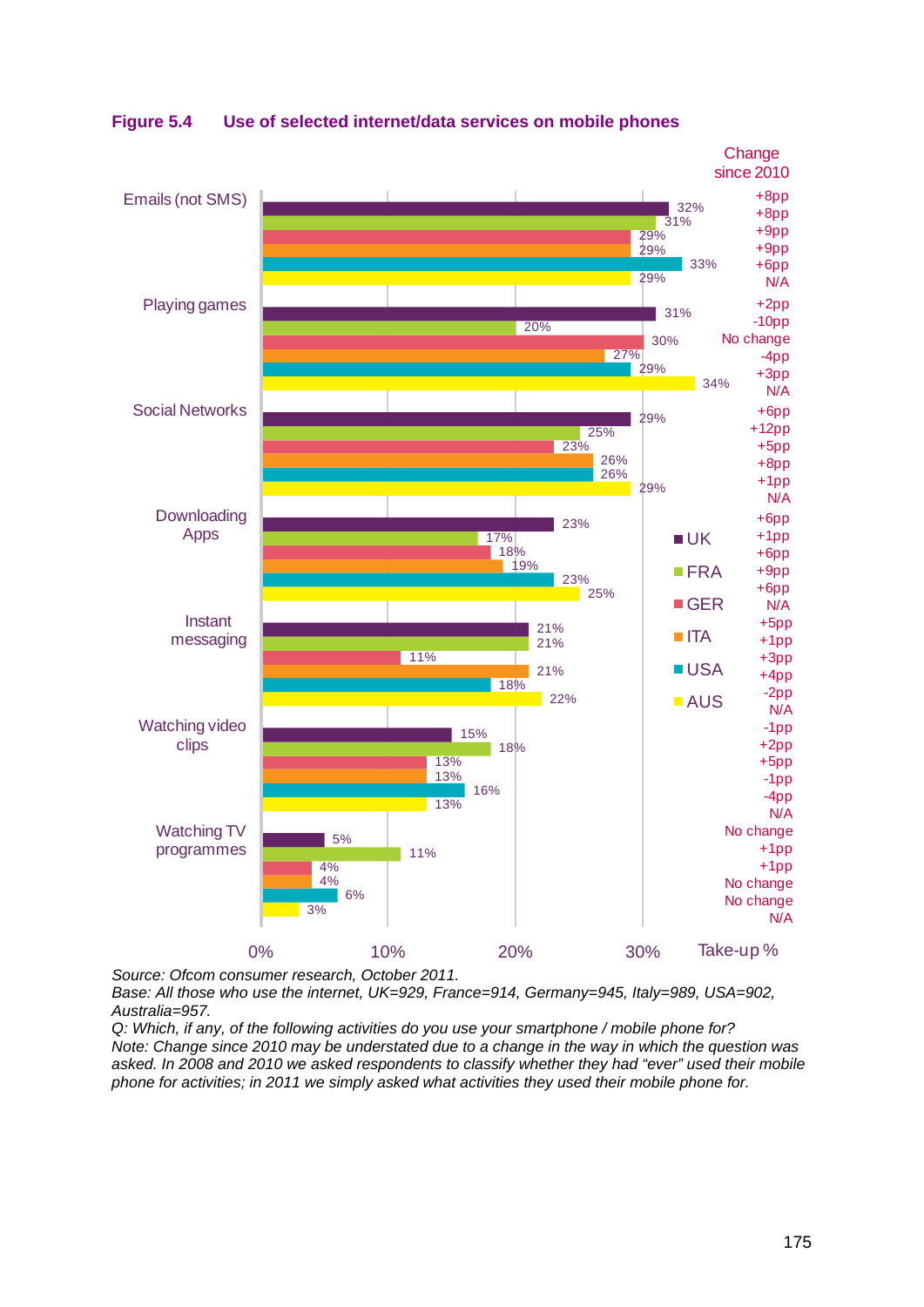

**Figure 5.4 Use of selected internet/data services on mobile phones**

*Source: Ofcom consumer research, October 2011.*

*Base: All those who use the internet, UK=929, France=914, Germany=945, Italy=989, USA=902, Australia=957.*

*Q: Which, if any, of the following activities do you use your smartphone / mobile phone for? Note: Change since 2010 may be understated due to a change in the way in which the question was asked. In 2008 and 2010 we asked respondents to classify whether they had "ever" used their mobile phone for activities; in 2011 we simply asked what activities they used their mobile phone for.*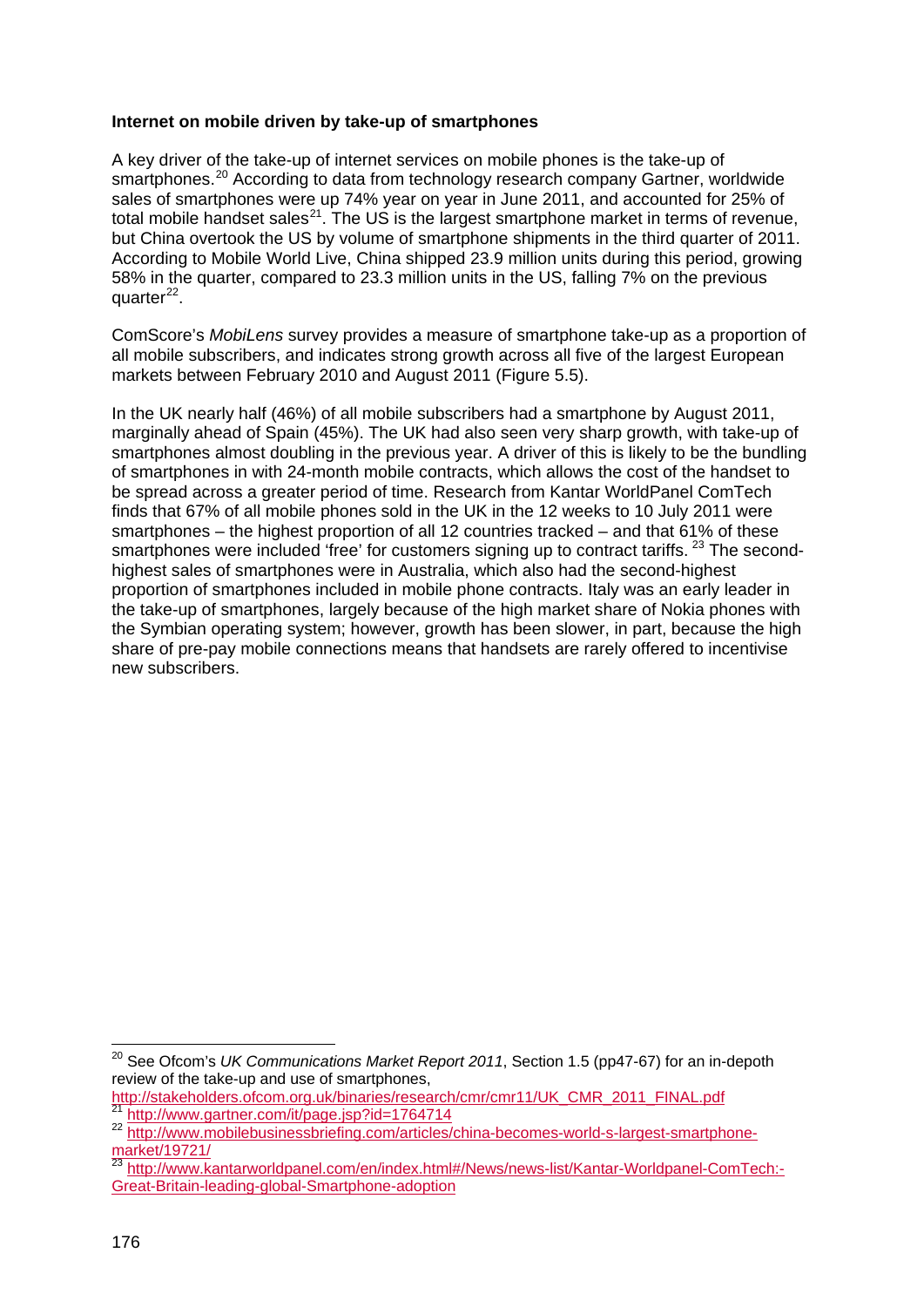#### **Internet on mobile driven by take-up of smartphones**

A key driver of the take-up of internet services on mobile phones is the take-up of smartphones.<sup>[20](#page-7-0)</sup> According to data from technology research company Gartner, worldwide sales of smartphones were up 74% year on year in June 2011, and accounted for 25% of total mobile handset sales<sup>[21](#page-7-1)</sup>. The US is the largest smartphone market in terms of revenue, but China overtook the US by volume of smartphone shipments in the third quarter of 2011. According to Mobile World Live, China shipped 23.9 million units during this period, growing 58% in the quarter, compared to 23.3 million units in the US, falling 7% on the previous quarter<sup>[22](#page-7-2)</sup>.

ComScore's *MobiLens* survey provides a measure of smartphone take-up as a proportion of all mobile subscribers, and indicates strong growth across all five of the largest European markets between February 2010 and August 2011 ( [Figure 5.5\)](#page-8-0).

In the UK nearly half (46%) of all mobile subscribers had a smartphone by August 2011, marginally ahead of Spain (45%). The UK had also seen very sharp growth, with take-up of smartphones almost doubling in the previous year. A driver of this is likely to be the bundling of smartphones in with 24-month mobile contracts, which allows the cost of the handset to be spread across a greater period of time. Research from Kantar WorldPanel ComTech finds that 67% of all mobile phones sold in the UK in the 12 weeks to 10 July 2011 were smartphones – the highest proportion of all 12 countries tracked – and that 61% of these smartphones were included 'free' for customers signing up to contract tariffs. <sup>[23](#page-7-3)</sup> The secondhighest sales of smartphones were in Australia, which also had the second-highest proportion of smartphones included in mobile phone contracts. Italy was an early leader in the take-up of smartphones, largely because of the high market share of Nokia phones with the Symbian operating system; however, growth has been slower, in part, because the high share of pre-pay mobile connections means that handsets are rarely offered to incentivise new subscribers.

<span id="page-7-0"></span> <sup>20</sup> See Ofcom's *UK Communications Market Report 2011*, Section 1.5 (pp47-67) for an in-depoth review of the take-up and use of smartphones,

[http://stakeholders.ofcom.org.uk/binaries/research/cmr/cmr11/UK\\_CMR\\_2011\\_FINAL.pdf](http://stakeholders.ofcom.org.uk/binaries/research/cmr/cmr11/UK_CMR_2011_FINAL.pdf)<br><sup>21</sup> http://www.gartner.com/it/page.isp?id=1764714

<span id="page-7-2"></span><span id="page-7-1"></span><sup>22</sup> [http://www.mobilebusinessbriefing.com/articles/china-becomes-world-s-largest-smartphone](http://www.mobilebusinessbriefing.com/articles/china-becomes-world-s-largest-smartphone-market/19721/)[market/19721/](http://www.mobilebusinessbriefing.com/articles/china-becomes-world-s-largest-smartphone-market/19721/)

<span id="page-7-3"></span>ndikev isr2 in<br><sup>23</sup> [http://www.kantarworldpanel.com/en/index.html#/News/news-list/Kantar-Worldpanel-ComTech:-](http://www.kantarworldpanel.com/en/index.html#/News/news-list/Kantar-Worldpanel-ComTech:-Great-Britain-leading-global-Smartphone-adoption) [Great-Britain-leading-global-Smartphone-adoption](http://www.kantarworldpanel.com/en/index.html#/News/news-list/Kantar-Worldpanel-ComTech:-Great-Britain-leading-global-Smartphone-adoption)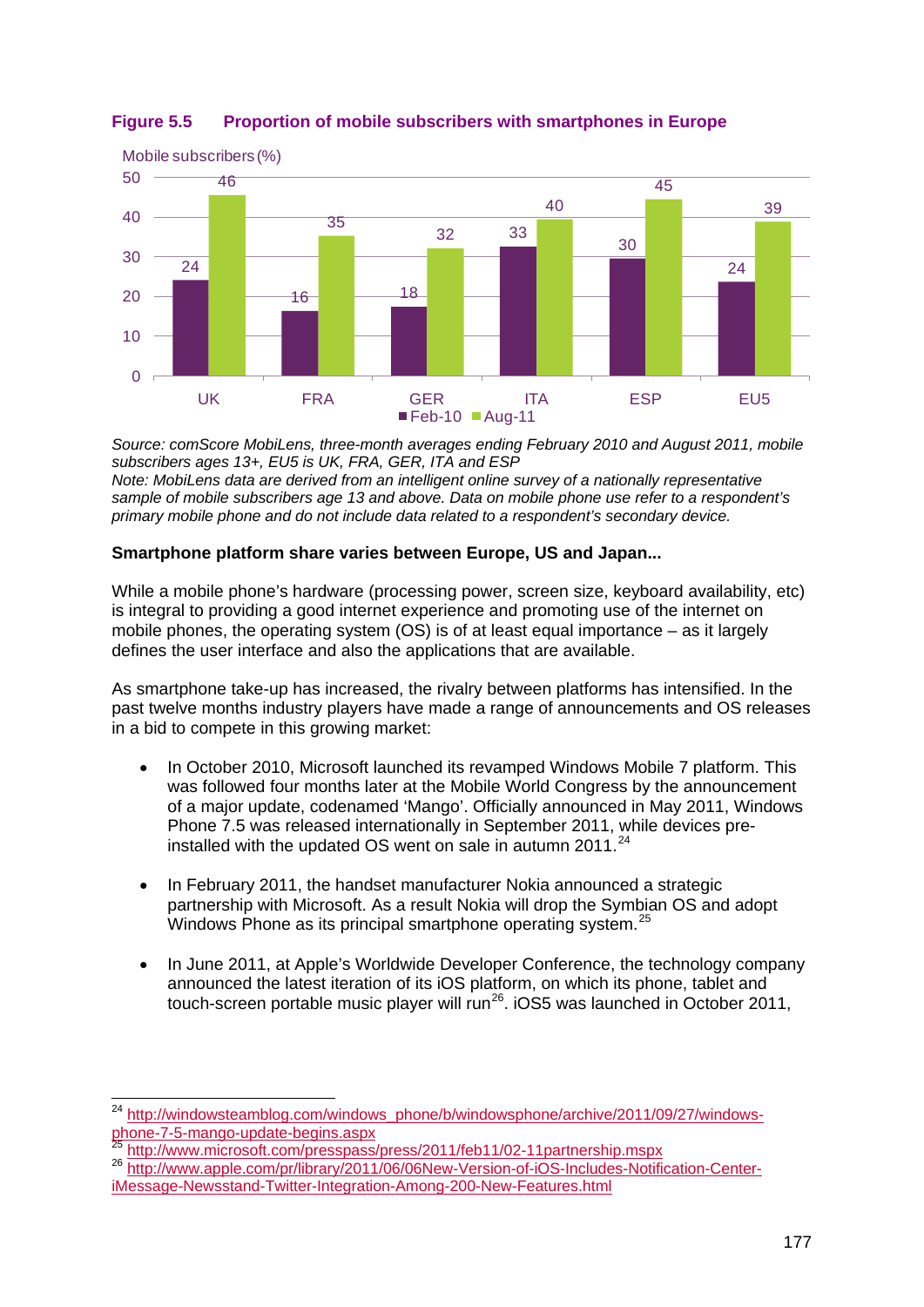

# <span id="page-8-0"></span>**Figure 5.5 Proportion of mobile subscribers with smartphones in Europe**

*Source: comScore MobiLens, three-month averages ending February 2010 and August 2011, mobile subscribers ages 13+, EU5 is UK, FRA, GER, ITA and ESP Note: MobiLens data are derived from an intelligent online survey of a nationally representative sample of mobile subscribers age 13 and above. Data on mobile phone use refer to a respondent's primary mobile phone and do not include data related to a respondent's secondary device.*

## **Smartphone platform share varies between Europe, US and Japan...**

While a mobile phone's hardware (processing power, screen size, keyboard availability, etc) is integral to providing a good internet experience and promoting use of the internet on mobile phones, the operating system (OS) is of at least equal importance – as it largely defines the user interface and also the applications that are available.

As smartphone take-up has increased, the rivalry between platforms has intensified. In the past twelve months industry players have made a range of announcements and OS releases in a bid to compete in this growing market:

- In October 2010, Microsoft launched its revamped Windows Mobile 7 platform. This was followed four months later at the Mobile World Congress by the announcement of a major update, codenamed 'Mango'. Officially announced in May 2011, Windows Phone 7.5 was released internationally in September 2011, while devices preinstalled with the updated OS went on sale in autumn 2011. $^{24}$  $^{24}$  $^{24}$
- In February 2011, the handset manufacturer Nokia announced a strategic partnership with Microsoft. As a result Nokia will drop the Symbian OS and adopt Windows Phone as its principal smartphone operating system.<sup>[25](#page-8-2)</sup>
- In June 2011, at Apple's Worldwide Developer Conference, the technology company announced the latest iteration of its iOS platform, on which its phone, tablet and touch-screen portable music player will run<sup>[26](#page-8-3)</sup>. iOS5 was launched in October 2011,

<span id="page-8-1"></span> <sup>24</sup> [http://windowsteamblog.com/windows\\_phone/b/windowsphone/archive/2011/09/27/windows](http://windowsteamblog.com/windows_phone/b/windowsphone/archive/2011/09/27/windows-phone-7-5-mango-update-begins.aspx)phone-7-5-mango-update-begins.aspx<br>
<sup>25</sup> <http://www.microsoft.com/presspass/press/2011/feb11/02-11partnership.mspx><br>
<sup>26</sup> [http://www.apple.com/pr/library/2011/06/06New-Version-of-iOS-Includes-Notification-Center-](http://www.apple.com/pr/library/2011/06/06New-Version-of-iOS-Includes-Notification-Center-iMessage-Newsstand-Twitter-Integration-Among-200-New-Features.html)

<span id="page-8-3"></span><span id="page-8-2"></span>[iMessage-Newsstand-Twitter-Integration-Among-200-New-Features.html](http://www.apple.com/pr/library/2011/06/06New-Version-of-iOS-Includes-Notification-Center-iMessage-Newsstand-Twitter-Integration-Among-200-New-Features.html)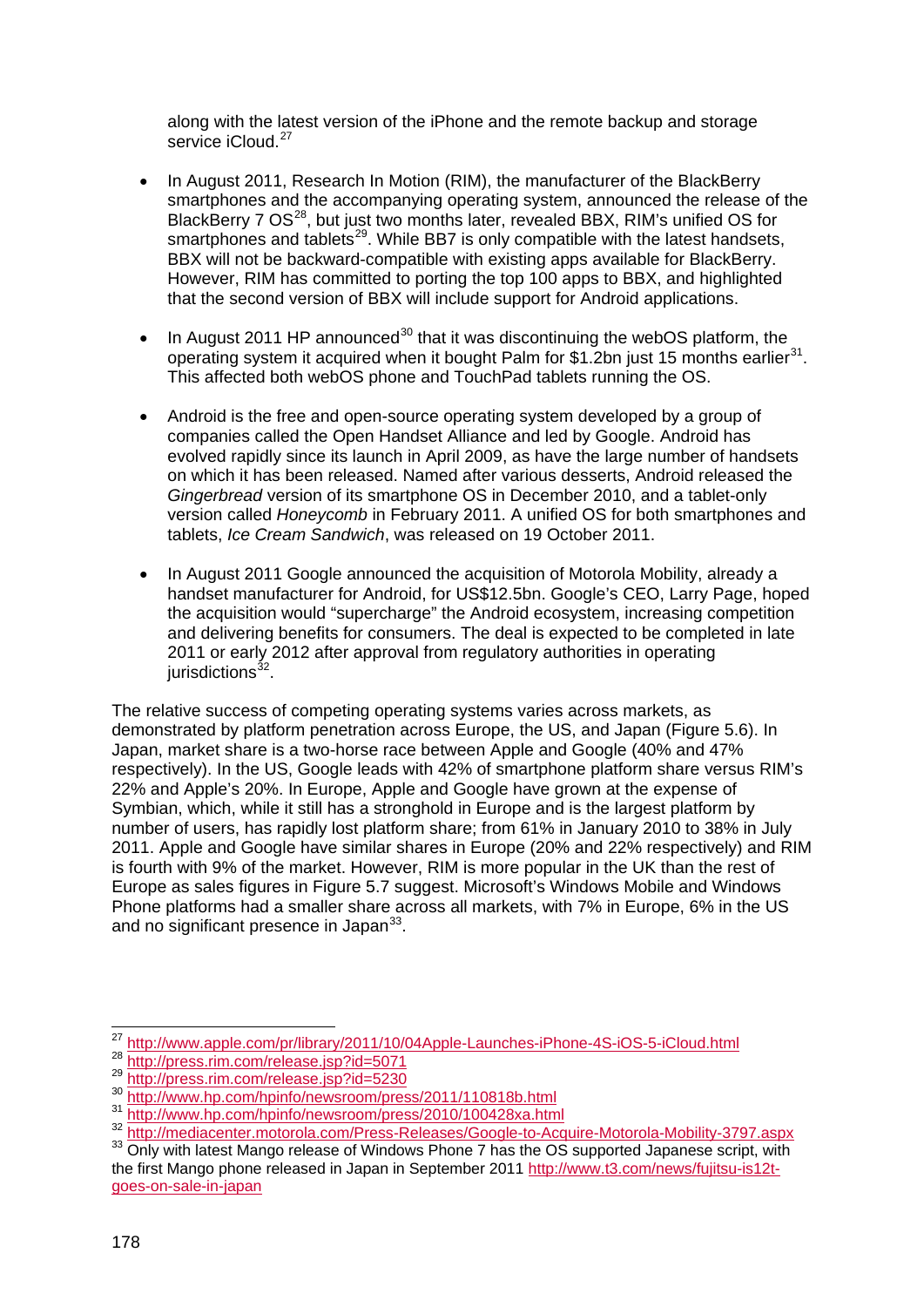along with the latest version of the iPhone and the remote backup and storage service iCloud.<sup>[27](#page-9-0)</sup>

- In August 2011, Research In Motion (RIM), the manufacturer of the BlackBerry smartphones and the accompanying operating system, announced the release of the BlackBerry 7 OS<sup>28</sup>, but just two months later, revealed BBX, RIM's unified OS for smartphones and tablets<sup>[29](#page-9-2)</sup>. While BB7 is only compatible with the latest handsets, BBX will not be backward-compatible with existing apps available for BlackBerry. However, RIM has committed to porting the top 100 apps to BBX, and highlighted that the second version of BBX will include support for Android applications.
- $\bullet$  In August 2011 HP announced<sup>[30](#page-9-3)</sup> that it was discontinuing the webOS platform, the operating system it acquired when it bought Palm for \$1.2bn just 15 months earlier<sup>[31](#page-9-4)</sup>. This affected both webOS phone and TouchPad tablets running the OS.
- Android is the free and open-source operating system developed by a group of companies called the Open Handset Alliance and led by Google. Android has evolved rapidly since its launch in April 2009, as have the large number of handsets on which it has been released. Named after various desserts, Android released the *Gingerbread* version of its smartphone OS in December 2010, and a tablet-only version called *Honeycomb* in February 2011. A unified OS for both smartphones and tablets, *Ice Cream Sandwich*, was released on 19 October 2011.
- In August 2011 Google announced the acquisition of Motorola Mobility, already a handset manufacturer for Android, for US\$12.5bn. Google's CEO, Larry Page, hoped the acquisition would "supercharge" the Android ecosystem, increasing competition and delivering benefits for consumers. The deal is expected to be completed in late 2011 or early 2012 after approval from regulatory authorities in operating jurisdictions<sup>[32](#page-9-5)</sup>.

The relative success of competing operating systems varies across markets, as demonstrated by platform penetration across Europe, the US, and Japan ( [Figure 5.6\)](#page-10-0). In Japan, market share is a two-horse race between Apple and Google (40% and 47% respectively). In the US, Google leads with 42% of smartphone platform share versus RIM's 22% and Apple's 20%. In Europe, Apple and Google have grown at the expense of Symbian, which, while it still has a stronghold in Europe and is the largest platform by number of users, has rapidly lost platform share; from 61% in January 2010 to 38% in July 2011. Apple and Google have similar shares in Europe (20% and 22% respectively) and RIM is fourth with 9% of the market. However, RIM is more popular in the UK than the rest of Europe as sales figures in [Figure 5.7](#page-11-1) suggest. Microsoft's Windows Mobile and Windows Phone platforms had a smaller share across all markets, with 7% in Europe, 6% in the US and no significant presence in Japan<sup>[33](#page-9-6)</sup>.

 <sup>27</sup> <http://www.apple.com/pr/library/2011/10/04Apple-Launches-iPhone-4S-iOS-5-iCloud.html>

<span id="page-9-3"></span>

<span id="page-9-4"></span>

<span id="page-9-2"></span><span id="page-9-1"></span><span id="page-9-0"></span><sup>28</sup> <http://press.rim.com/release.jsp?id=5071><br>
29 http://press.rim.com/release.jsp?id=5071<br>
30 <http://www.hp.com/hpinfo/newsroom/press/2011/110818b.html><br>
31 <http://www.hp.com/hpinfo/newsroom/press/2010/100428xa.html><br>
32 http

<span id="page-9-6"></span><span id="page-9-5"></span>the first Mango phone released in Japan in September 2011 [http://www.t3.com/news/fujitsu-is12t](http://www.t3.com/news/fujitsu-is12t-goes-on-sale-in-japan)[goes-on-sale-in-japan](http://www.t3.com/news/fujitsu-is12t-goes-on-sale-in-japan)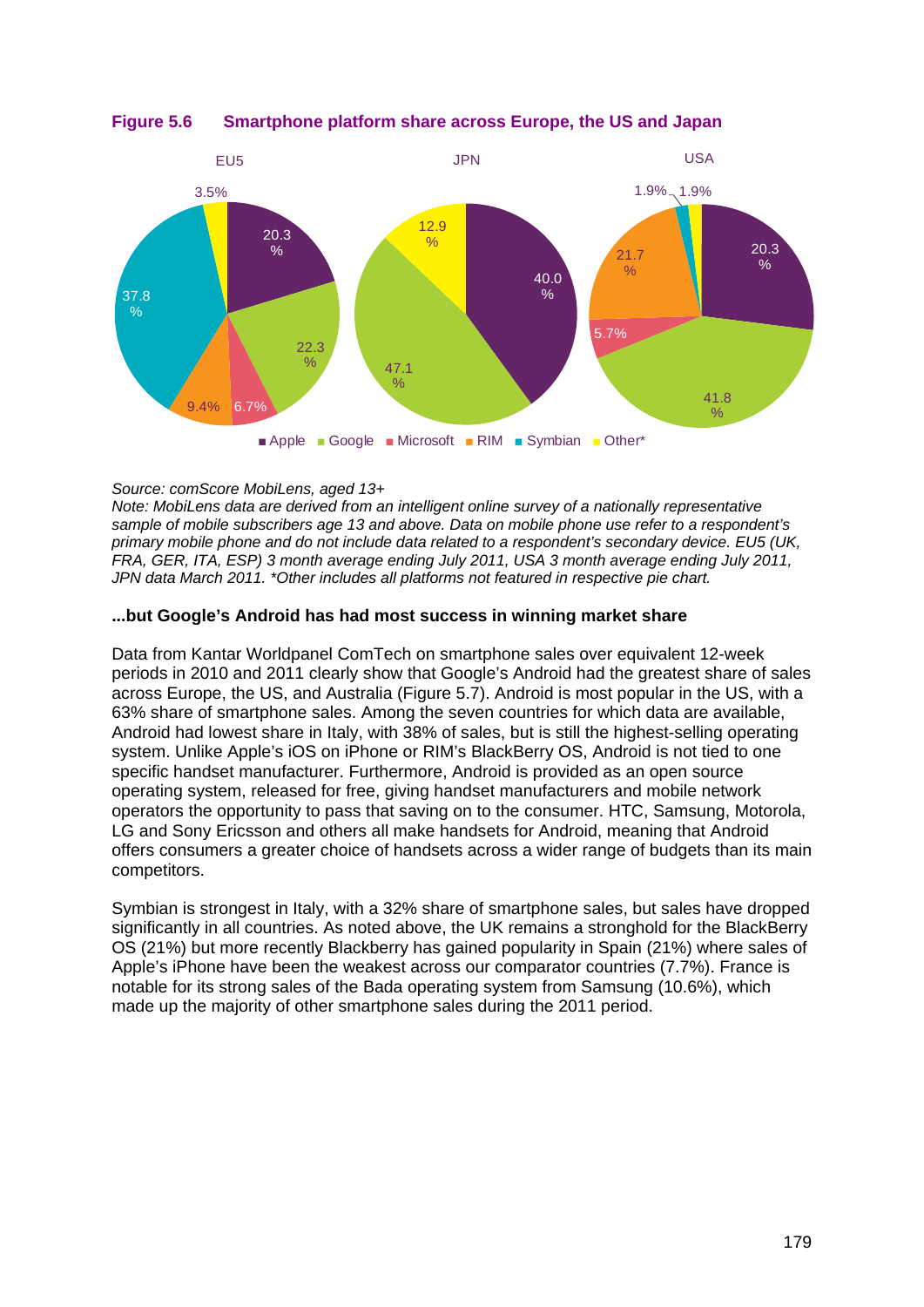

<span id="page-10-0"></span>**Figure 5.6 Smartphone platform share across Europe, the US and Japan**

#### *Source: comScore MobiLens, aged 13+*

*Note: MobiLens data are derived from an intelligent online survey of a nationally representative sample of mobile subscribers age 13 and above. Data on mobile phone use refer to a respondent's primary mobile phone and do not include data related to a respondent's secondary device. EU5 (UK, FRA, GER, ITA, ESP) 3 month average ending July 2011, USA 3 month average ending July 2011, JPN data March 2011. \*Other includes all platforms not featured in respective pie chart.*

#### **...but Google's Android has had most success in winning market share**

Data from Kantar Worldpanel ComTech on smartphone sales over equivalent 12-week periods in 2010 and 2011 clearly show that Google's Android had the greatest share of sales across Europe, the US, and Australia [\(Figure 5.7\)](#page-11-1). Android is most popular in the US, with a 63% share of smartphone sales. Among the seven countries for which data are available, Android had lowest share in Italy, with 38% of sales, but is still the highest-selling operating system. Unlike Apple's iOS on iPhone or RIM's BlackBerry OS, Android is not tied to one specific handset manufacturer. Furthermore, Android is provided as an open source operating system, released for free, giving handset manufacturers and mobile network operators the opportunity to pass that saving on to the consumer. HTC, Samsung, Motorola, LG and Sony Ericsson and others all make handsets for Android, meaning that Android offers consumers a greater choice of handsets across a wider range of budgets than its main competitors.

Symbian is strongest in Italy, with a 32% share of smartphone sales, but sales have dropped significantly in all countries. As noted above, the UK remains a stronghold for the BlackBerry OS (21%) but more recently Blackberry has gained popularity in Spain (21%) where sales of Apple's iPhone have been the weakest across our comparator countries (7.7%). France is notable for its strong sales of the Bada operating system from Samsung (10.6%), which made up the majority of other smartphone sales during the 2011 period.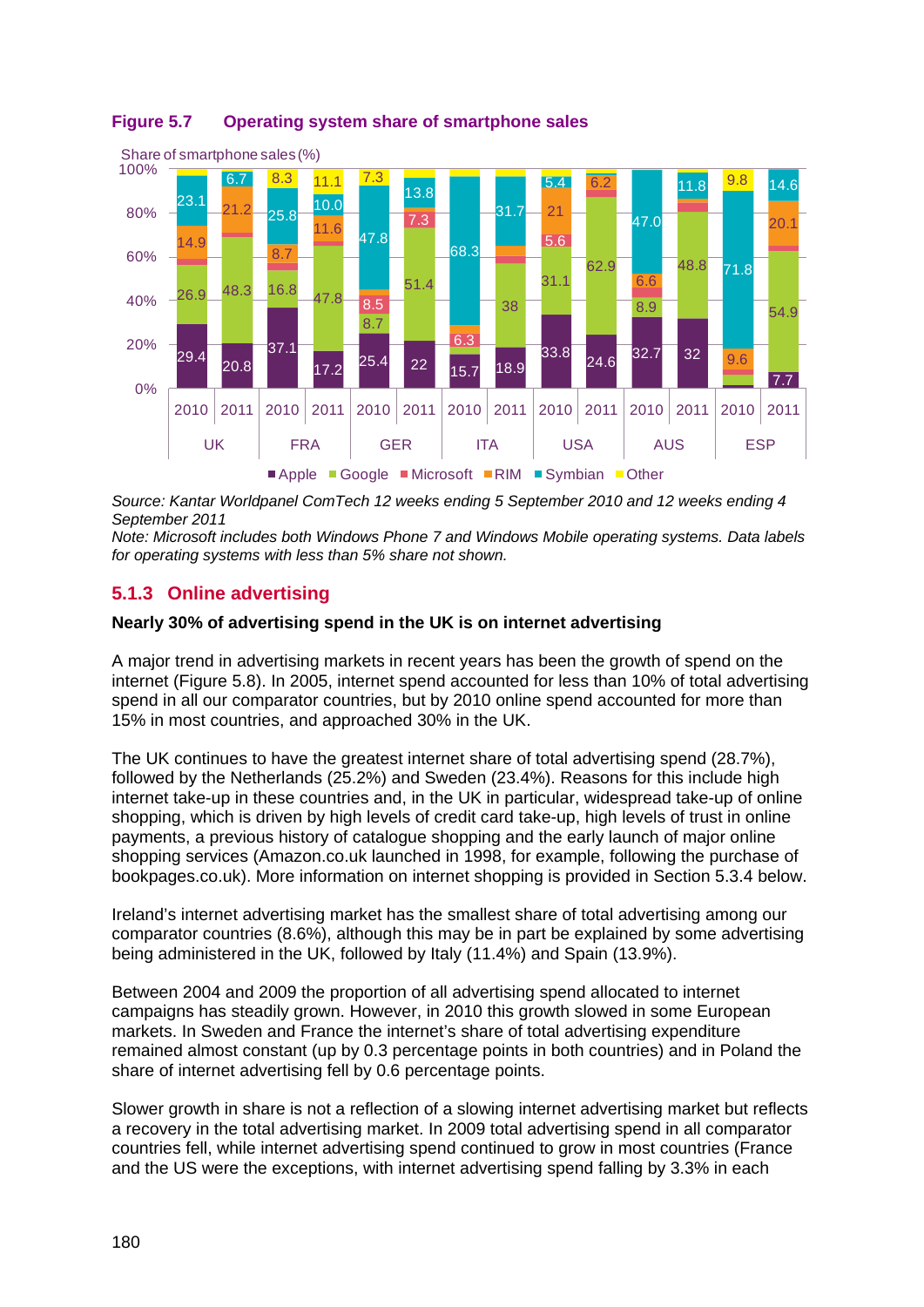

# <span id="page-11-1"></span>**Figure 5.7 Operating system share of smartphone sales**

*Source: Kantar Worldpanel ComTech 12 weeks ending 5 September 2010 and 12 weeks ending 4 September 2011*

*Note: Microsoft includes both Windows Phone 7 and Windows Mobile operating systems. Data labels for operating systems with less than 5% share not shown.*

# <span id="page-11-0"></span>**5.1.3 Online advertising**

#### **Nearly 30% of advertising spend in the UK is on internet advertising**

A major trend in advertising markets in recent years has been the growth of spend on the internet [\(Figure 5.8\)](#page-12-0). In 2005, internet spend accounted for less than 10% of total advertising spend in all our comparator countries, but by 2010 online spend accounted for more than 15% in most countries, and approached 30% in the UK.

The UK continues to have the greatest internet share of total advertising spend (28.7%), followed by the Netherlands (25.2%) and Sweden (23.4%). Reasons for this include high internet take-up in these countries and, in the UK in particular, widespread take-up of online shopping, which is driven by high levels of credit card take-up, high levels of trust in online payments, a previous history of catalogue shopping and the early launch of major online shopping services (Amazon.co.uk launched in 1998, for example, following the purchase of bookpages.co.uk). More information on internet shopping is provided in Section [5.3.4](#page-33-0) below.

Ireland's internet advertising market has the smallest share of total advertising among our comparator countries (8.6%), although this may be in part be explained by some advertising being administered in the UK, followed by Italy (11.4%) and Spain (13.9%).

Between 2004 and 2009 the proportion of all advertising spend allocated to internet campaigns has steadily grown. However, in 2010 this growth slowed in some European markets. In Sweden and France the internet's share of total advertising expenditure remained almost constant (up by 0.3 percentage points in both countries) and in Poland the share of internet advertising fell by 0.6 percentage points.

Slower growth in share is not a reflection of a slowing internet advertising market but reflects a recovery in the total advertising market. In 2009 total advertising spend in all comparator countries fell, while internet advertising spend continued to grow in most countries (France and the US were the exceptions, with internet advertising spend falling by 3.3% in each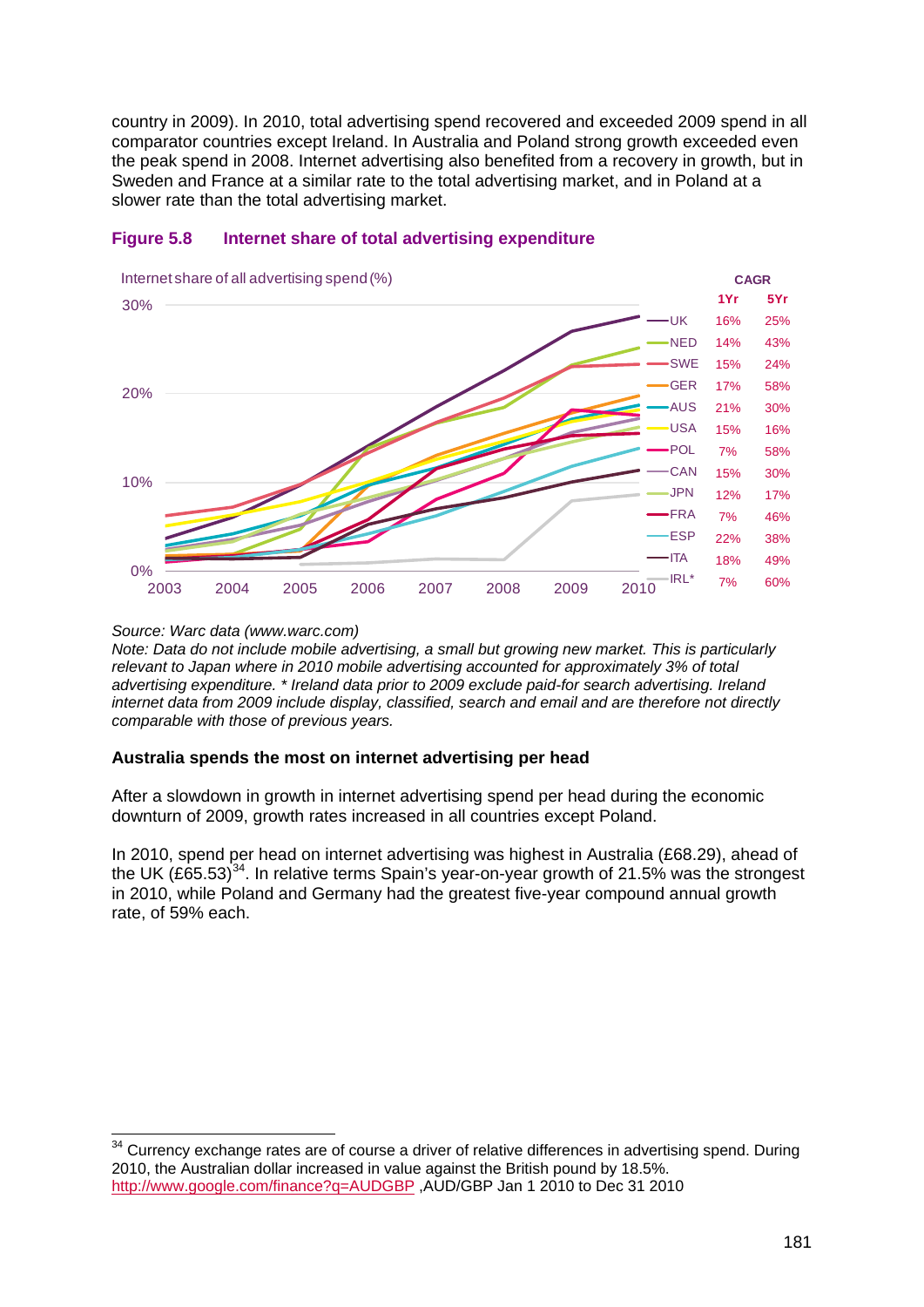country in 2009). In 2010, total advertising spend recovered and exceeded 2009 spend in all comparator countries except Ireland. In Australia and Poland strong growth exceeded even the peak spend in 2008. Internet advertising also benefited from a recovery in growth, but in Sweden and France at a similar rate to the total advertising market, and in Poland at a slower rate than the total advertising market.



#### <span id="page-12-0"></span>**Figure 5.8 Internet share of total advertising expenditure**

*Source: Warc data (www.warc.com)*

*Note: Data do not include mobile advertising, a small but growing new market. This is particularly relevant to Japan where in 2010 mobile advertising accounted for approximately 3% of total advertising expenditure. \* Ireland data prior to 2009 exclude paid-for search advertising. Ireland internet data from 2009 include display, classified, search and email and are therefore not directly comparable with those of previous years.*

#### **Australia spends the most on internet advertising per head**

After a slowdown in growth in internet advertising spend per head during the economic downturn of 2009, growth rates increased in all countries except Poland.

In 2010, spend per head on internet advertising was highest in Australia (£68.29), ahead of the UK (£65.53)<sup>[34](#page-12-1)</sup>. In relative terms Spain's year-on-year growth of 21.5% was the strongest in 2010, while Poland and Germany had the greatest five-year compound annual growth rate, of 59% each.

<span id="page-12-1"></span><sup>&</sup>lt;sup>34</sup> Currencv exchange rates are of course a driver of relative differences in advertising spend. During 2010, the Australian dollar increased in value against the British pound by 18.5%. <http://www.google.com/finance?q=AUDGBP> ,AUD/GBP Jan 1 2010 to Dec 31 2010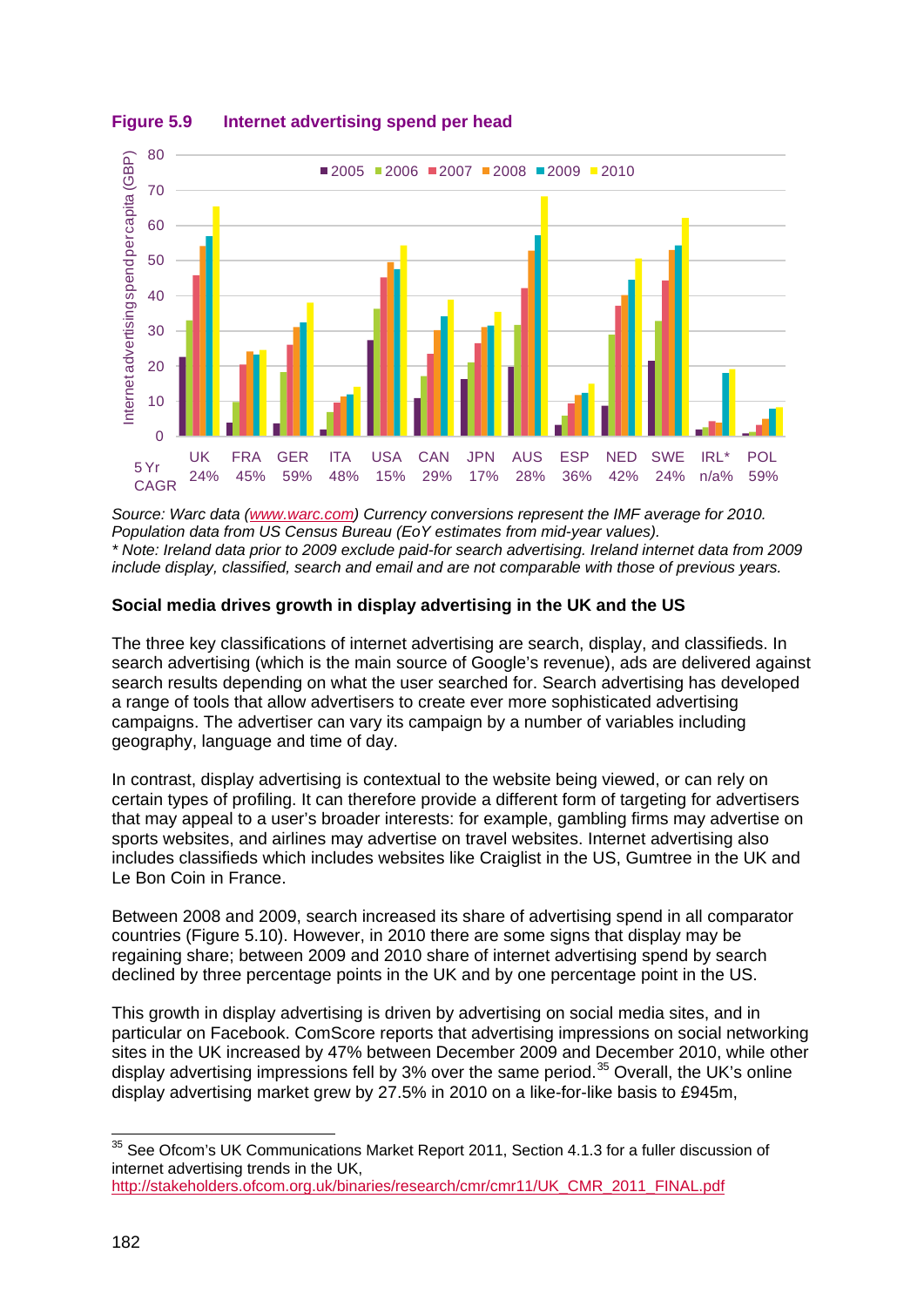

#### **Figure 5.9 Internet advertising spend per head**

*Source: Warc data [\(www.warc.com\)](http://www.warc.com/) Currency conversions represent the IMF average for 2010. Population data from US Census Bureau (EoY estimates from mid-year values). \* Note: Ireland data prior to 2009 exclude paid-for search advertising. Ireland internet data from 2009 include display, classified, search and email and are not comparable with those of previous years.*

## **Social media drives growth in display advertising in the UK and the US**

The three key classifications of internet advertising are search, display, and classifieds. In search advertising (which is the main source of Google's revenue), ads are delivered against search results depending on what the user searched for. Search advertising has developed a range of tools that allow advertisers to create ever more sophisticated advertising campaigns. The advertiser can vary its campaign by a number of variables including geography, language and time of day.

In contrast, display advertising is contextual to the website being viewed, or can rely on certain types of profiling. It can therefore provide a different form of targeting for advertisers that may appeal to a user's broader interests: for example, gambling firms may advertise on sports websites, and airlines may advertise on travel websites. Internet advertising also includes classifieds which includes websites like Craiglist in the US, Gumtree in the UK and Le Bon Coin in France.

Between 2008 and 2009, search increased its share of advertising spend in all comparator countries [\(Figure 5.10\)](#page-14-0). However, in 2010 there are some signs that display may be regaining share; between 2009 and 2010 share of internet advertising spend by search declined by three percentage points in the UK and by one percentage point in the US.

This growth in display advertising is driven by advertising on social media sites, and in particular on Facebook. ComScore reports that advertising impressions on social networking sites in the UK increased by 47% between December 2009 and December 2010, while other display advertising impressions fell by 3% over the same period.<sup>[35](#page-13-0)</sup> Overall, the UK's online display advertising market grew by 27.5% in 2010 on a like-for-like basis to £945m,

<span id="page-13-0"></span><sup>&</sup>lt;sup>35</sup> See Ofcom's UK Communications Market Report 2011, Section 4.1.3 for a fuller discussion of internet advertising trends in the UK,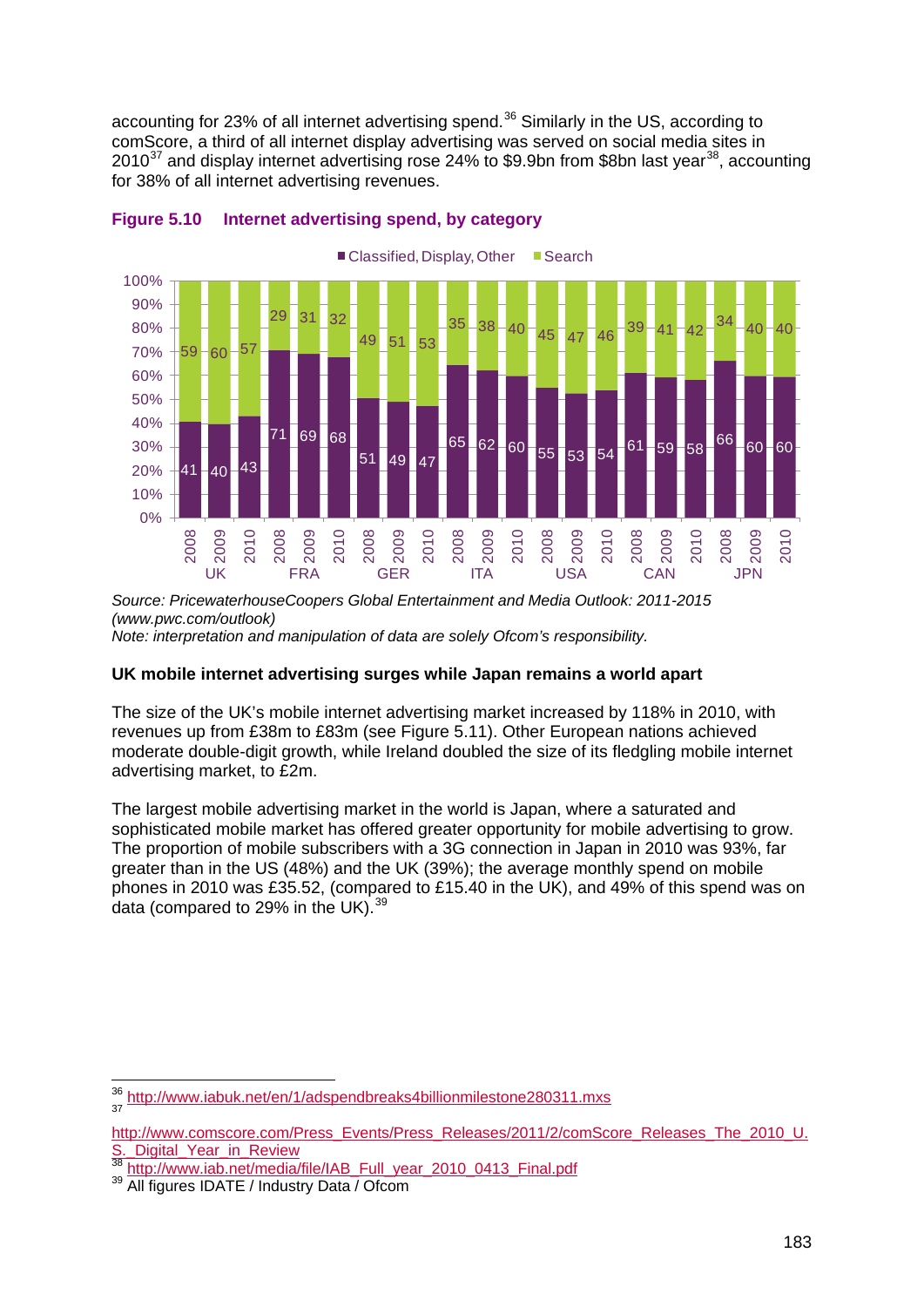accounting for 23% of all internet advertising spend.<sup>[36](#page-14-1)</sup> Similarly in the US, according to comScore, a third of all internet display advertising was served on social media sites in 2010<sup>[37](#page-14-2)</sup> and display internet advertising rose 24% to \$9.9bn from \$8bn last year<sup>[38](#page-14-3)</sup>, accounting for 38% of all internet advertising revenues.



#### <span id="page-14-0"></span>**Figure 5.10 Internet advertising spend, by category**

*Source: PricewaterhouseCoopers Global Entertainment and Media Outlook: 2011-2015 (www.pwc.com/outlook)*

*Note: interpretation and manipulation of data are solely Ofcom's responsibility.*

#### **UK mobile internet advertising surges while Japan remains a world apart**

The size of the UK's mobile internet advertising market increased by 118% in 2010, with revenues up from £38m to £83m (see [Figure 5.11\)](#page-15-0). Other European nations achieved moderate double-digit growth, while Ireland doubled the size of its fledgling mobile internet advertising market, to £2m.

The largest mobile advertising market in the world is Japan, where a saturated and sophisticated mobile market has offered greater opportunity for mobile advertising to grow. The proportion of mobile subscribers with a 3G connection in Japan in 2010 was 93%, far greater than in the US (48%) and the UK (39%); the average monthly spend on mobile phones in 2010 was £35.52, (compared to £15.40 in the UK), and 49% of this spend was on data (compared to 29% in the UK).<sup>[39](#page-14-4)</sup>

<span id="page-14-1"></span><sup>36</sup> <http://www.iabuk.net/en/1/adspendbreaks4billionmilestone280311.mxs>

<span id="page-14-2"></span>[http://www.comscore.com/Press\\_Events/Press\\_Releases/2011/2/comScore\\_Releases\\_The\\_2010\\_U.](http://www.comscore.com/Press_Events/Press_Releases/2011/2/comScore_Releases_The_2010_U.S._Digital_Year_in_Review)<br>S. Digital Year in Review

<span id="page-14-4"></span><span id="page-14-3"></span><sup>&</sup>lt;sup>38</sup> [http://www.iab.net/media/file/IAB\\_Full\\_year\\_2010\\_0413\\_Final.pdf](http://www.iab.net/media/file/IAB_Full_year_2010_0413_Final.pdf) <sup>39</sup> All figures IDATE / Industry Data / Ofcom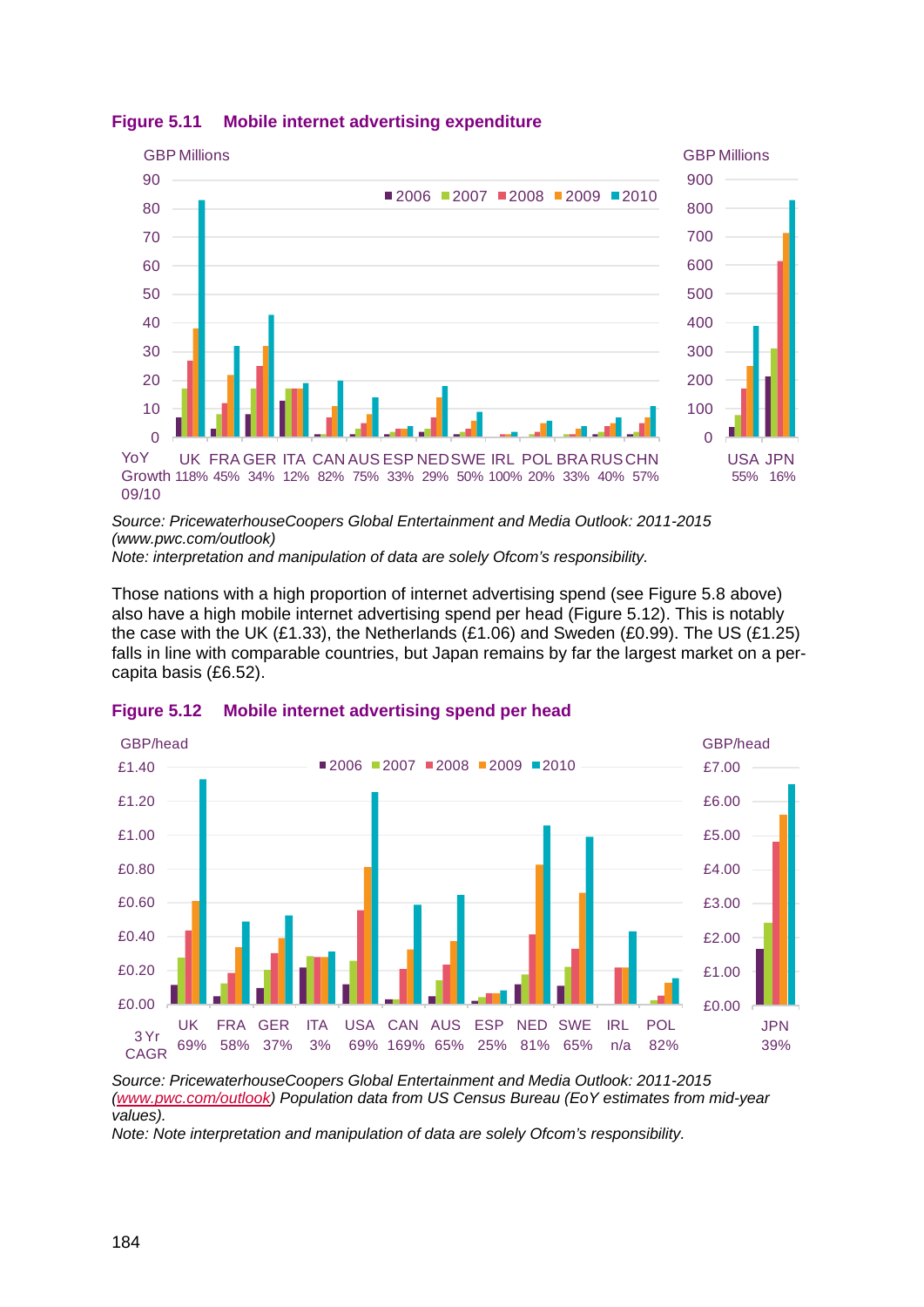

<span id="page-15-0"></span>**Figure 5.11 Mobile internet advertising expenditure**

*Source: PricewaterhouseCoopers Global Entertainment and Media Outlook: 2011-2015 (www.pwc.com/outlook)*

*Note: interpretation and manipulation of data are solely Ofcom's responsibility.*

Those nations with a high proportion of internet advertising spend (see [Figure 5.8](#page-12-0) above) also have a high mobile internet advertising spend per head [\(Figure 5.12\)](#page-15-1). This is notably the case with the UK (£1.33), the Netherlands (£1.06) and Sweden (£0.99). The US (£1.25) falls in line with comparable countries, but Japan remains by far the largest market on a percapita basis (£6.52).



<span id="page-15-1"></span>**Figure 5.12 Mobile internet advertising spend per head**

*Source: PricewaterhouseCoopers Global Entertainment and Media Outlook: 2011-2015 [\(www.pwc.com/outlook\)](http://www.pwc.com/outlook) Population data from US Census Bureau (EoY estimates from mid-year values).*

*Note: Note interpretation and manipulation of data are solely Ofcom's responsibility.*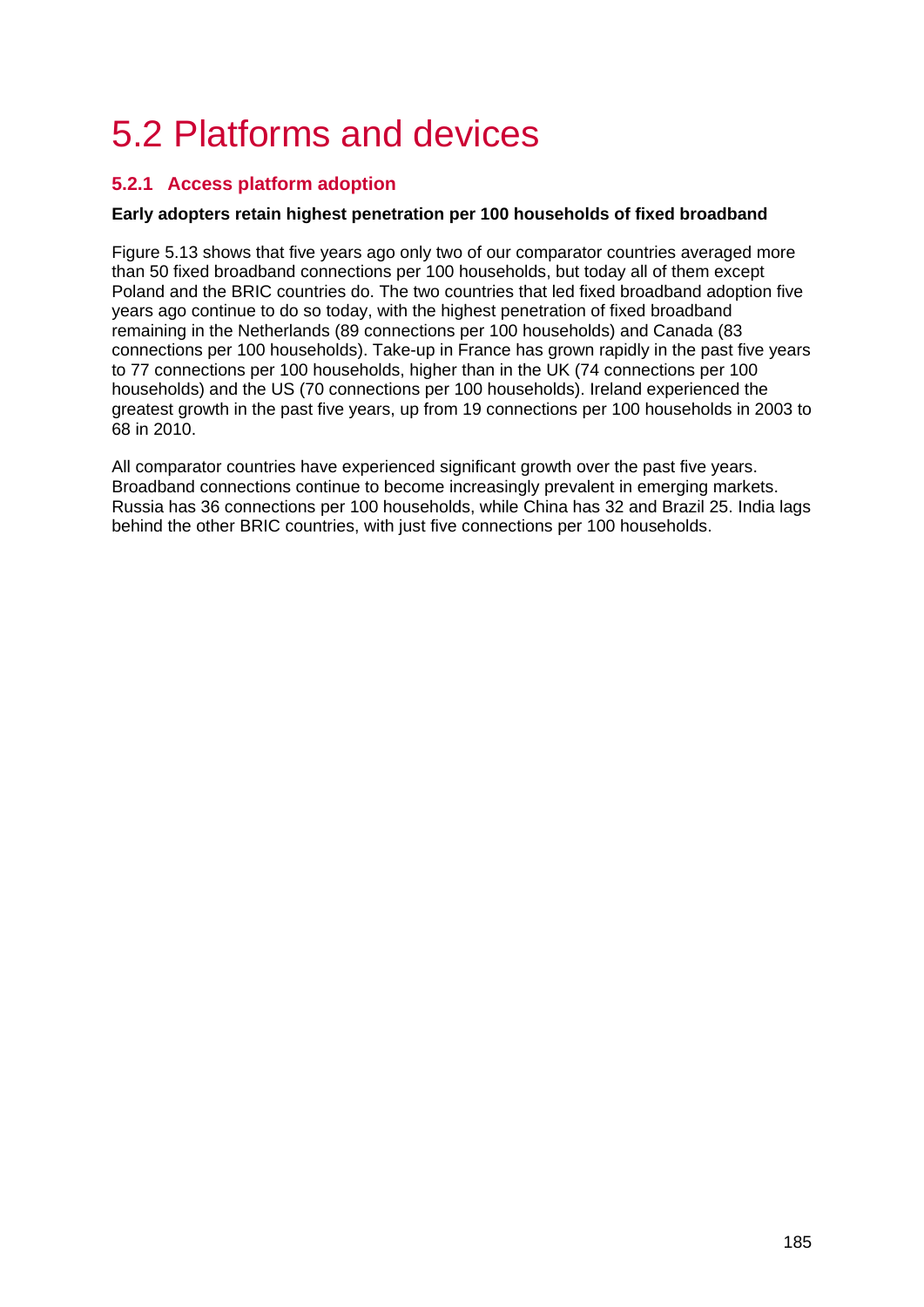# <span id="page-16-0"></span>5.2 Platforms and devices

# <span id="page-16-1"></span>**5.2.1 Access platform adoption**

## **Early adopters retain highest penetration per 100 households of fixed broadband**

[Figure 5.13](#page-17-0) shows that five years ago only two of our comparator countries averaged more than 50 fixed broadband connections per 100 households, but today all of them except Poland and the BRIC countries do. The two countries that led fixed broadband adoption five years ago continue to do so today, with the highest penetration of fixed broadband remaining in the Netherlands (89 connections per 100 households) and Canada (83 connections per 100 households). Take-up in France has grown rapidly in the past five years to 77 connections per 100 households, higher than in the UK (74 connections per 100 households) and the US (70 connections per 100 households). Ireland experienced the greatest growth in the past five years, up from 19 connections per 100 households in 2003 to 68 in 2010.

All comparator countries have experienced significant growth over the past five years. Broadband connections continue to become increasingly prevalent in emerging markets. Russia has 36 connections per 100 households, while China has 32 and Brazil 25. India lags behind the other BRIC countries, with just five connections per 100 households.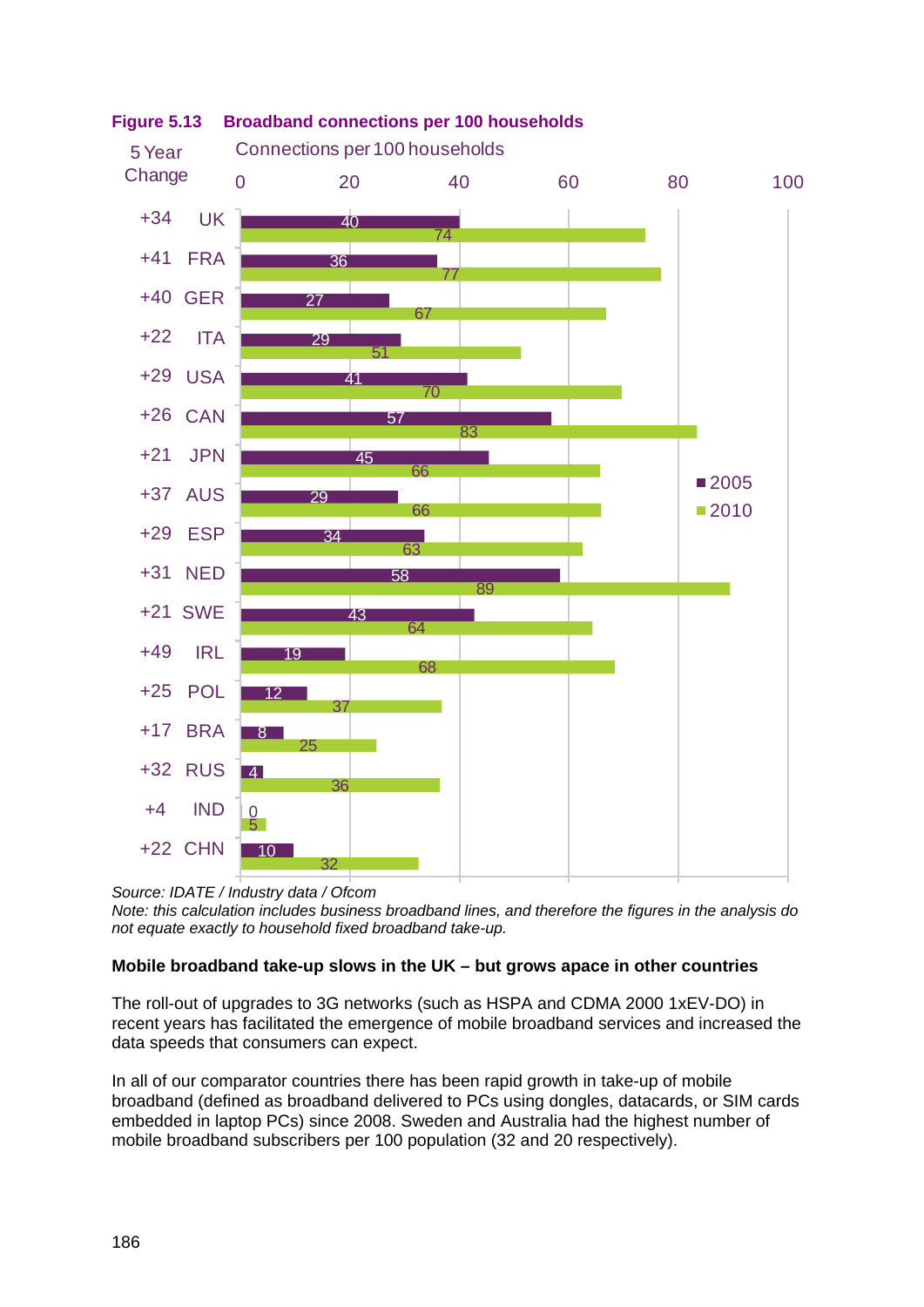

<span id="page-17-0"></span>

*Source: IDATE / Industry data / Ofcom*

*Note: this calculation includes business broadband lines, and therefore the figures in the analysis do not equate exactly to household fixed broadband take-up.*

# **Mobile broadband take-up slows in the UK – but grows apace in other countries**

The roll-out of upgrades to 3G networks (such as HSPA and CDMA 2000 1xEV-DO) in recent years has facilitated the emergence of mobile broadband services and increased the data speeds that consumers can expect.

In all of our comparator countries there has been rapid growth in take-up of mobile broadband (defined as broadband delivered to PCs using dongles, datacards, or SIM cards embedded in laptop PCs) since 2008. Sweden and Australia had the highest number of mobile broadband subscribers per 100 population (32 and 20 respectively).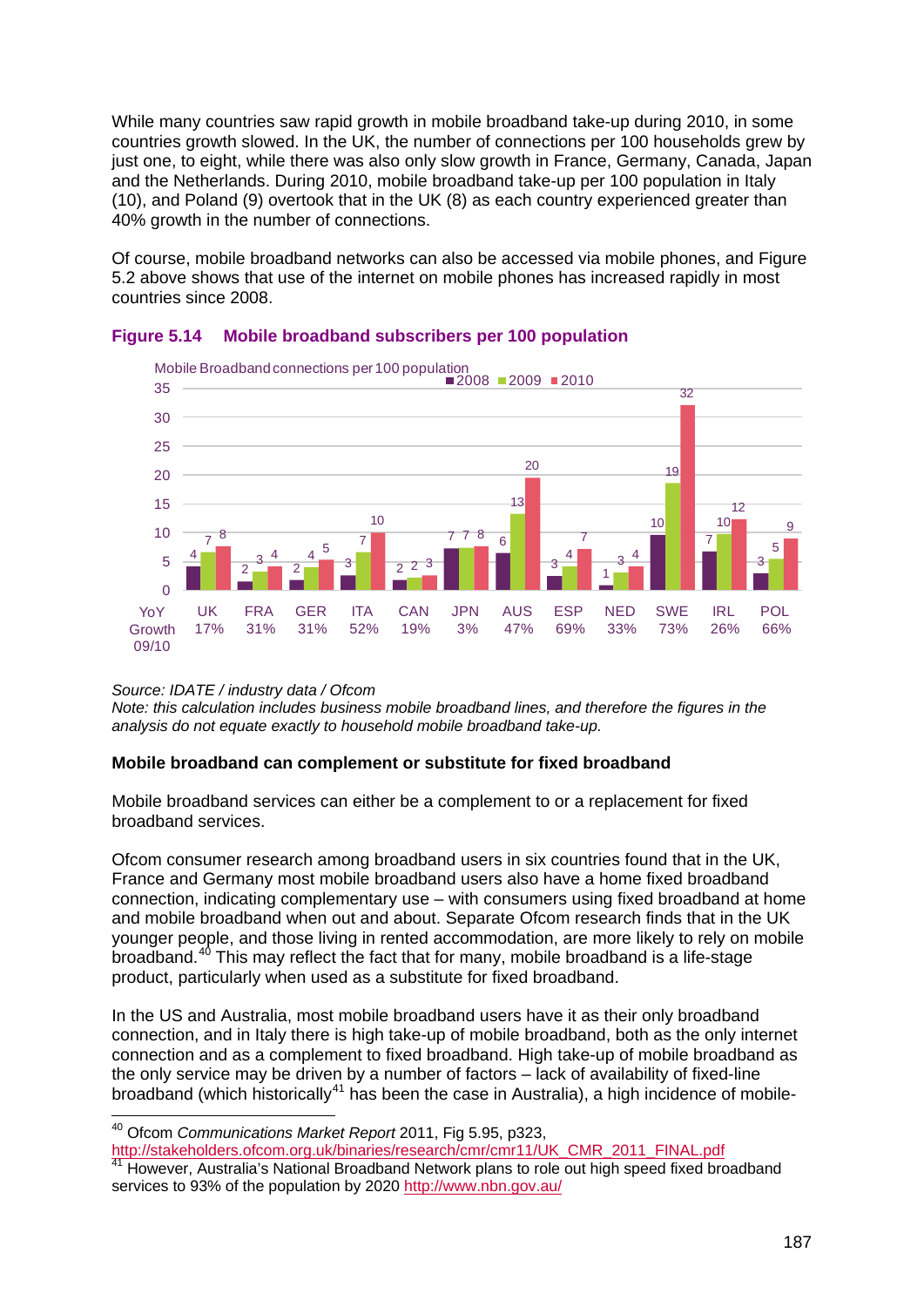While many countries saw rapid growth in mobile broadband take-up during 2010, in some countries growth slowed. In the UK, the number of connections per 100 households grew by just one, to eight, while there was also only slow growth in France, Germany, Canada, Japan and the Netherlands. During 2010, mobile broadband take-up per 100 population in Italy (10), and Poland (9) overtook that in the UK (8) as each country experienced greater than 40% growth in the number of connections.

Of course, mobile broadband networks can also be accessed via mobile phones, and [Figure](#page-4-0)  [5.2](#page-4-0) above shows that use of the internet on mobile phones has increased rapidly in most countries since 2008.





#### *Source: IDATE / industry data / Ofcom*

*Note: this calculation includes business mobile broadband lines, and therefore the figures in the analysis do not equate exactly to household mobile broadband take-up.*

#### **Mobile broadband can complement or substitute for fixed broadband**

Mobile broadband services can either be a complement to or a replacement for fixed broadband services.

Ofcom consumer research among broadband users in six countries found that in the UK, France and Germany most mobile broadband users also have a home fixed broadband connection, indicating complementary use – with consumers using fixed broadband at home and mobile broadband when out and about. Separate Ofcom research finds that in the UK younger people, and those living in rented accommodation, are more likely to rely on mobile broadband.<sup>[40](#page-18-0)</sup> This may reflect the fact that for many, mobile broadband is a life-stage product, particularly when used as a substitute for fixed broadband.

In the US and Australia, most mobile broadband users have it as their only broadband connection, and in Italy there is high take-up of mobile broadband, both as the only internet connection and as a complement to fixed broadband. High take-up of mobile broadband as the only service may be driven by a number of factors – lack of availability of fixed-line broadband (which historically<sup>[41](#page-18-1)</sup> has been the case in Australia), a high incidence of mobile-

[http://stakeholders.ofcom.org.uk/binaries/research/cmr/cmr11/UK\\_CMR\\_2011\\_FINAL.pdf](http://stakeholders.ofcom.org.uk/binaries/research/cmr/cmr11/UK_CMR_2011_FINAL.pdf)

<span id="page-18-1"></span>41 However, Australia's National Broadband Network plans to role out high speed fixed broadband services to 93% of the population by 2020<http://www.nbn.gov.au/>

<span id="page-18-0"></span> <sup>40</sup> Ofcom *Communications Market Report* 2011, Fig 5.95, p323,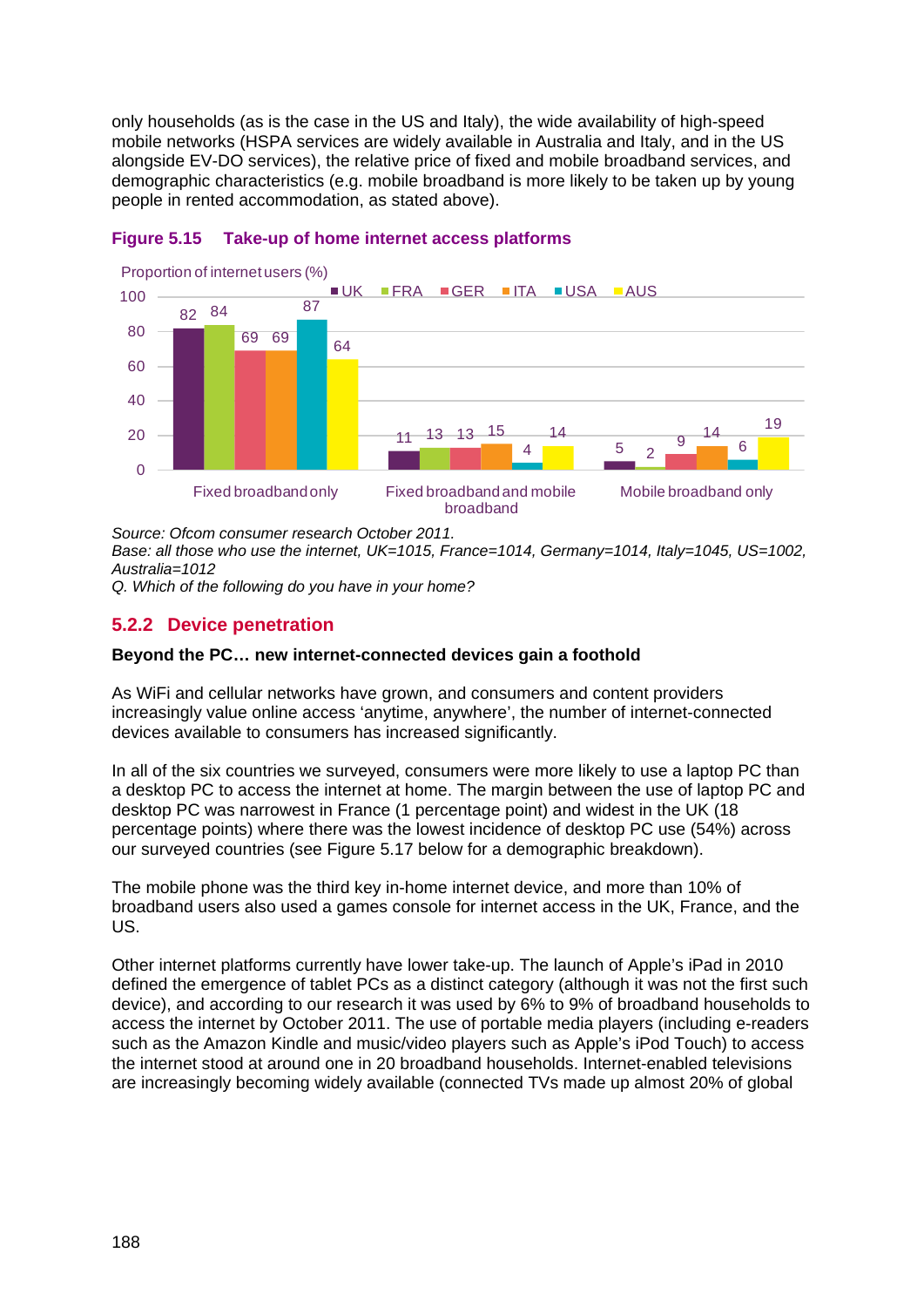only households (as is the case in the US and Italy), the wide availability of high-speed mobile networks (HSPA services are widely available in Australia and Italy, and in the US alongside EV-DO services), the relative price of fixed and mobile broadband services, and demographic characteristics (e.g. mobile broadband is more likely to be taken up by young people in rented accommodation, as stated above).



#### **Figure 5.15 Take-up of home internet access platforms**

*Source: Ofcom consumer research October 2011.* 

*Base: all those who use the internet, UK=1015, France=1014, Germany=1014, Italy=1045, US=1002, Australia=1012*

*Q. Which of the following do you have in your home?*

# <span id="page-19-0"></span>**5.2.2 Device penetration**

#### **Beyond the PC… new internet-connected devices gain a foothold**

As WiFi and cellular networks have grown, and consumers and content providers increasingly value online access 'anytime, anywhere', the number of internet-connected devices available to consumers has increased significantly.

In all of the six countries we surveyed, consumers were more likely to use a laptop PC than a desktop PC to access the internet at home. The margin between the use of laptop PC and desktop PC was narrowest in France (1 percentage point) and widest in the UK (18 percentage points) where there was the lowest incidence of desktop PC use (54%) across our surveyed countries (see [Figure 5.17](#page-21-0) below for a demographic breakdown).

The mobile phone was the third key in-home internet device, and more than 10% of broadband users also used a games console for internet access in the UK, France, and the US.

Other internet platforms currently have lower take-up. The launch of Apple's iPad in 2010 defined the emergence of tablet PCs as a distinct category (although it was not the first such device), and according to our research it was used by 6% to 9% of broadband households to access the internet by October 2011. The use of portable media players (including e-readers such as the Amazon Kindle and music/video players such as Apple's iPod Touch) to access the internet stood at around one in 20 broadband households. Internet-enabled televisions are increasingly becoming widely available (connected TVs made up almost 20% of global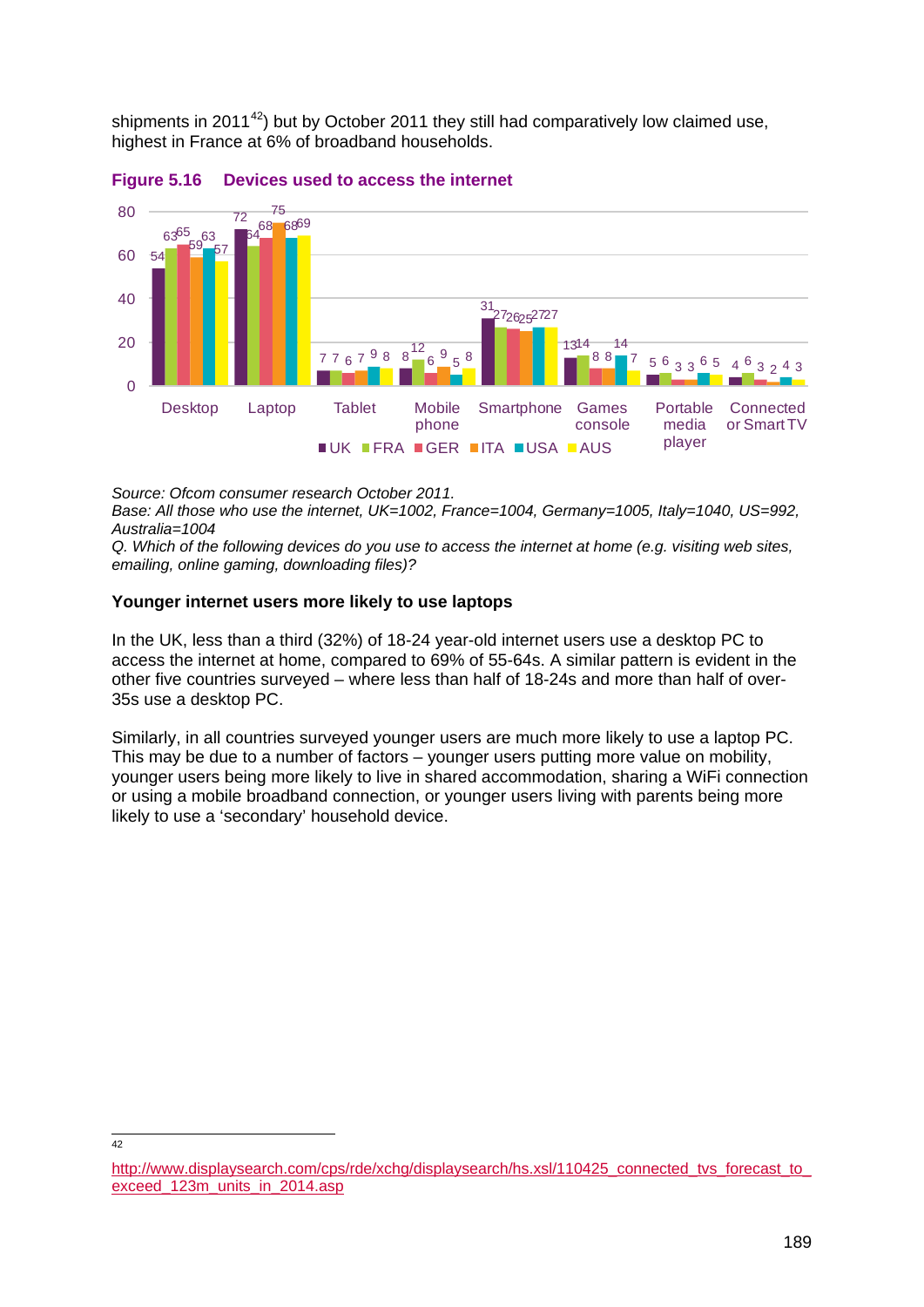shipments in 2011 $42$ ) but by October 2011 they still had comparatively low claimed use, highest in France at 6% of broadband households.



**Figure 5.16 Devices used to access the internet**

*Source: Ofcom consumer research October 2011.*

 $42$ 

*Base: All those who use the internet, UK=1002, France=1004, Germany=1005, Italy=1040, US=992, Australia=1004*

*Q. Which of the following devices do you use to access the internet at home (e.g. visiting web sites, emailing, online gaming, downloading files)?*

#### **Younger internet users more likely to use laptops**

In the UK, less than a third (32%) of 18-24 year-old internet users use a desktop PC to access the internet at home, compared to 69% of 55-64s. A similar pattern is evident in the other five countries surveyed – where less than half of 18-24s and more than half of over-35s use a desktop PC.

Similarly, in all countries surveyed younger users are much more likely to use a laptop PC. This may be due to a number of factors – younger users putting more value on mobility, younger users being more likely to live in shared accommodation, sharing a WiFi connection or using a mobile broadband connection, or younger users living with parents being more likely to use a 'secondary' household device.

<span id="page-20-0"></span>[http://www.displaysearch.com/cps/rde/xchg/displaysearch/hs.xsl/110425\\_connected\\_tvs\\_forecast\\_to\\_](http://www.displaysearch.com/cps/rde/xchg/displaysearch/hs.xsl/110425_connected_tvs_forecast_to_exceed_123m_units_in_2014.asp) [exceed\\_123m\\_units\\_in\\_2014.asp](http://www.displaysearch.com/cps/rde/xchg/displaysearch/hs.xsl/110425_connected_tvs_forecast_to_exceed_123m_units_in_2014.asp)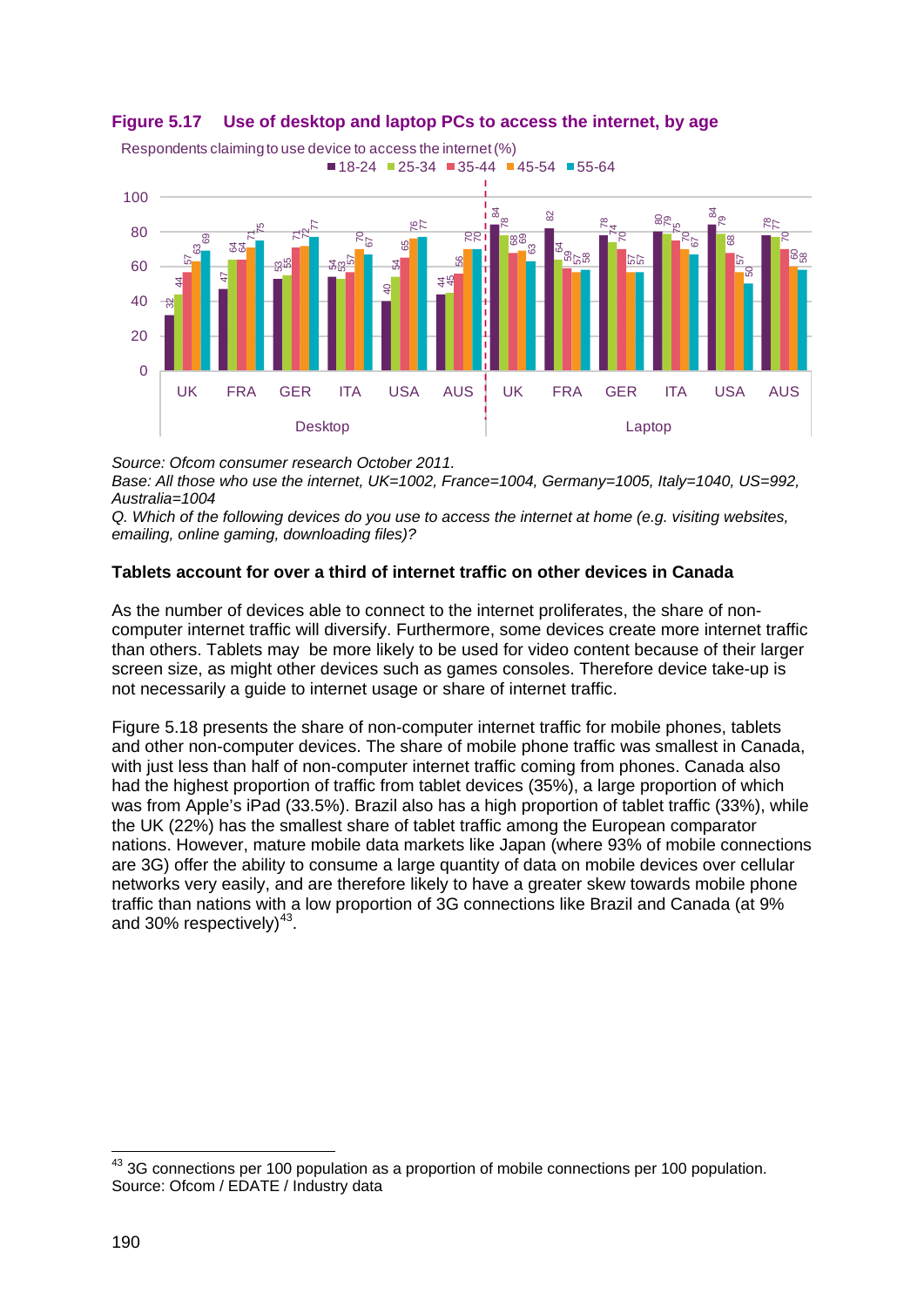

#### <span id="page-21-0"></span>**Figure 5.17 Use of desktop and laptop PCs to access the internet, by age**

*Source: Ofcom consumer research October 2011.*

*Base: All those who use the internet, UK=1002, France=1004, Germany=1005, Italy=1040, US=992, Australia=1004* 

*Q. Which of the following devices do you use to access the internet at home (e.g. visiting websites, emailing, online gaming, downloading files)?*

## **Tablets account for over a third of internet traffic on other devices in Canada**

As the number of devices able to connect to the internet proliferates, the share of noncomputer internet traffic will diversify. Furthermore, some devices create more internet traffic than others. Tablets may be more likely to be used for video content because of their larger screen size, as might other devices such as games consoles. Therefore device take-up is not necessarily a guide to internet usage or share of internet traffic.

[Figure 5.18](#page-22-0) presents the share of non-computer internet traffic for mobile phones, tablets and other non-computer devices. The share of mobile phone traffic was smallest in Canada, with just less than half of non-computer internet traffic coming from phones. Canada also had the highest proportion of traffic from tablet devices (35%), a large proportion of which was from Apple's iPad (33.5%). Brazil also has a high proportion of tablet traffic (33%), while the UK (22%) has the smallest share of tablet traffic among the European comparator nations. However, mature mobile data markets like Japan (where 93% of mobile connections are 3G) offer the ability to consume a large quantity of data on mobile devices over cellular networks very easily, and are therefore likely to have a greater skew towards mobile phone traffic than nations with a low proportion of 3G connections like Brazil and Canada (at 9% and 30% respectively) $43$ .

<span id="page-21-1"></span> 3G connections per 100 population as a proportion of mobile connections per 100 population. Source: Ofcom / EDATE / Industry data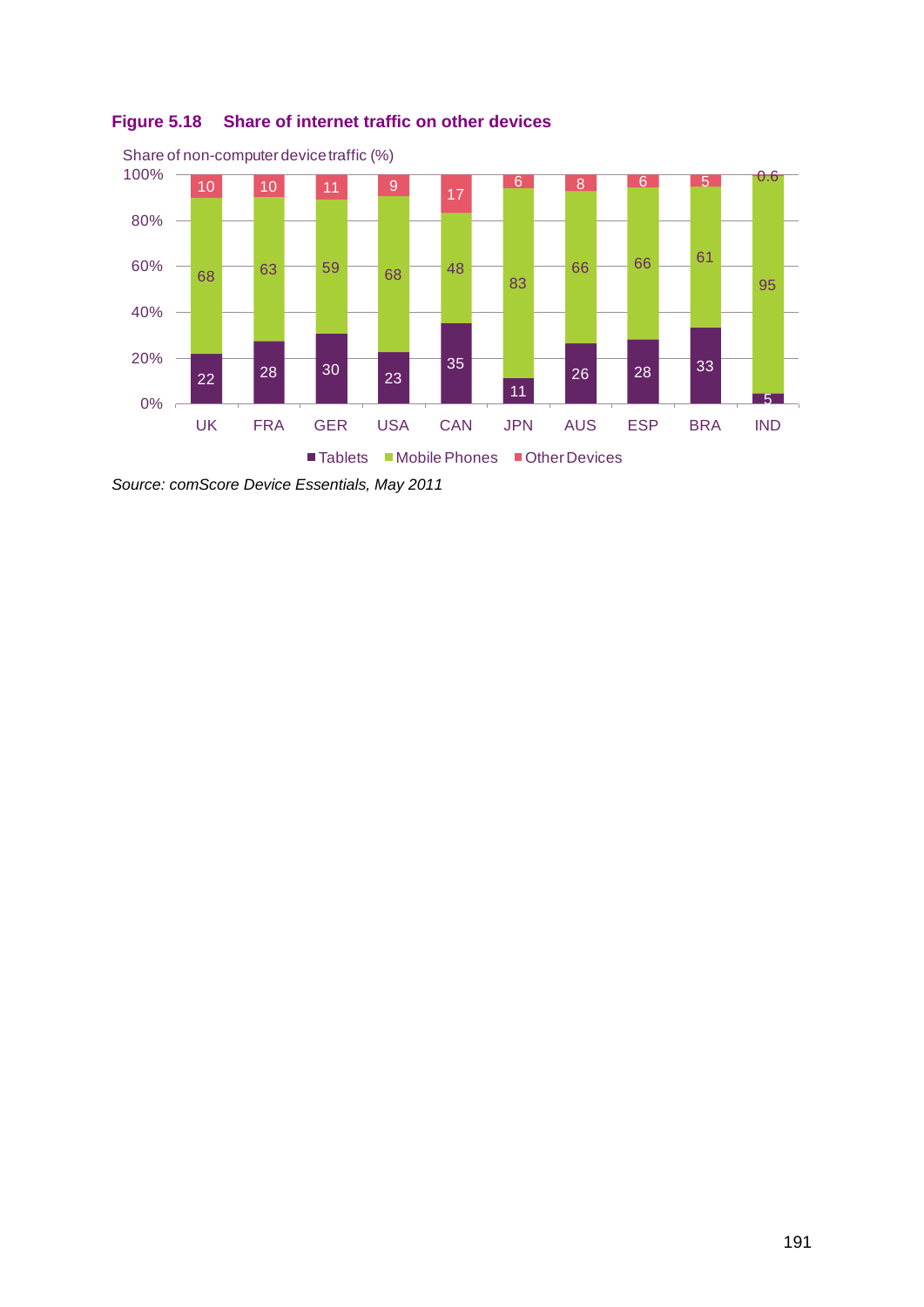

<span id="page-22-0"></span>

*Source: comScore Device Essentials, May 2011*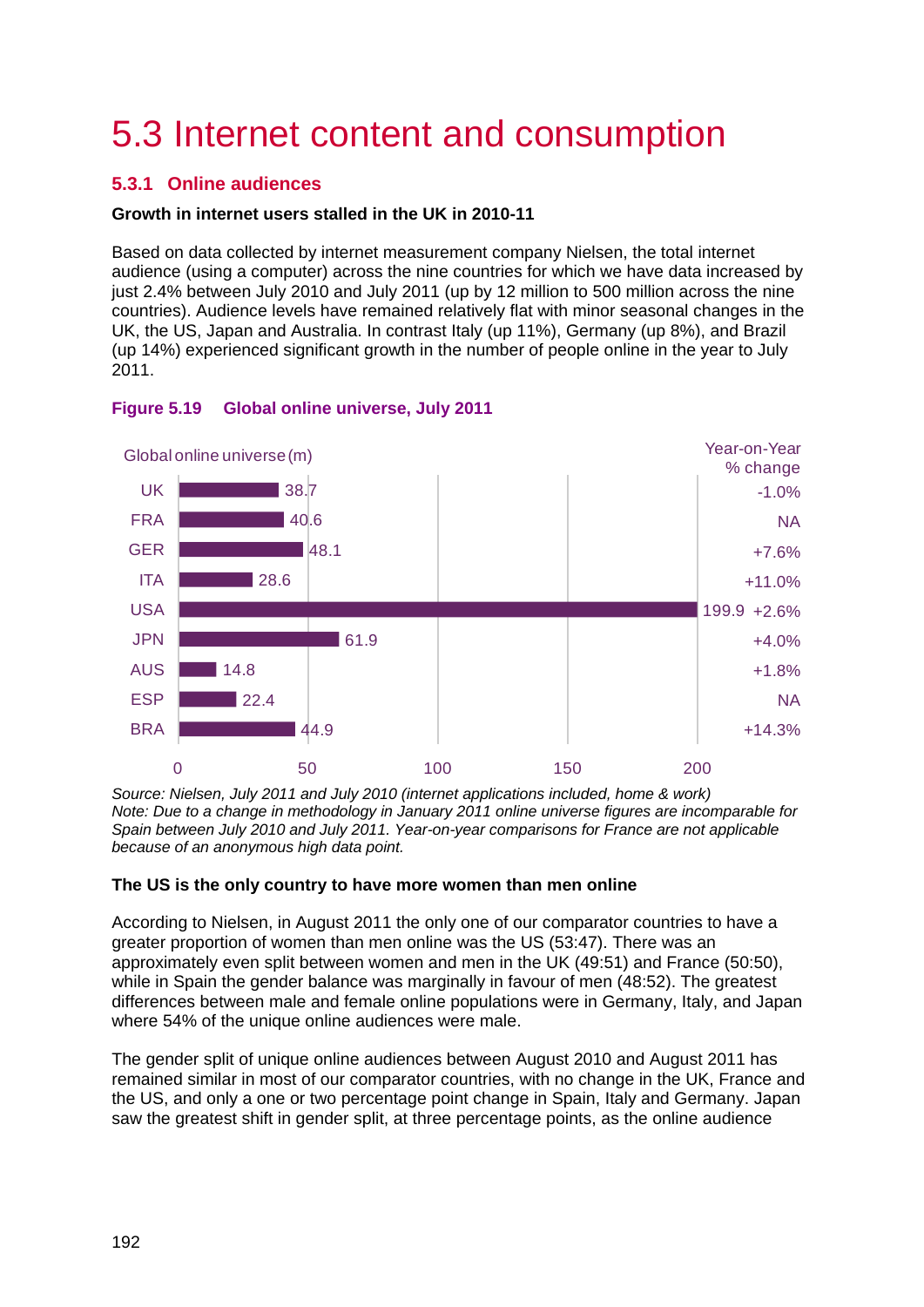# <span id="page-23-0"></span>5.3 Internet content and consumption

# <span id="page-23-1"></span>**5.3.1 Online audiences**

## **Growth in internet users stalled in the UK in 2010-11**

Based on data collected by internet measurement company Nielsen, the total internet audience (using a computer) across the nine countries for which we have data increased by just 2.4% between July 2010 and July 2011 (up by 12 million to 500 million across the nine countries). Audience levels have remained relatively flat with minor seasonal changes in the UK, the US, Japan and Australia. In contrast Italy (up 11%), Germany (up 8%), and Brazil (up 14%) experienced significant growth in the number of people online in the year to July 2011.



#### **Figure 5.19 Global online universe, July 2011**

*Source: Nielsen, July 2011 and July 2010 (internet applications included, home & work) Note: Due to a change in methodology in January 2011 online universe figures are incomparable for Spain between July 2010 and July 2011. Year-on-year comparisons for France are not applicable because of an anonymous high data point.*

#### **The US is the only country to have more women than men online**

According to Nielsen, in August 2011 the only one of our comparator countries to have a greater proportion of women than men online was the US (53:47). There was an approximately even split between women and men in the UK (49:51) and France (50:50), while in Spain the gender balance was marginally in favour of men (48:52). The greatest differences between male and female online populations were in Germany, Italy, and Japan where 54% of the unique online audiences were male.

The gender split of unique online audiences between August 2010 and August 2011 has remained similar in most of our comparator countries, with no change in the UK, France and the US, and only a one or two percentage point change in Spain, Italy and Germany. Japan saw the greatest shift in gender split, at three percentage points, as the online audience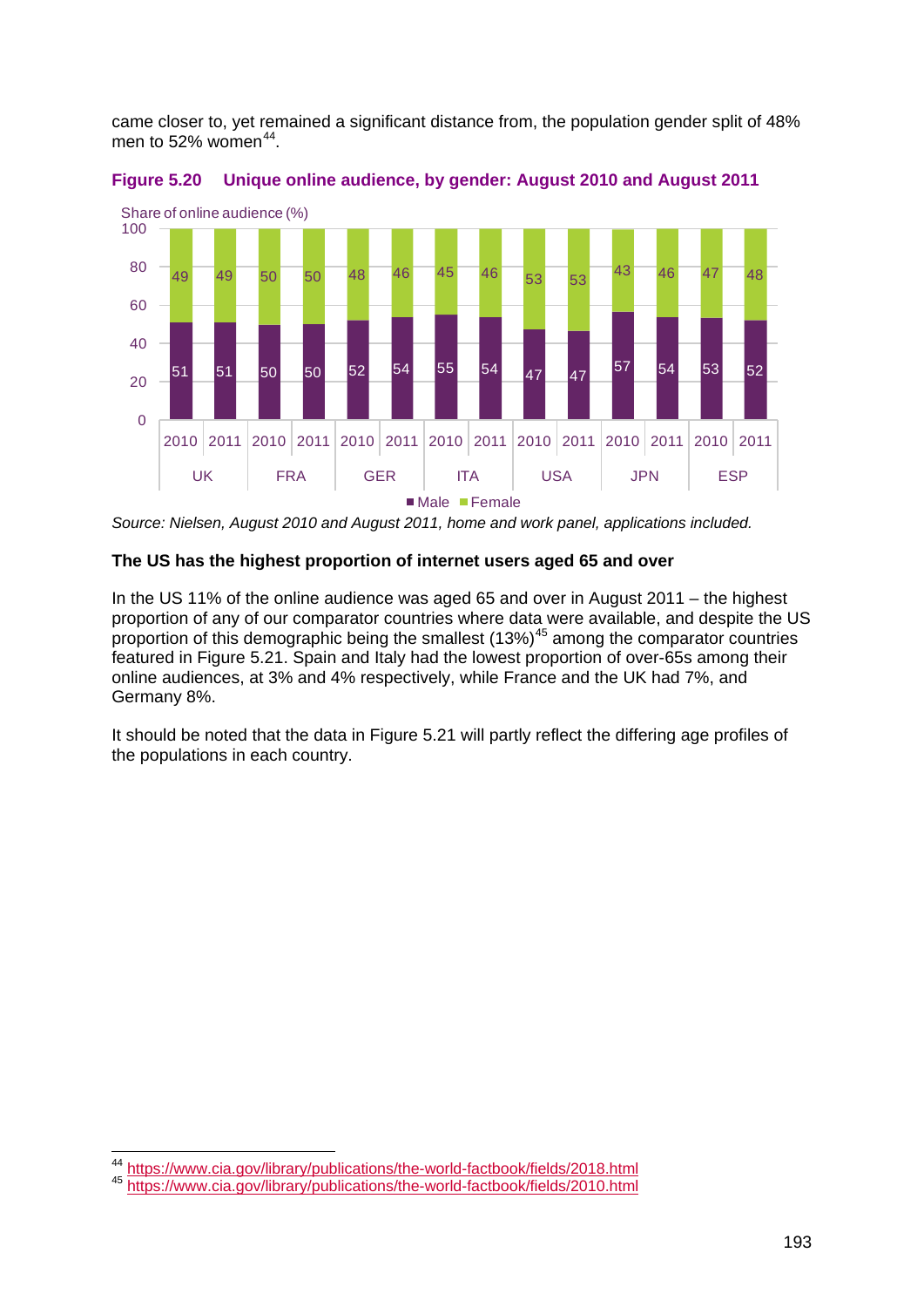came closer to, yet remained a significant distance from, the population gender split of 48% men to 52% women<sup>[44](#page-24-0)</sup>.





*Source: Nielsen, August 2010 and August 2011, home and work panel, applications included.*

#### **The US has the highest proportion of internet users aged 65 and over**

In the US 11% of the online audience was aged 65 and over in August 2011 – the highest proportion of any of our comparator countries where data were available, and despite the US proportion of this demographic being the smallest  $(13\%)^{45}$  $(13\%)^{45}$  $(13\%)^{45}$  among the comparator countries featured in Figure 5.21. Spain and Italy had the lowest proportion of over-65s among their online audiences, at 3% and 4% respectively, while France and the UK had 7%, and Germany 8%.

It should be noted that the data in Figure 5.21 will partly reflect the differing age profiles of the populations in each country.

<span id="page-24-0"></span> <sup>44</sup> <https://www.cia.gov/library/publications/the-world-factbook/fields/2018.html>

<span id="page-24-1"></span><sup>45</sup> <https://www.cia.gov/library/publications/the-world-factbook/fields/2010.html>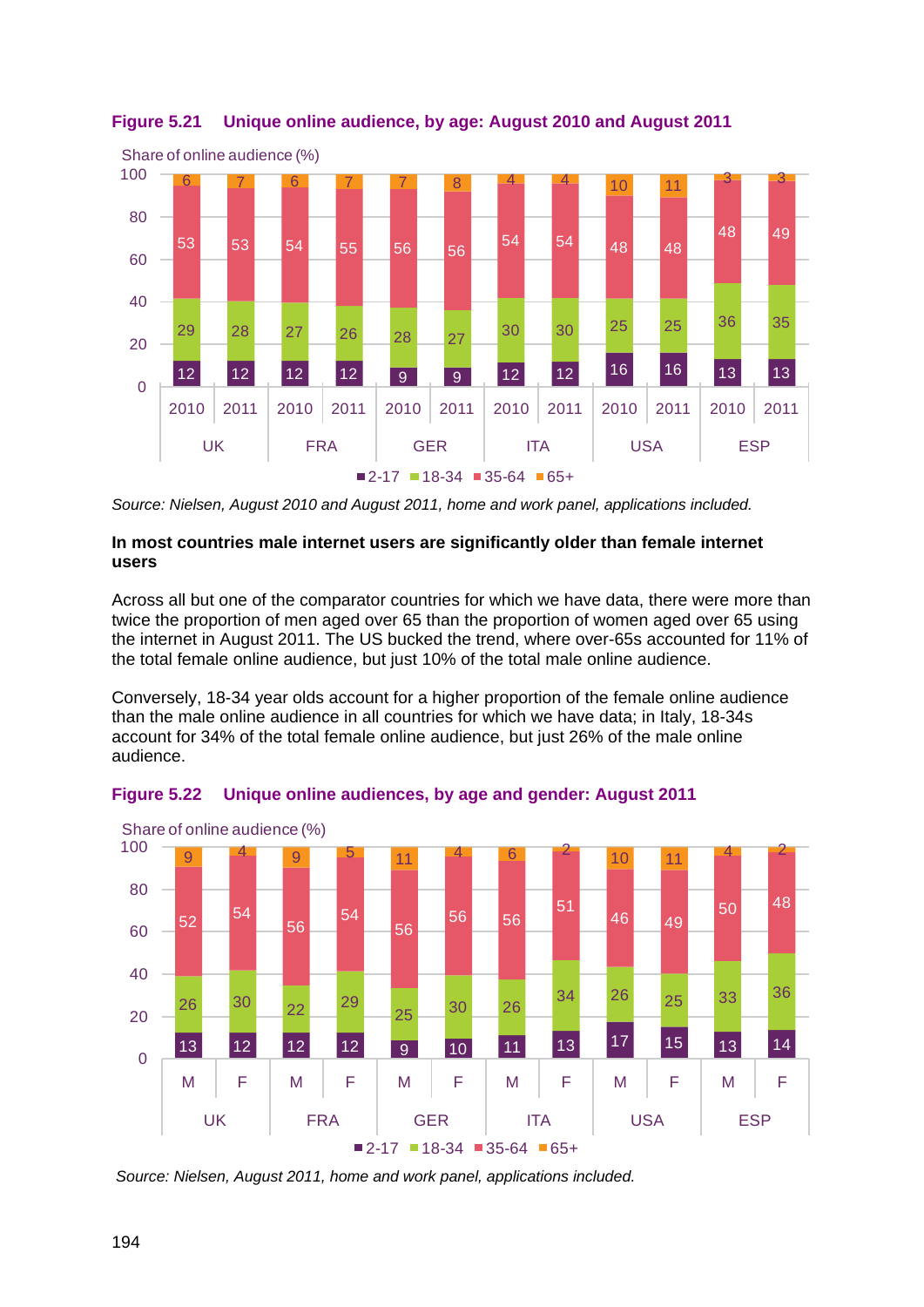

# <span id="page-25-0"></span>**Figure 5.21 Unique online audience, by age: August 2010 and August 2011**

*Source: Nielsen, August 2010 and August 2011, home and work panel, applications included.*

## **In most countries male internet users are significantly older than female internet users**

Across all but one of the comparator countries for which we have data, there were more than twice the proportion of men aged over 65 than the proportion of women aged over 65 using the internet in August 2011. The US bucked the trend, where over-65s accounted for 11% of the total female online audience, but just 10% of the total male online audience.

Conversely, 18-34 year olds account for a higher proportion of the female online audience than the male online audience in all countries for which we have data; in Italy, 18-34s account for 34% of the total female online audience, but just 26% of the male online audience.





*Source: Nielsen, August 2011, home and work panel, applications included.*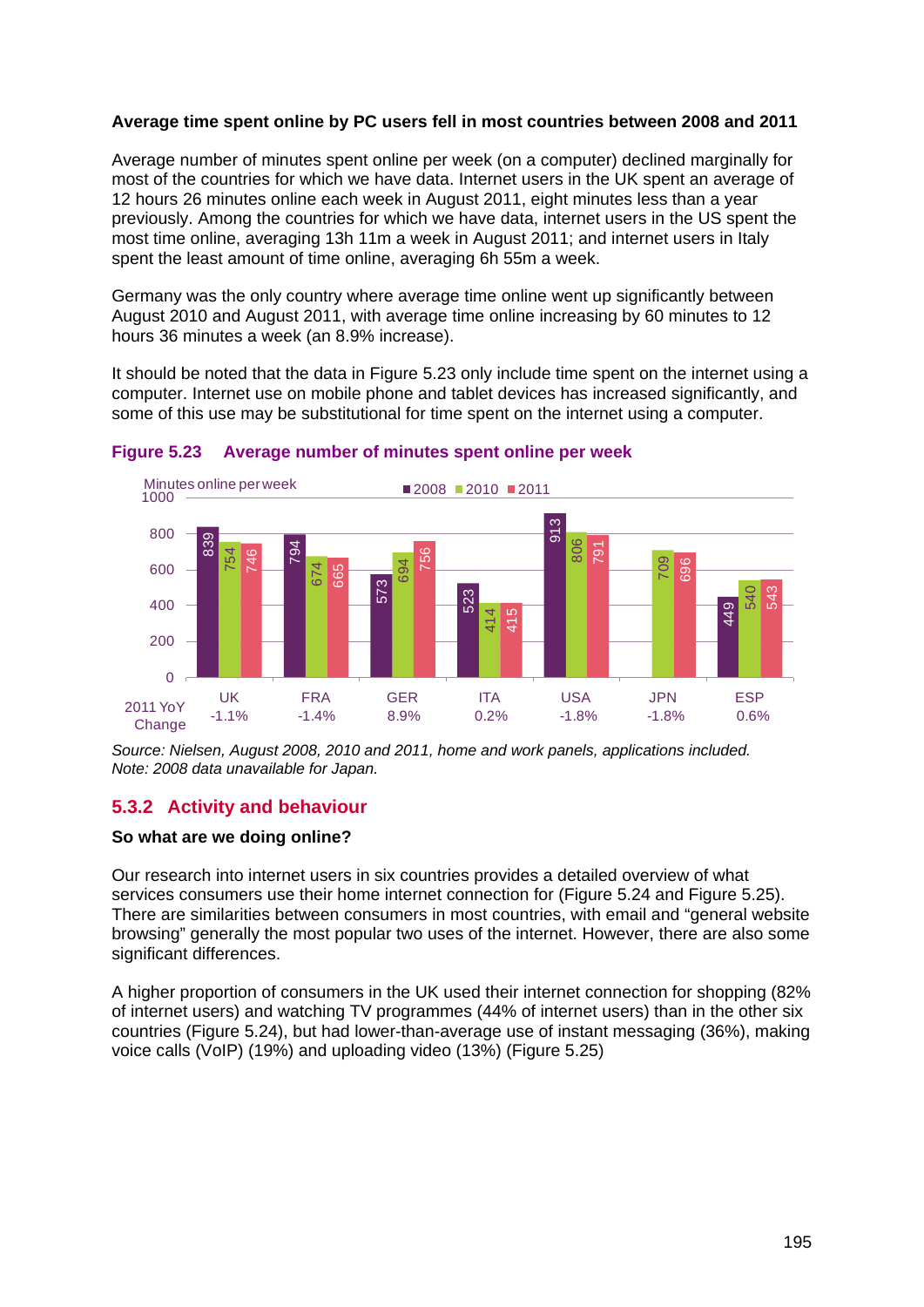#### **Average time spent online by PC users fell in most countries between 2008 and 2011**

Average number of minutes spent online per week (on a computer) declined marginally for most of the countries for which we have data. Internet users in the UK spent an average of 12 hours 26 minutes online each week in August 2011, eight minutes less than a year previously. Among the countries for which we have data, internet users in the US spent the most time online, averaging 13h 11m a week in August 2011; and internet users in Italy spent the least amount of time online, averaging 6h 55m a week.

Germany was the only country where average time online went up significantly between August 2010 and August 2011, with average time online increasing by 60 minutes to 12 hours 36 minutes a week (an 8.9% increase).

It should be noted that the data in [Figure 5.23](#page-26-1) only include time spent on the internet using a computer. Internet use on mobile phone and tablet devices has increased significantly, and some of this use may be substitutional for time spent on the internet using a computer.



<span id="page-26-1"></span>**Figure 5.23 Average number of minutes spent online per week**

*Source: Nielsen, August 2008, 2010 and 2011, home and work panels, applications included. Note: 2008 data unavailable for Japan.*

# <span id="page-26-0"></span>**5.3.2 Activity and behaviour**

#### **So what are we doing online?**

Our research into internet users in six countries provides a detailed overview of what services consumers use their home internet connection for [\(Figure 5.24](#page-27-0) and [Figure 5.25\)](#page-28-0). There are similarities between consumers in most countries, with email and "general website browsing" generally the most popular two uses of the internet. However, there are also some significant differences.

A higher proportion of consumers in the UK used their internet connection for shopping (82% of internet users) and watching TV programmes (44% of internet users) than in the other six countries [\(Figure 5.24\)](#page-27-0), but had lower-than-average use of instant messaging (36%), making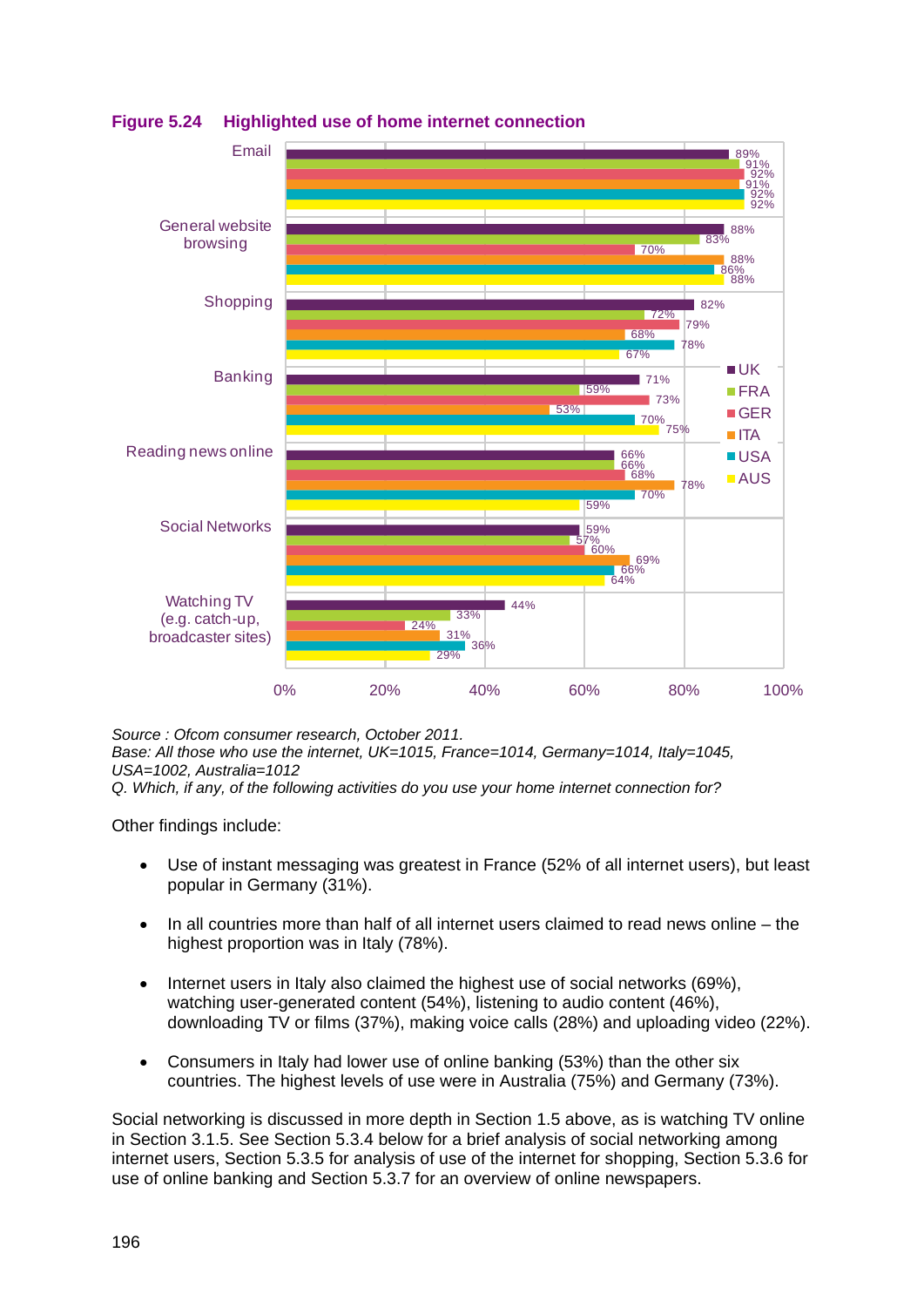

<span id="page-27-0"></span>**Figure 5.24 Highlighted use of home internet connection**

*Source : Ofcom consumer research, October 2011. Base: All those who use the internet, UK=1015, France=1014, Germany=1014, Italy=1045, USA=1002, Australia=1012*

*Q. Which, if any, of the following activities do you use your home internet connection for?*

Other findings include:

- Use of instant messaging was greatest in France (52% of all internet users), but least popular in Germany (31%).
- In all countries more than half of all internet users claimed to read news online the highest proportion was in Italy (78%).
- Internet users in Italy also claimed the highest use of social networks (69%), watching user-generated content (54%), listening to audio content (46%), downloading TV or films (37%), making voice calls (28%) and uploading video (22%).
- Consumers in Italy had lower use of online banking (53%) than the other six countries. The highest levels of use were in Australia (75%) and Germany (73%).

Social networking is discussed in more depth in Section 1.5 above, as is watching TV online in Section 3.1.5. See Section [5.3.4](#page-33-0) below for a brief analysis of social networking among internet users, Section [5.3.5](#page-36-0) for analysis of use of the internet for shopping, Section [5.3.6](#page-42-0) for use of online banking and Section [5.3.7](#page-43-0) for an overview of online newspapers.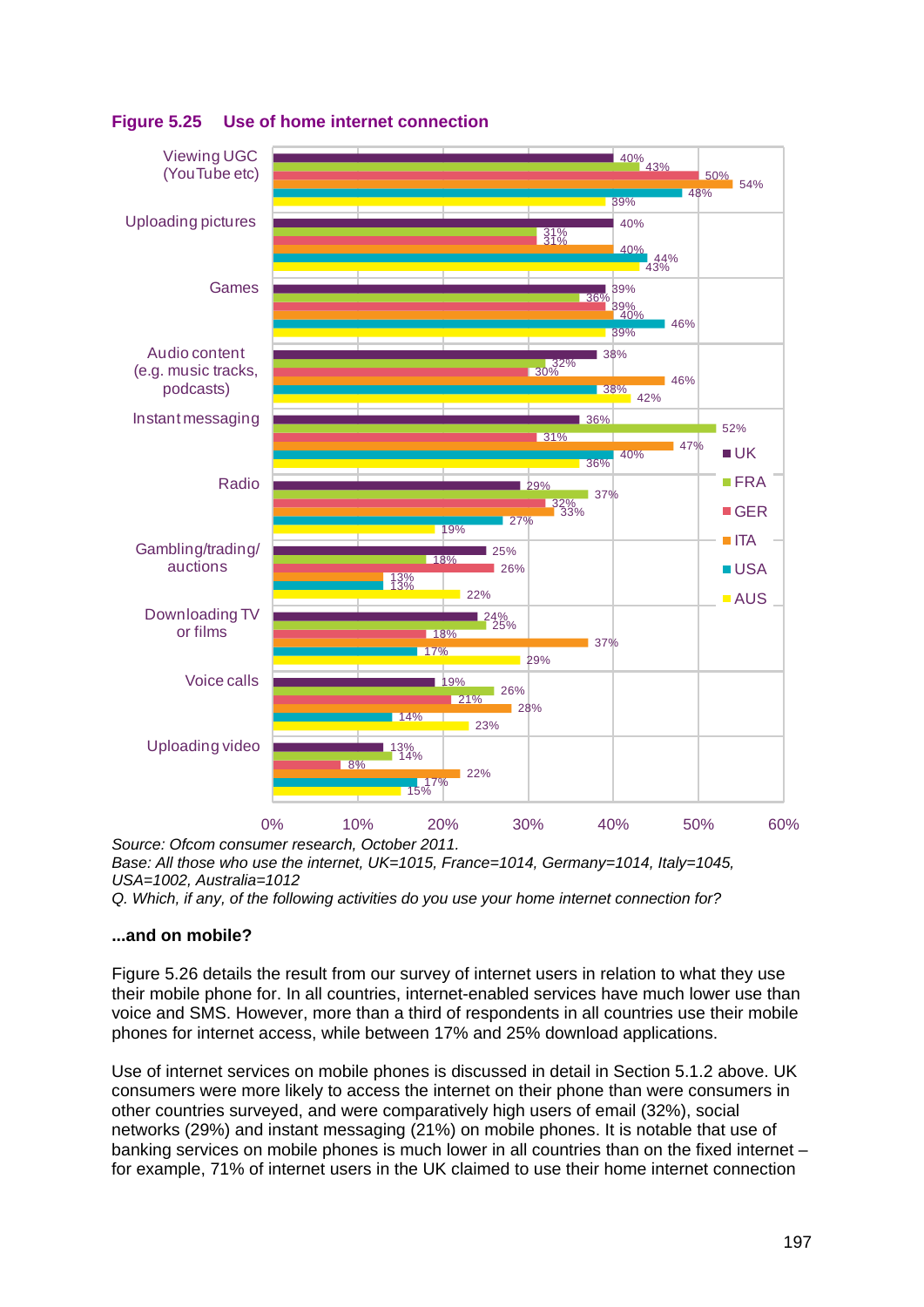

# <span id="page-28-0"></span>**Figure 5.25 Use of home internet connection**

*Base: All those who use the internet, UK=1015, France=1014, Germany=1014, Italy=1045, USA=1002, Australia=1012* 

*Q. Which, if any, of the following activities do you use your home internet connection for?*

#### **...and on mobile?**

[Figure 5.26](#page-29-0) details the result from our survey of internet users in relation to what they use their mobile phone for. In all countries, internet-enabled services have much lower use than voice and SMS. However, more than a third of respondents in all countries use their mobile phones for internet access, while between 17% and 25% download applications.

Use of internet services on mobile phones is discussed in detail in Section [5.1.2](#page-3-0) above. UK consumers were more likely to access the internet on their phone than were consumers in other countries surveyed, and were comparatively high users of email (32%), social networks (29%) and instant messaging (21%) on mobile phones. It is notable that use of banking services on mobile phones is much lower in all countries than on the fixed internet – for example, 71% of internet users in the UK claimed to use their home internet connection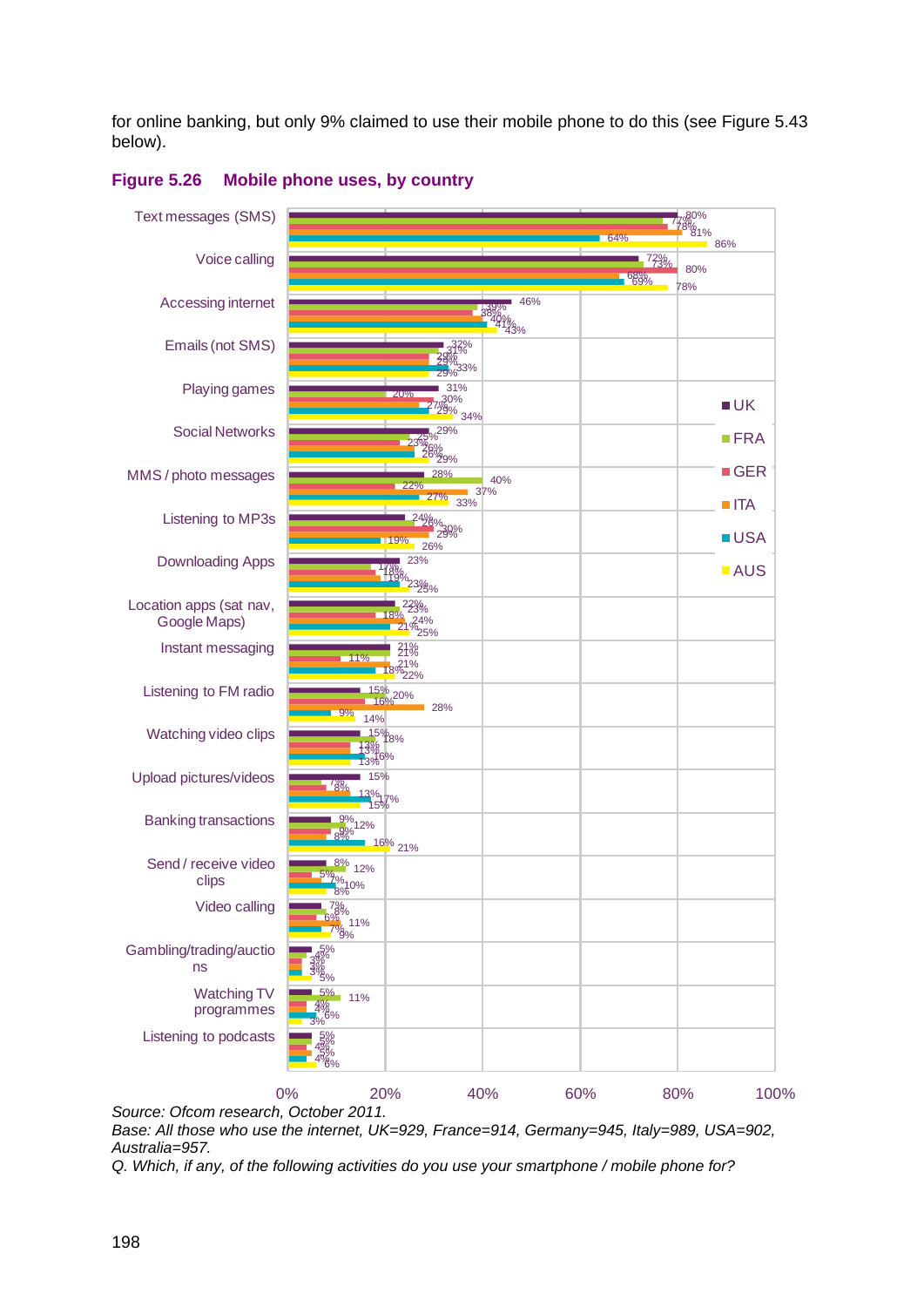for online banking, but only 9% claimed to use their mobile phone to do this (see [Figure 5.43](#page-43-1) below).



#### <span id="page-29-0"></span>**Figure 5.26 Mobile phone uses, by country**

*Source: Ofcom research, October 2011. Base: All those who use the internet, UK=929, France=914, Germany=945, Italy=989, USA=902, Australia=957.*

*Q. Which, if any, of the following activities do you use your smartphone / mobile phone for?*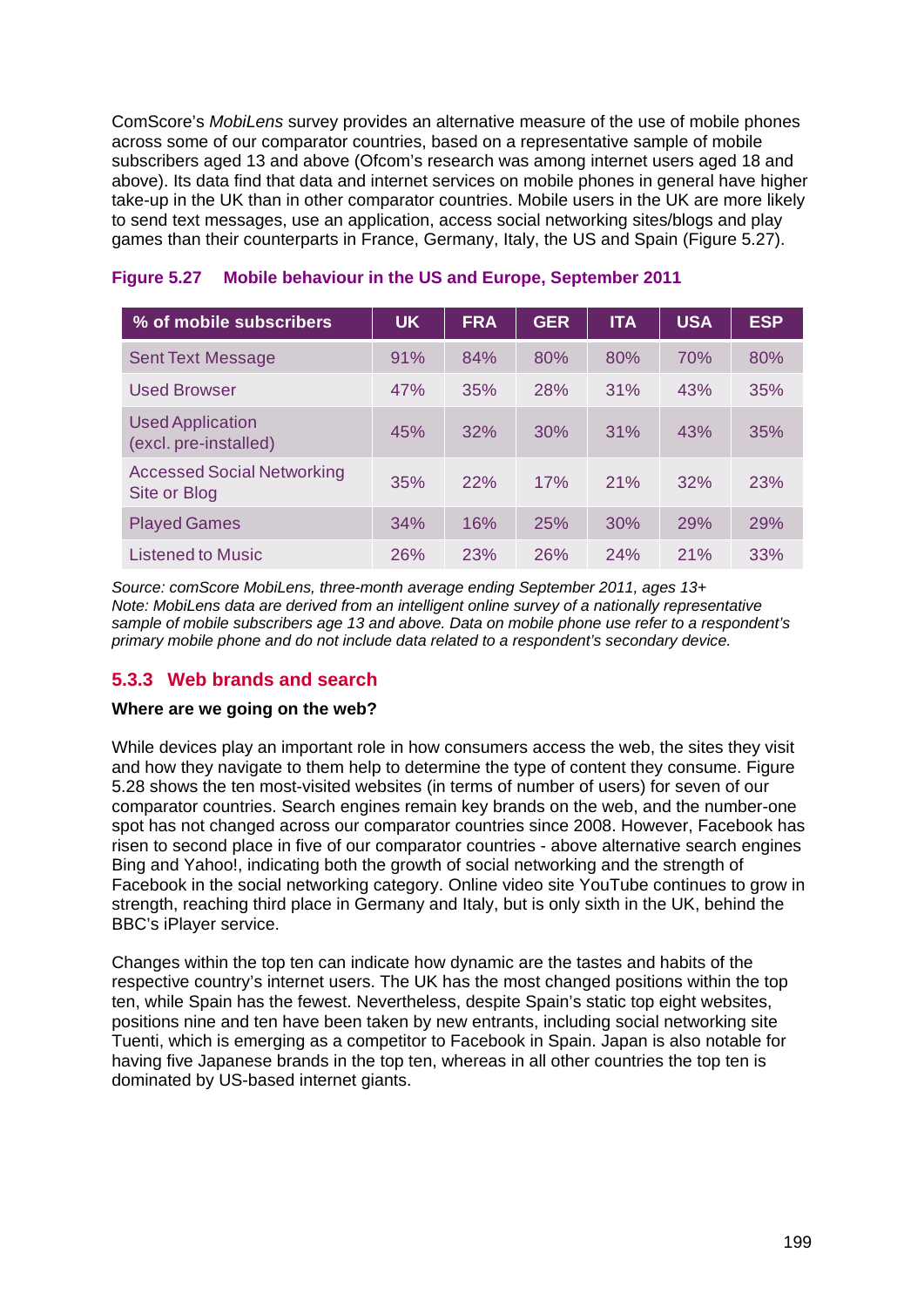ComScore's *MobiLens* survey provides an alternative measure of the use of mobile phones across some of our comparator countries, based on a representative sample of mobile subscribers aged 13 and above (Ofcom's research was among internet users aged 18 and above). Its data find that data and internet services on mobile phones in general have higher take-up in the UK than in other comparator countries. Mobile users in the UK are more likely to send text messages, use an application, access social networking sites/blogs and play games than their counterparts in France, Germany, Italy, the US and Spain [\(Figure 5.27\)](#page-30-1).

| % of mobile subscribers                           | <b>UK</b> | <b>FRA</b> | <b>GER</b> | <b>ITA</b> | <b>USA</b> | <b>ESP</b> |
|---------------------------------------------------|-----------|------------|------------|------------|------------|------------|
| <b>Sent Text Message</b>                          | 91%       | 84%        | 80%        | 80%        | 70%        | 80%        |
| <b>Used Browser</b>                               | 47%       | 35%        | 28%        | 31%        | 43%        | 35%        |
| <b>Used Application</b><br>(excl. pre-installed)  | 45%       | 32%        | 30%        | 31%        | 43%        | 35%        |
| <b>Accessed Social Networking</b><br>Site or Blog | 35%       | 22%        | 17%        | 21%        | 32%        | 23%        |
| <b>Played Games</b>                               | 34%       | 16%        | 25%        | 30%        | 29%        | 29%        |
| <b>Listened to Music</b>                          | 26%       | 23%        | 26%        | 24%        | 21%        | 33%        |

## <span id="page-30-1"></span>**Figure 5.27 Mobile behaviour in the US and Europe, September 2011**

*Source: comScore MobiLens, three-month average ending September 2011, ages 13+ Note: MobiLens data are derived from an intelligent online survey of a nationally representative sample of mobile subscribers age 13 and above. Data on mobile phone use refer to a respondent's primary mobile phone and do not include data related to a respondent's secondary device.*

# <span id="page-30-0"></span>**5.3.3 Web brands and search**

#### **Where are we going on the web?**

While devices play an important role in how consumers access the web, the sites they visit and how they navigate to them help to determine the type of content they consume. [Figure](#page-31-0)  [5.28](#page-31-0) shows the ten most-visited websites (in terms of number of users) for seven of our comparator countries. Search engines remain key brands on the web, and the number-one spot has not changed across our comparator countries since 2008. However, Facebook has risen to second place in five of our comparator countries - above alternative search engines Bing and Yahoo!, indicating both the growth of social networking and the strength of Facebook in the social networking category. Online video site YouTube continues to grow in strength, reaching third place in Germany and Italy, but is only sixth in the UK, behind the BBC's iPlayer service.

Changes within the top ten can indicate how dynamic are the tastes and habits of the respective country's internet users. The UK has the most changed positions within the top ten, while Spain has the fewest. Nevertheless, despite Spain's static top eight websites, positions nine and ten have been taken by new entrants, including social networking site Tuenti, which is emerging as a competitor to Facebook in Spain. Japan is also notable for having five Japanese brands in the top ten, whereas in all other countries the top ten is dominated by US-based internet giants.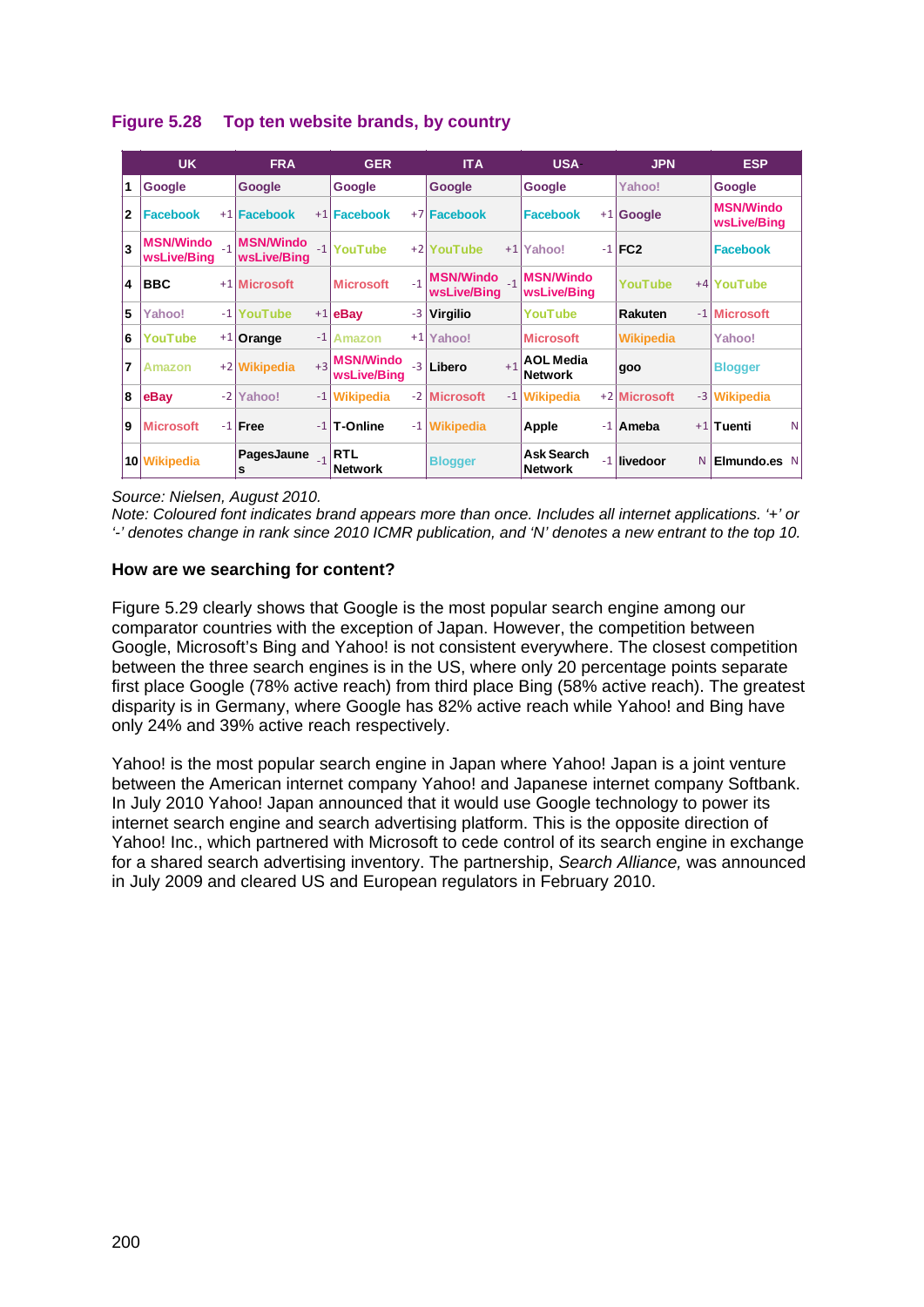|                | <b>UK</b>                       |      | <b>FRA</b>                      |      | <b>GER</b>                      |      | <b>ITA</b>                      |      | <b>USA</b>                          | <b>JPN</b>       | <b>ESP</b>                      |   |
|----------------|---------------------------------|------|---------------------------------|------|---------------------------------|------|---------------------------------|------|-------------------------------------|------------------|---------------------------------|---|
| 1              | Google                          |      | Google                          |      | Google                          |      | Google                          |      | Google                              | Yahoo!           | Google                          |   |
| 2              | <b>Facebook</b>                 |      | +1 Facebook                     |      | $+1$ Facebook                   |      | +7 Facebook                     |      | <b>Facebook</b>                     | $+1$ Google      | <b>MSN/Windo</b><br>wsLive/Bing |   |
| 3              | <b>MSN/Windo</b><br>wsLive/Bing | $-1$ | <b>MSN/Windo</b><br>wsLive/Bina |      | -1 YouTube                      |      | +2 YouTube                      |      | $+1$  Yahoo!                        | $-1$ FC2         | Facebook                        |   |
| 4              | <b>BBC</b>                      |      | +1 Microsoft                    |      | <b>Microsoft</b>                | $-1$ | <b>MSN/Windo</b><br>wsLive/Bing |      | <b>MSN/Windo</b><br>wsLive/Bing     | YouTube          | +4 YouTube                      |   |
| 5              | Yahoo!                          | $-1$ | YouTube                         |      | $+1$ eBay                       |      | -3 Virgilio                     |      | YouTube                             | Rakuten          | -1 Microsoft                    |   |
| 6              | YouTube                         |      | $+1$ Orange                     | $-1$ | <b>Amazon</b>                   | $+1$ | Yahoo!                          |      | <b>Microsoft</b>                    | <b>Wikipedia</b> | Yahoo!                          |   |
| $\overline{7}$ | Amazon                          |      | +2 Wikipedia                    | $+3$ | <b>MSN/Windo</b><br>wsLive/Bina | $-3$ | <b>Libero</b>                   | $+1$ | <b>AOL Media</b><br><b>Network</b>  | goo              | <b>Blogger</b>                  |   |
| 8              | eBay                            | $-2$ | Yahoo!                          |      | -1 Wikipedia                    |      | -2 Microsoft                    |      | -1 Wikipedia                        | +2 Microsoft     | -3 Wikipedia                    |   |
| 9              | <b>Microsoft</b>                |      | $-1$ Free                       |      | $-1$ T-Online                   | $-1$ | <b>Wikipedia</b>                |      | Apple                               | -1   Ameba       | $+1$ Tuenti                     | N |
|                | 10 Wikipedia                    |      | PagesJaune<br>s                 |      | <b>RTL</b><br><b>Network</b>    |      | <b>Blogger</b>                  |      | <b>Ask Search</b><br><b>Network</b> | -1 livedoor      | N Elmundo.es N                  |   |

# <span id="page-31-0"></span>**Figure 5.28 Top ten website brands, by country**

*Source: Nielsen, August 2010.*

*Note: Coloured font indicates brand appears more than once. Includes all internet applications. '+' or '-' denotes change in rank since 2010 ICMR publication, and 'N' denotes a new entrant to the top 10.*

#### **How are we searching for content?**

[Figure 5.29](#page-32-0) clearly shows that Google is the most popular search engine among our comparator countries with the exception of Japan. However, the competition between Google, Microsoft's Bing and Yahoo! is not consistent everywhere. The closest competition between the three search engines is in the US, where only 20 percentage points separate first place Google (78% active reach) from third place Bing (58% active reach). The greatest disparity is in Germany, where Google has 82% active reach while Yahoo! and Bing have only 24% and 39% active reach respectively.

Yahoo! is the most popular search engine in Japan where Yahoo! Japan is a joint venture between the American internet company Yahoo! and Japanese internet company Softbank. In July 2010 Yahoo! Japan announced that it would use Google technology to power its internet search engine and search advertising platform. This is the opposite direction of Yahoo! Inc., which partnered with Microsoft to cede control of its search engine in exchange for a shared search advertising inventory. The partnership, *Search Alliance,* was announced in July 2009 and cleared US and European regulators in February 2010.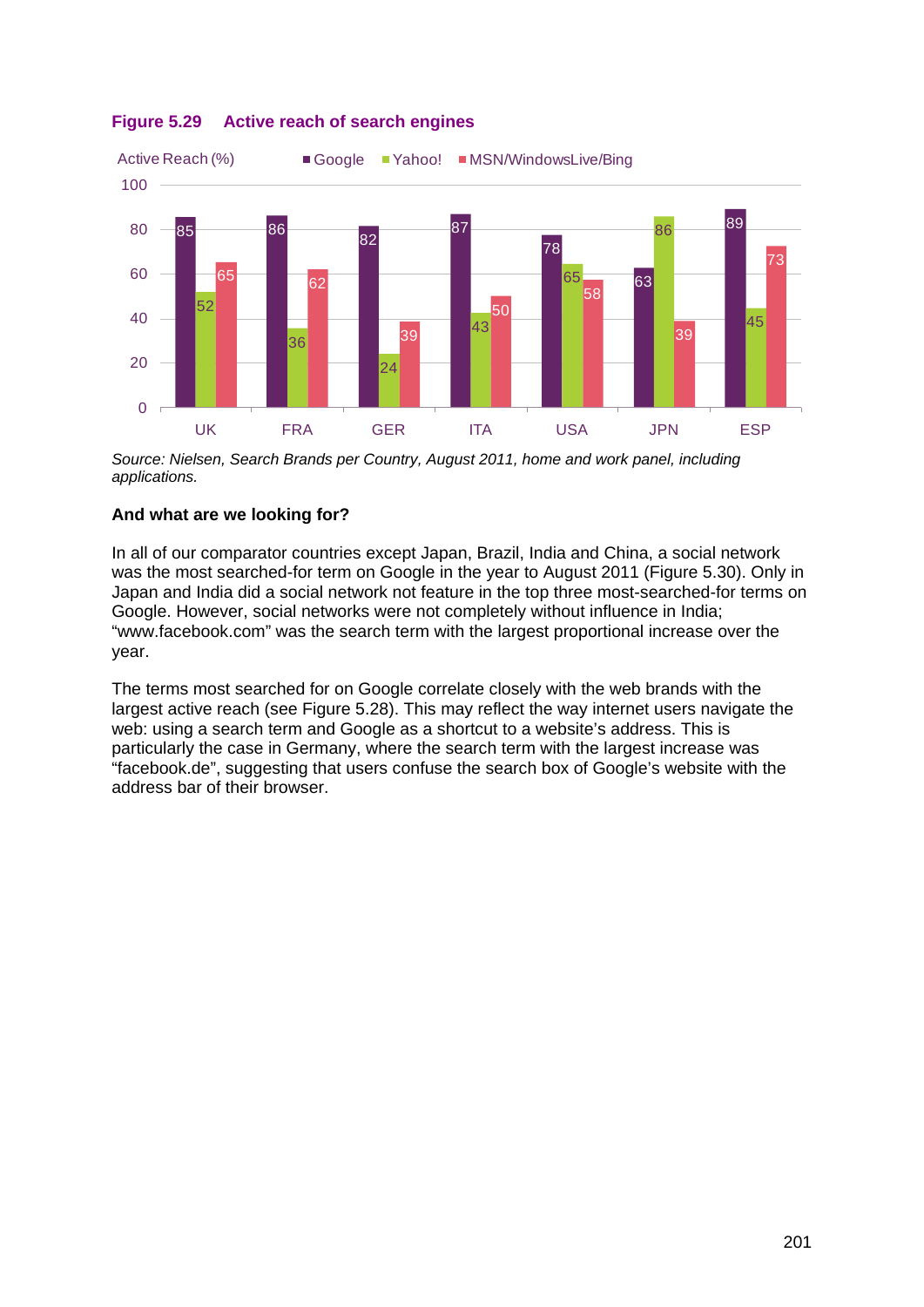

# <span id="page-32-0"></span>**Figure 5.29 Active reach of search engines**

*Source: Nielsen, Search Brands per Country, August 2011, home and work panel, including applications.*

# **And what are we looking for?**

In all of our comparator countries except Japan, Brazil, India and China, a social network was the most searched-for term on Google in the year to August 2011 [\(Figure 5.30\)](#page-33-1). Only in Japan and India did a social network not feature in the top three most-searched-for terms on Google. However, social networks were not completely without influence in India; "www.facebook.com" was the search term with the largest proportional increase over the year.

The terms most searched for on Google correlate closely with the web brands with the largest active reach (see [Figure 5.28\)](#page-31-0). This may reflect the way internet users navigate the web: using a search term and Google as a shortcut to a website's address. This is particularly the case in Germany, where the search term with the largest increase was "facebook.de", suggesting that users confuse the search box of Google's website with the address bar of their browser.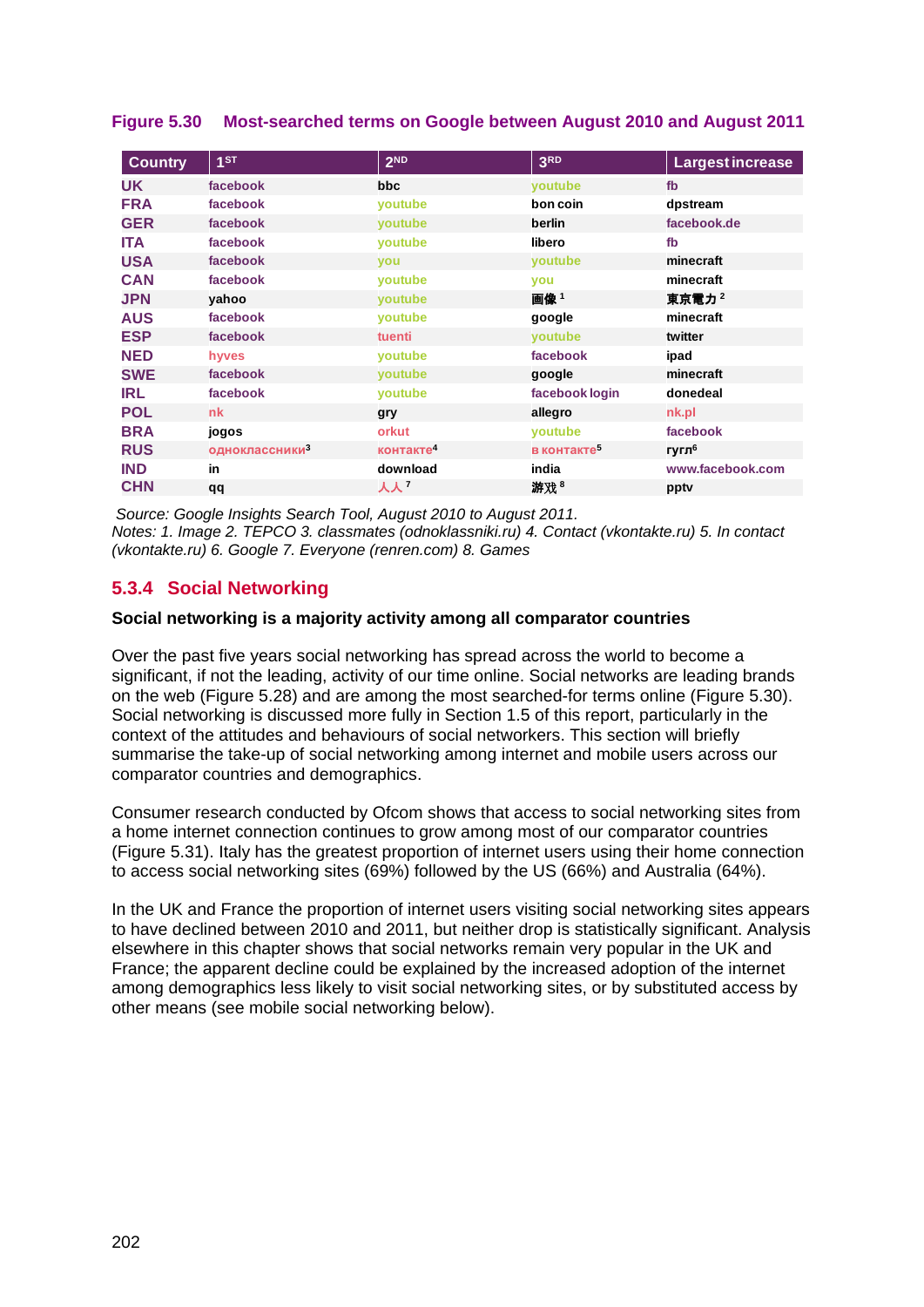| <b>Country</b> | 1 <sub>ST</sub>            | 2 <sub>ND</sub>       | 3 <sub>RD</sub>         | Largest increase  |
|----------------|----------------------------|-----------------------|-------------------------|-------------------|
| <b>UK</b>      | facebook                   | bbc                   | youtube                 | fb                |
| <b>FRA</b>     | facebook                   | voutube               | bon coin                | dpstream          |
| <b>GER</b>     | facebook                   | voutube               | berlin                  | facebook.de       |
| <b>ITA</b>     | facebook                   | youtube               | libero                  | fb                |
| <b>USA</b>     | facebook                   | <b>vou</b>            | youtube                 | minecraft         |
| <b>CAN</b>     | facebook                   | voutube               | you                     | minecraft         |
| <b>JPN</b>     | yahoo                      | <b>voutube</b>        | 画像1                     | 東京電力 2            |
| <b>AUS</b>     | facebook                   | voutube               | google                  | minecraft         |
| <b>ESP</b>     | facebook                   | tuenti                | voutube                 | twitter           |
| <b>NED</b>     | hyves                      | voutube               | facebook                | ipad              |
| <b>SWE</b>     | facebook                   | <b>voutube</b>        | google                  | minecraft         |
| <b>IRL</b>     | facebook                   | youtube               | facebook login          | donedeal          |
| <b>POL</b>     | <b>nk</b>                  | gry                   | allegro                 | nk.pl             |
| <b>BRA</b>     | jogos                      | orkut                 | voutube                 | facebook          |
| <b>RUS</b>     | одноклассники <sup>3</sup> | контакте <sup>4</sup> | в контакте <sup>5</sup> | гугл <sup>6</sup> |
| <b>IND</b>     | in                         | download              | india                   | www.facebook.com  |
| <b>CHN</b>     | qq                         | 人人 7                  | 游戏 <sup>8</sup>         | pptv              |

## <span id="page-33-1"></span>**Figure 5.30 Most-searched terms on Google between August 2010 and August 2011**

*Source: Google Insights Search Tool, August 2010 to August 2011. Notes: 1. Image 2. TEPCO 3. classmates (odnoklassniki.ru) 4. Contact (vkontakte.ru) 5. In contact (vkontakte.ru) 6. Google 7. Everyone (renren.com) 8. Games*

# <span id="page-33-0"></span>**5.3.4 Social Networking**

#### **Social networking is a majority activity among all comparator countries**

Over the past five years social networking has spread across the world to become a significant, if not the leading, activity of our time online. Social networks are leading brands on the web [\(Figure 5.28\)](#page-31-0) and are among the most searched-for terms online [\(Figure 5.30\)](#page-33-1). Social networking is discussed more fully in Section 1.5 of this report, particularly in the context of the attitudes and behaviours of social networkers. This section will briefly summarise the take-up of social networking among internet and mobile users across our comparator countries and demographics.

Consumer research conducted by Ofcom shows that access to social networking sites from a home internet connection continues to grow among most of our comparator countries [\(Figure 5.31\)](#page-34-0). Italy has the greatest proportion of internet users using their home connection to access social networking sites (69%) followed by the US (66%) and Australia (64%).

In the UK and France the proportion of internet users visiting social networking sites appears to have declined between 2010 and 2011, but neither drop is statistically significant. Analysis elsewhere in this chapter shows that social networks remain very popular in the UK and France; the apparent decline could be explained by the increased adoption of the internet among demographics less likely to visit social networking sites, or by substituted access by other means (see mobile social networking below).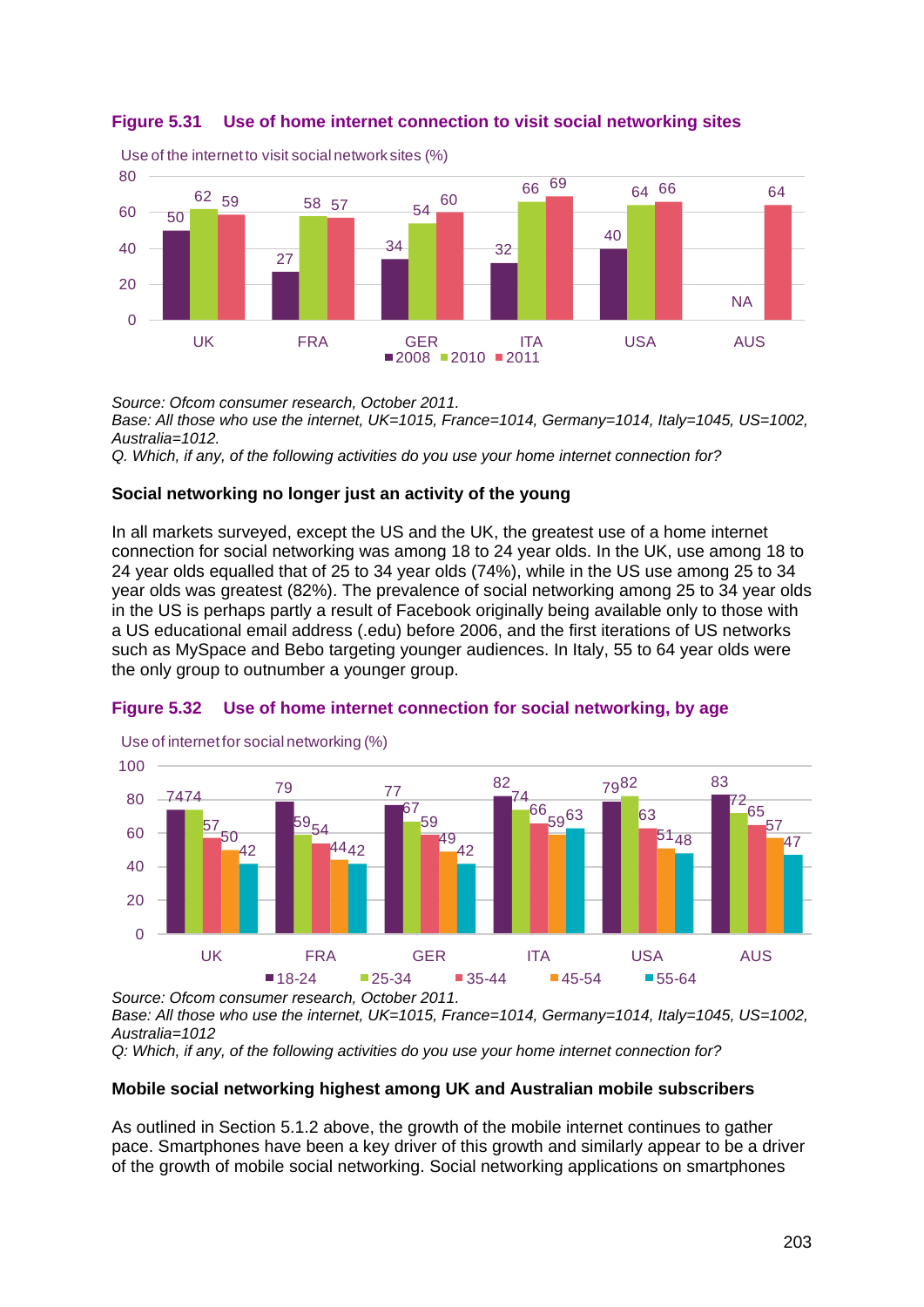<span id="page-34-0"></span>



*Source: Ofcom consumer research, October 2011.* 

*Base: All those who use the internet, UK=1015, France=1014, Germany=1014, Italy=1045, US=1002, Australia=1012.* 

*Q. Which, if any, of the following activities do you use your home internet connection for?*

#### **Social networking no longer just an activity of the young**

In all markets surveyed, except the US and the UK, the greatest use of a home internet connection for social networking was among 18 to 24 year olds. In the UK, use among 18 to 24 year olds equalled that of 25 to 34 year olds (74%), while in the US use among 25 to 34 year olds was greatest (82%). The prevalence of social networking among 25 to 34 year olds in the US is perhaps partly a result of Facebook originally being available only to those with a US educational email address (.edu) before 2006, and the first iterations of US networks such as MySpace and Bebo targeting younger audiences. In Italy, 55 to 64 year olds were the only group to outnumber a younger group.

#### <span id="page-34-1"></span>**Figure 5.32 Use of home internet connection for social networking, by age**



*Source: Ofcom consumer research, October 2011.* 

*Base: All those who use the internet, UK=1015, France=1014, Germany=1014, Italy=1045, US=1002, Australia=1012*

*Q: Which, if any, of the following activities do you use your home internet connection for?*

#### **Mobile social networking highest among UK and Australian mobile subscribers**

As outlined in Section [5.1.2](#page-3-0) above, the growth of the mobile internet continues to gather pace. Smartphones have been a key driver of this growth and similarly appear to be a driver of the growth of mobile social networking. Social networking applications on smartphones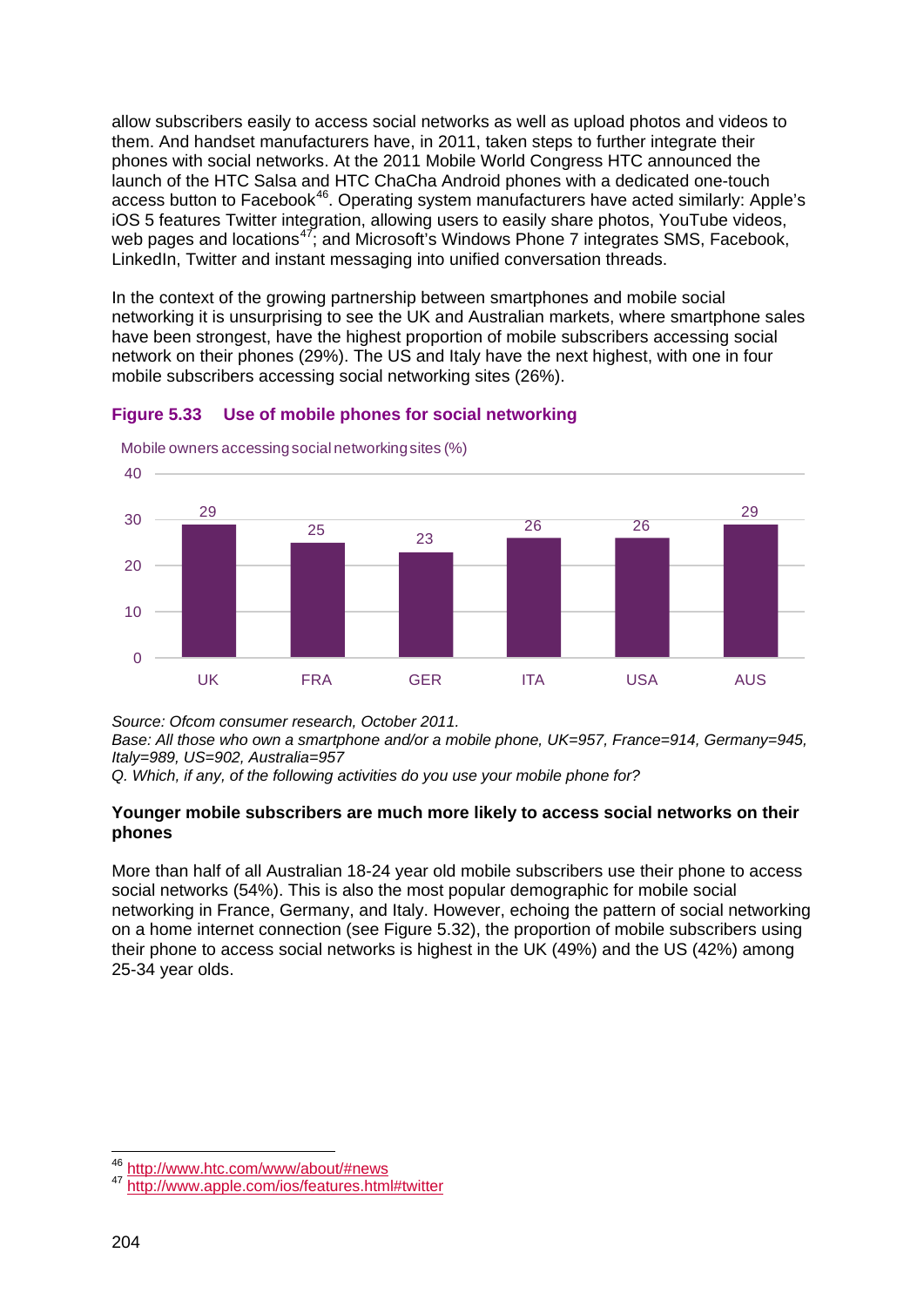allow subscribers easily to access social networks as well as upload photos and videos to them. And handset manufacturers have, in 2011, taken steps to further integrate their phones with social networks. At the 2011 Mobile World Congress HTC announced the launch of the HTC Salsa and HTC ChaCha Android phones with a dedicated one-touch access button to Facebook<sup>46</sup>. Operating system manufacturers have acted similarly: Apple's iOS 5 features Twitter integration, allowing users to easily share photos, YouTube videos, web pages and locations<sup>[47](#page-35-1)</sup>; and Microsoft's Windows Phone 7 integrates SMS, Facebook, LinkedIn, Twitter and instant messaging into unified conversation threads.

In the context of the growing partnership between smartphones and mobile social networking it is unsurprising to see the UK and Australian markets, where smartphone sales have been strongest, have the highest proportion of mobile subscribers accessing social network on their phones (29%). The US and Italy have the next highest, with one in four mobile subscribers accessing social networking sites (26%).



**Figure 5.33 Use of mobile phones for social networking**

*Source: Ofcom consumer research, October 2011.* 

*Base: All those who own a smartphone and/or a mobile phone, UK=957, France=914, Germany=945, Italy=989, US=902, Australia=957* 

*Q. Which, if any, of the following activities do you use your mobile phone for?*

#### **Younger mobile subscribers are much more likely to access social networks on their phones**

More than half of all Australian 18-24 year old mobile subscribers use their phone to access social networks (54%). This is also the most popular demographic for mobile social networking in France, Germany, and Italy. However, echoing the pattern of social networking on a home internet connection (see [Figure 5.32\)](#page-34-1), the proportion of mobile subscribers using their phone to access social networks is highest in the UK (49%) and the US (42%) among 25-34 year olds.

<span id="page-35-1"></span><span id="page-35-0"></span><sup>46</sup> <http://www.htc.com/www/about/#news><br><sup>47</sup> <http://www.apple.com/ios/features.html#twitter>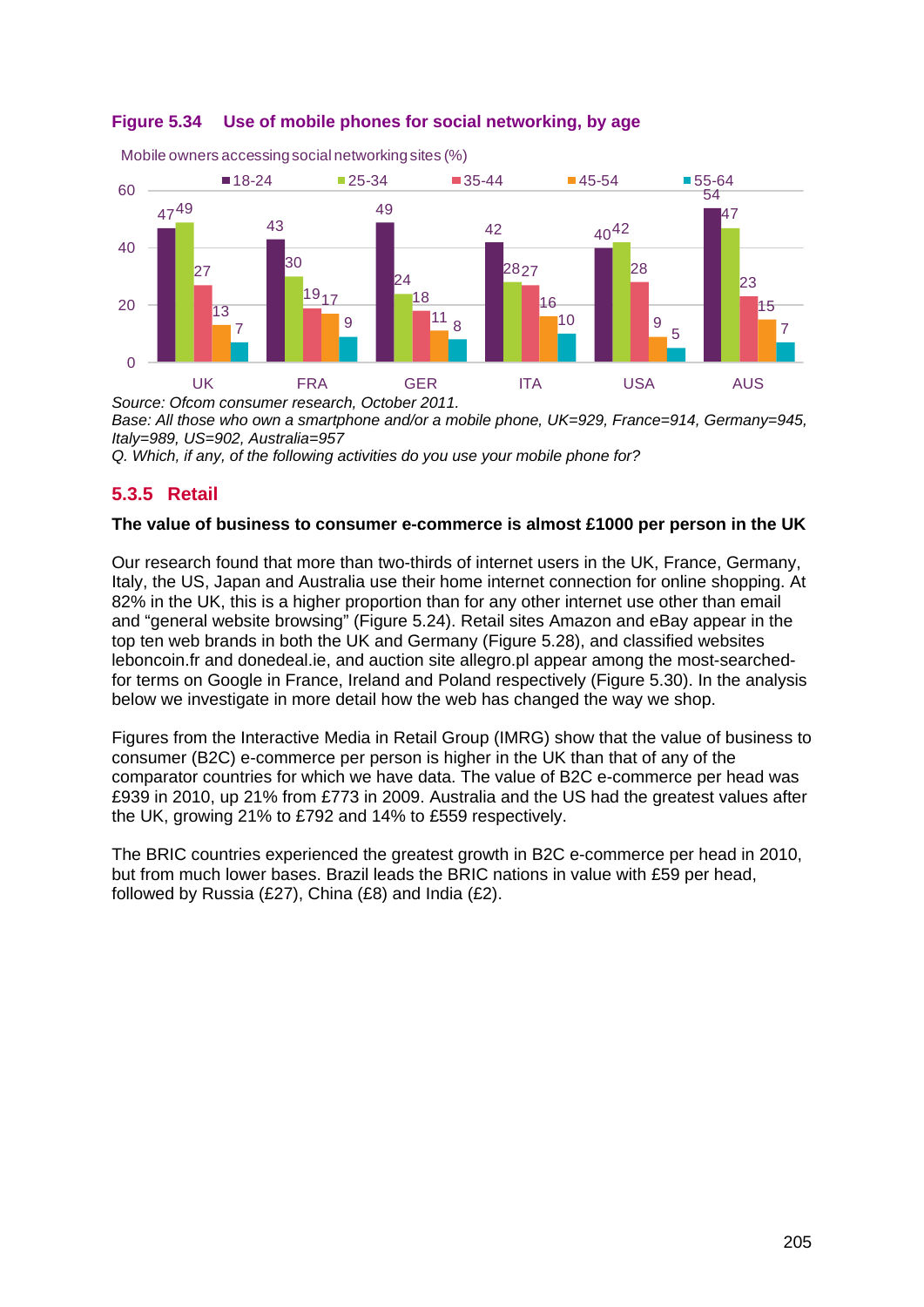

**Figure 5.34 Use of mobile phones for social networking, by age**

*Base: All those who own a smartphone and/or a mobile phone, UK=929, France=914, Germany=945, Italy=989, US=902, Australia=957* 

*Q. Which, if any, of the following activities do you use your mobile phone for?*

# <span id="page-36-0"></span>**5.3.5 Retail**

#### **The value of business to consumer e-commerce is almost £1000 per person in the UK**

Our research found that more than two-thirds of internet users in the UK, France, Germany, Italy, the US, Japan and Australia use their home internet connection for online shopping. At 82% in the UK, this is a higher proportion than for any other internet use other than email and "general website browsing" [\(Figure 5.24\)](#page-27-0). Retail sites Amazon and eBay appear in the top ten web brands in both the UK and Germany [\(Figure 5.28\)](#page-31-0), and classified websites leboncoin.fr and donedeal.ie, and auction site allegro.pl appear among the most-searchedfor terms on Google in France, Ireland and Poland respectively [\(Figure 5.30\)](#page-33-1). In the analysis below we investigate in more detail how the web has changed the way we shop.

Figures from the Interactive Media in Retail Group (IMRG) show that the value of business to consumer (B2C) e-commerce per person is higher in the UK than that of any of the comparator countries for which we have data. The value of B2C e-commerce per head was £939 in 2010, up 21% from £773 in 2009. Australia and the US had the greatest values after the UK, growing 21% to £792 and 14% to £559 respectively.

The BRIC countries experienced the greatest growth in B2C e-commerce per head in 2010, but from much lower bases. Brazil leads the BRIC nations in value with £59 per head, followed by Russia (£27), China (£8) and India (£2).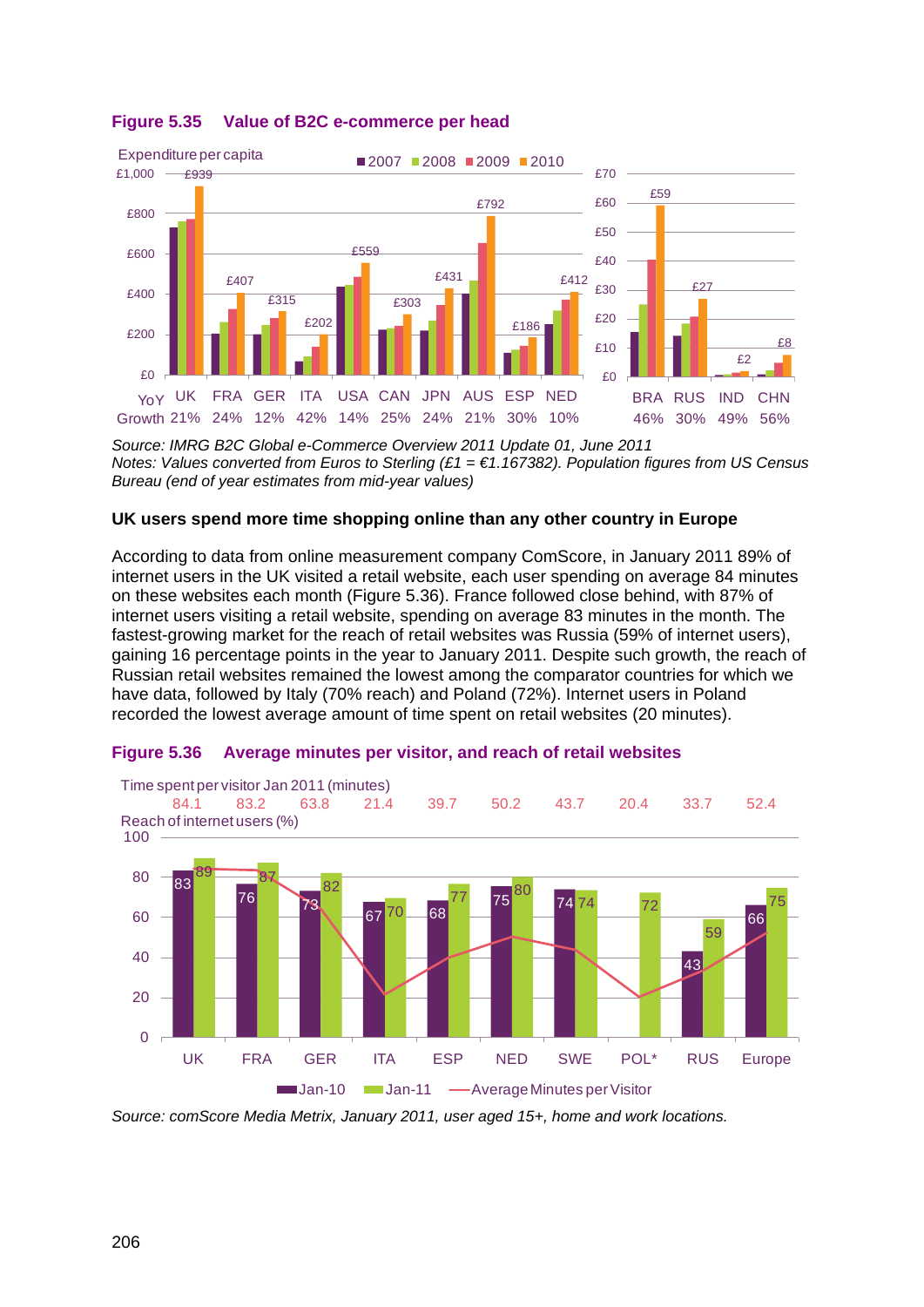

#### **Figure 5.35 Value of B2C e-commerce per head**

*Source: IMRG B2C Global e-Commerce Overview 2011 Update 01, June 2011 Notes: Values converted from Euros to Sterling (£1 = €1.167382). Population figures from US Census Bureau (end of year estimates from mid-year values)*

#### **UK users spend more time shopping online than any other country in Europe**

According to data from online measurement company ComScore, in January 2011 89% of internet users in the UK visited a retail website, each user spending on average 84 minutes on these websites each month [\(Figure 5.36\)](#page-37-0). France followed close behind, with 87% of internet users visiting a retail website, spending on average 83 minutes in the month. The fastest-growing market for the reach of retail websites was Russia (59% of internet users), gaining 16 percentage points in the year to January 2011. Despite such growth, the reach of Russian retail websites remained the lowest among the comparator countries for which we have data, followed by Italy (70% reach) and Poland (72%). Internet users in Poland recorded the lowest average amount of time spent on retail websites (20 minutes).



#### <span id="page-37-0"></span>**Figure 5.36 Average minutes per visitor, and reach of retail websites**

*Source: comScore Media Metrix, January 2011, user aged 15+, home and work locations.*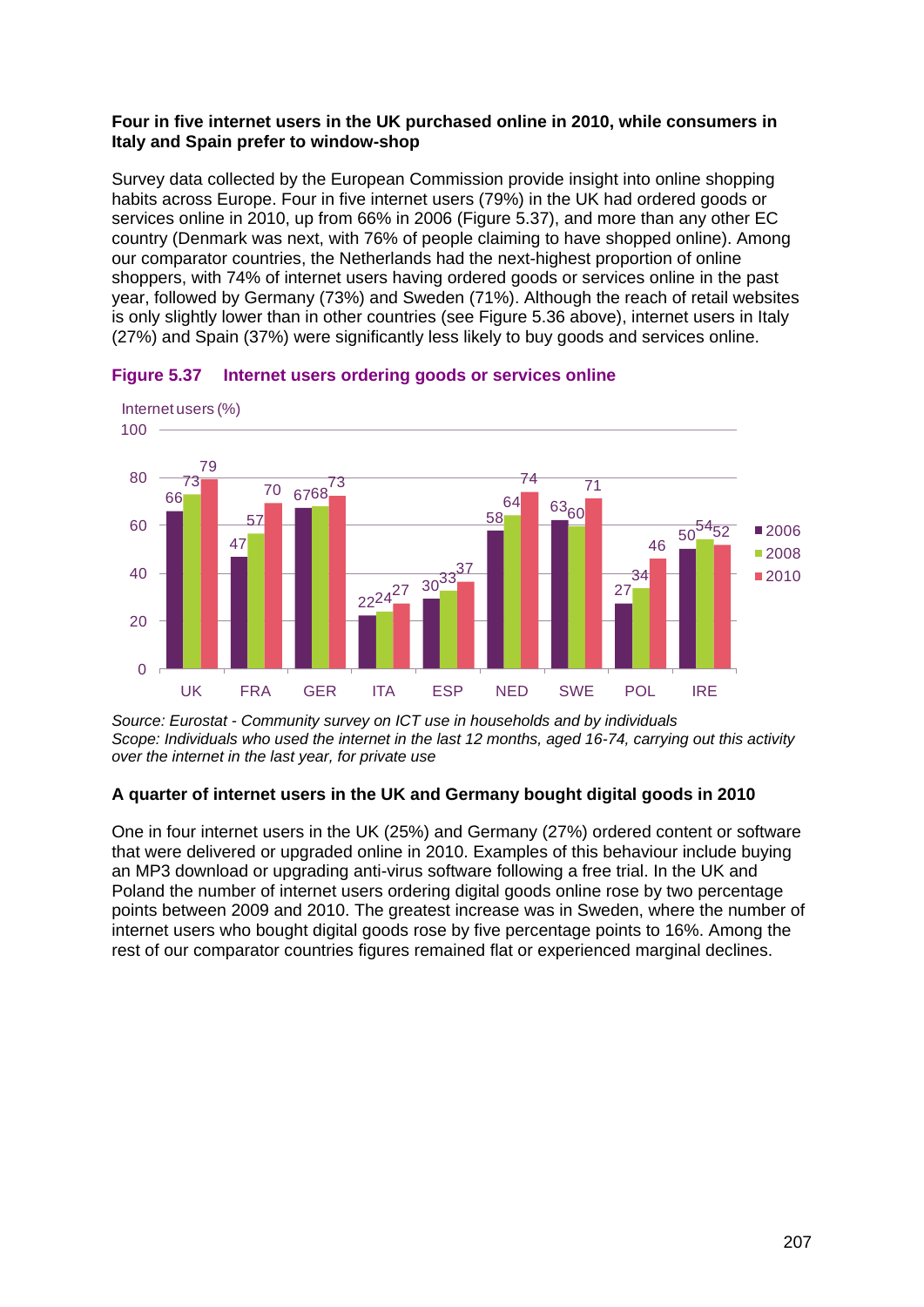#### **Four in five internet users in the UK purchased online in 2010, while consumers in Italy and Spain prefer to window-shop**

Survey data collected by the European Commission provide insight into online shopping habits across Europe. Four in five internet users (79%) in the UK had ordered goods or services online in 2010, up from 66% in 2006 [\(Figure 5.37\)](#page-38-0), and more than any other EC country (Denmark was next, with 76% of people claiming to have shopped online). Among our comparator countries, the Netherlands had the next-highest proportion of online shoppers, with 74% of internet users having ordered goods or services online in the past year, followed by Germany (73%) and Sweden (71%). Although the reach of retail websites is only slightly lower than in other countries (see [Figure 5.36](#page-37-0) above), internet users in Italy (27%) and Spain (37%) were significantly less likely to buy goods and services online.

![](_page_38_Figure_2.jpeg)

<span id="page-38-0"></span>![](_page_38_Figure_3.jpeg)

*Source: Eurostat - Community survey on ICT use in households and by individuals Scope: Individuals who used the internet in the last 12 months, aged 16-74, carrying out this activity over the internet in the last year, for private use*

#### **A quarter of internet users in the UK and Germany bought digital goods in 2010**

One in four internet users in the UK (25%) and Germany (27%) ordered content or software that were delivered or upgraded online in 2010. Examples of this behaviour include buying an MP3 download or upgrading anti-virus software following a free trial. In the UK and Poland the number of internet users ordering digital goods online rose by two percentage points between 2009 and 2010. The greatest increase was in Sweden, where the number of internet users who bought digital goods rose by five percentage points to 16%. Among the rest of our comparator countries figures remained flat or experienced marginal declines.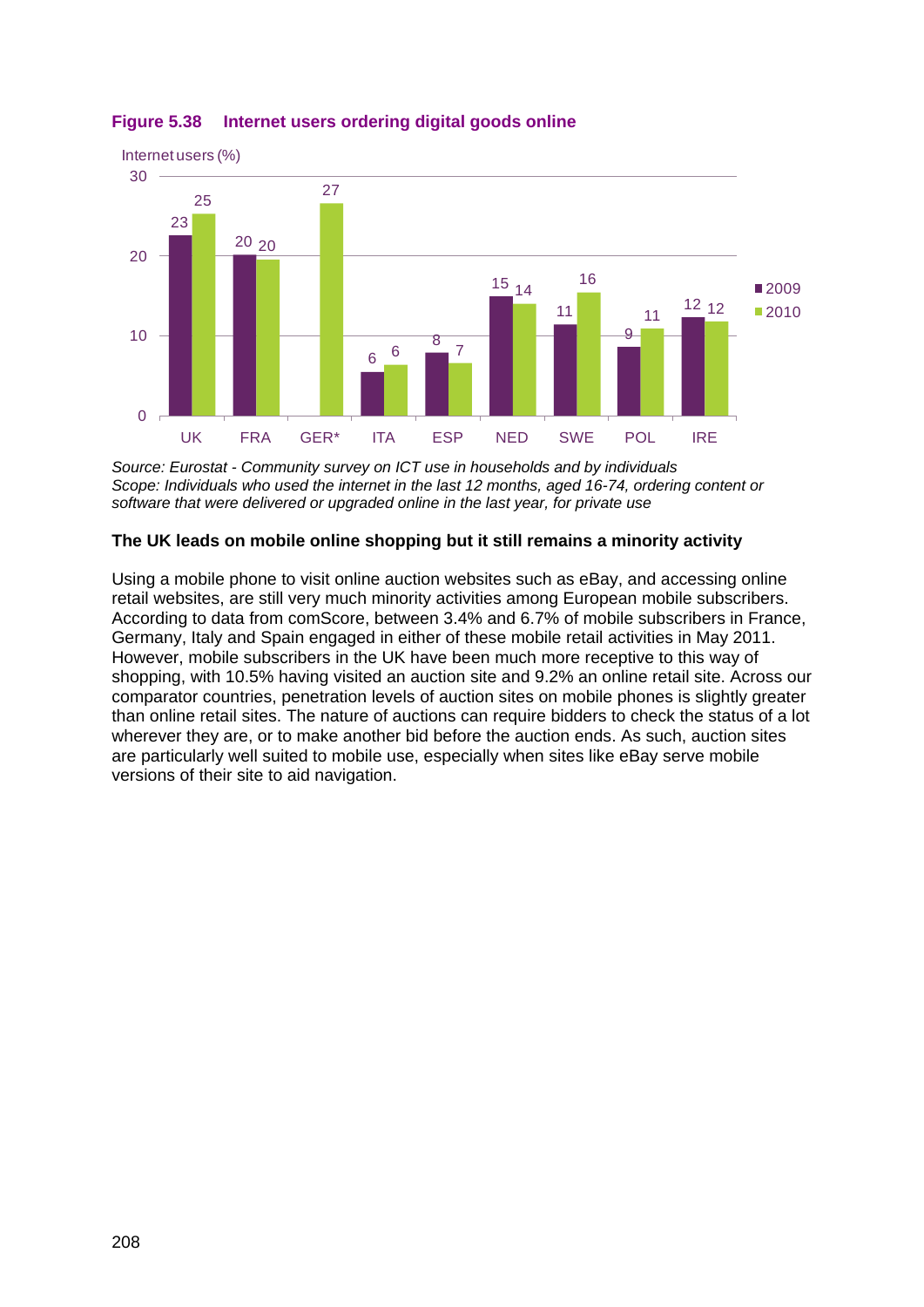![](_page_39_Figure_0.jpeg)

**Figure 5.38 Internet users ordering digital goods online**

*Source: Eurostat - Community survey on ICT use in households and by individuals Scope: Individuals who used the internet in the last 12 months, aged 16-74, ordering content or software that were delivered or upgraded online in the last year, for private use*

# **The UK leads on mobile online shopping but it still remains a minority activity**

Using a mobile phone to visit online auction websites such as eBay, and accessing online retail websites, are still very much minority activities among European mobile subscribers. According to data from comScore, between 3.4% and 6.7% of mobile subscribers in France, Germany, Italy and Spain engaged in either of these mobile retail activities in May 2011. However, mobile subscribers in the UK have been much more receptive to this way of shopping, with 10.5% having visited an auction site and 9.2% an online retail site. Across our comparator countries, penetration levels of auction sites on mobile phones is slightly greater than online retail sites. The nature of auctions can require bidders to check the status of a lot wherever they are, or to make another bid before the auction ends. As such, auction sites are particularly well suited to mobile use, especially when sites like eBay serve mobile versions of their site to aid navigation.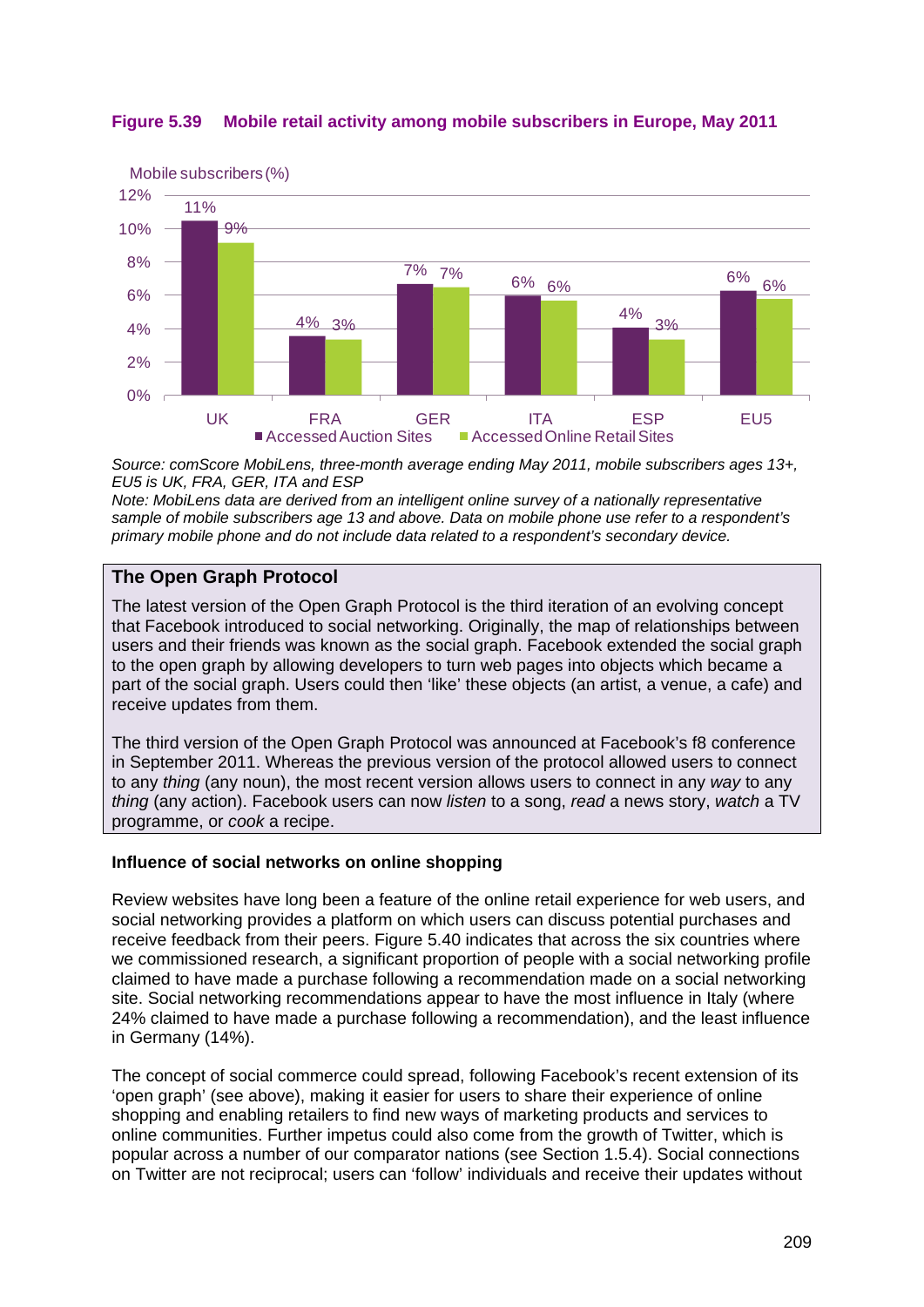![](_page_40_Figure_0.jpeg)

![](_page_40_Figure_1.jpeg)

*Source: comScore MobiLens, three-month average ending May 2011, mobile subscribers ages 13+, EU5 is UK, FRA, GER, ITA and ESP*

*Note: MobiLens data are derived from an intelligent online survey of a nationally representative sample of mobile subscribers age 13 and above. Data on mobile phone use refer to a respondent's primary mobile phone and do not include data related to a respondent's secondary device.*

# **The Open Graph Protocol**

The latest version of the Open Graph Protocol is the third iteration of an evolving concept that Facebook introduced to social networking. Originally, the map of relationships between users and their friends was known as the social graph. Facebook extended the social graph to the open graph by allowing developers to turn web pages into objects which became a part of the social graph. Users could then 'like' these objects (an artist, a venue, a cafe) and receive updates from them.

The third version of the Open Graph Protocol was announced at Facebook's f8 conference in September 2011. Whereas the previous version of the protocol allowed users to connect to any *thing* (any noun), the most recent version allows users to connect in any *way* to any *thing* (any action). Facebook users can now *listen* to a song, *read* a news story, *watch* a TV programme, or *cook* a recipe.

#### **Influence of social networks on online shopping**

Review websites have long been a feature of the online retail experience for web users, and social networking provides a platform on which users can discuss potential purchases and receive feedback from their peers. [Figure 5.40](#page-41-0) indicates that across the six countries where we commissioned research, a significant proportion of people with a social networking profile claimed to have made a purchase following a recommendation made on a social networking site. Social networking recommendations appear to have the most influence in Italy (where 24% claimed to have made a purchase following a recommendation), and the least influence in Germany (14%).

The concept of social commerce could spread, following Facebook's recent extension of its 'open graph' (see above), making it easier for users to share their experience of online shopping and enabling retailers to find new ways of marketing products and services to online communities. Further impetus could also come from the growth of Twitter, which is popular across a number of our comparator nations (see Section 1.5.4). Social connections on Twitter are not reciprocal; users can 'follow' individuals and receive their updates without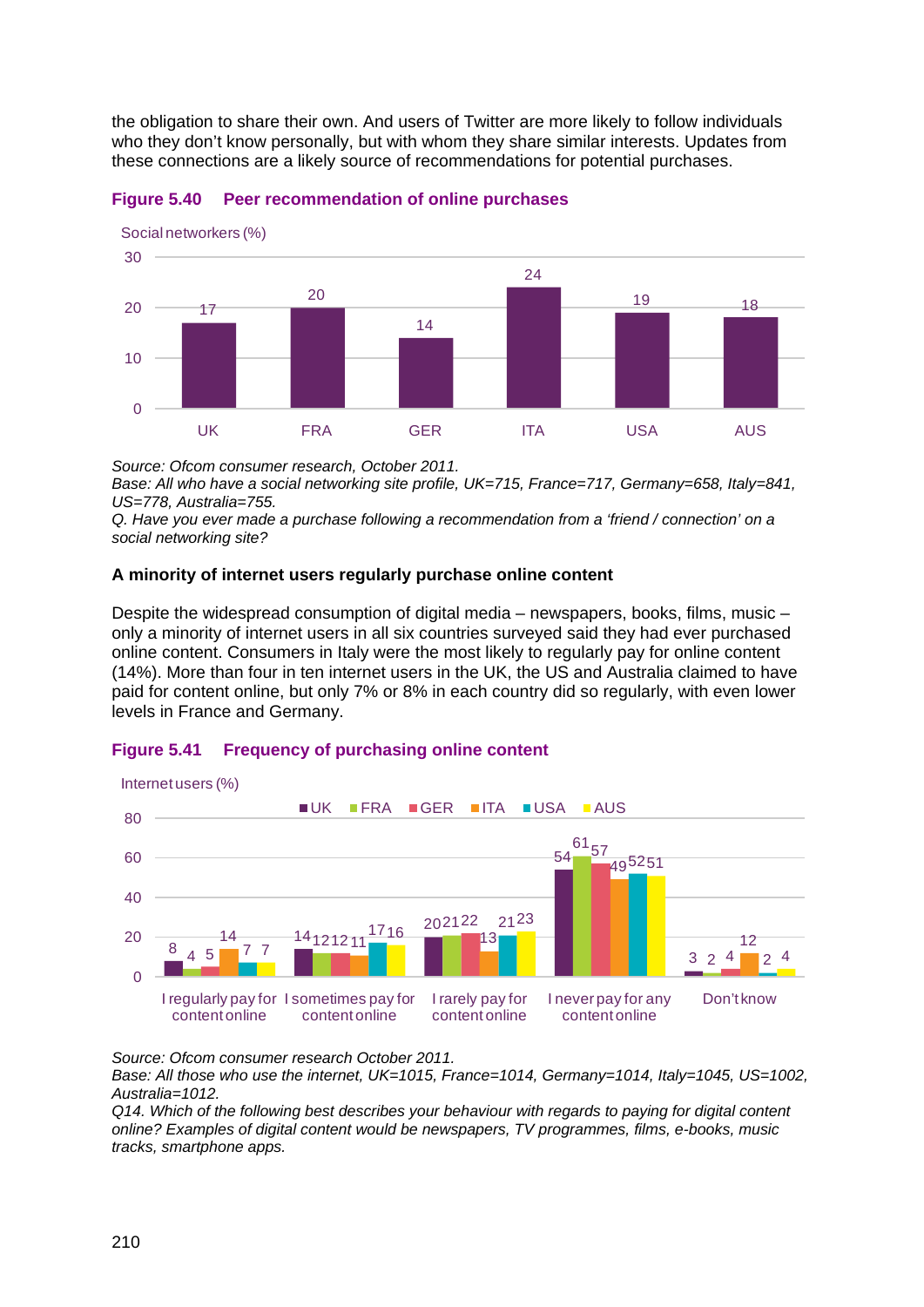the obligation to share their own. And users of Twitter are more likely to follow individuals who they don't know personally, but with whom they share similar interests. Updates from these connections are a likely source of recommendations for potential purchases.

![](_page_41_Figure_1.jpeg)

#### <span id="page-41-0"></span>**Figure 5.40 Peer recommendation of online purchases**

*Source: Ofcom consumer research, October 2011.*

*Base: All who have a social networking site profile, UK=715, France=717, Germany=658, Italy=841, US=778, Australia=755.*

*Q. Have you ever made a purchase following a recommendation from a 'friend / connection' on a social networking site?*

#### **A minority of internet users regularly purchase online content**

Despite the widespread consumption of digital media – newspapers, books, films, music – only a minority of internet users in all six countries surveyed said they had ever purchased online content. Consumers in Italy were the most likely to regularly pay for online content (14%). More than four in ten internet users in the UK, the US and Australia claimed to have paid for content online, but only 7% or 8% in each country did so regularly, with even lower levels in France and Germany.

# **Figure 5.41 Frequency of purchasing online content**

![](_page_41_Figure_9.jpeg)

*Source: Ofcom consumer research October 2011.*

*Base: All those who use the internet, UK=1015, France=1014, Germany=1014, Italy=1045, US=1002, Australia=1012.* 

*Q14. Which of the following best describes your behaviour with regards to paying for digital content online? Examples of digital content would be newspapers, TV programmes, films, e-books, music tracks, smartphone apps.*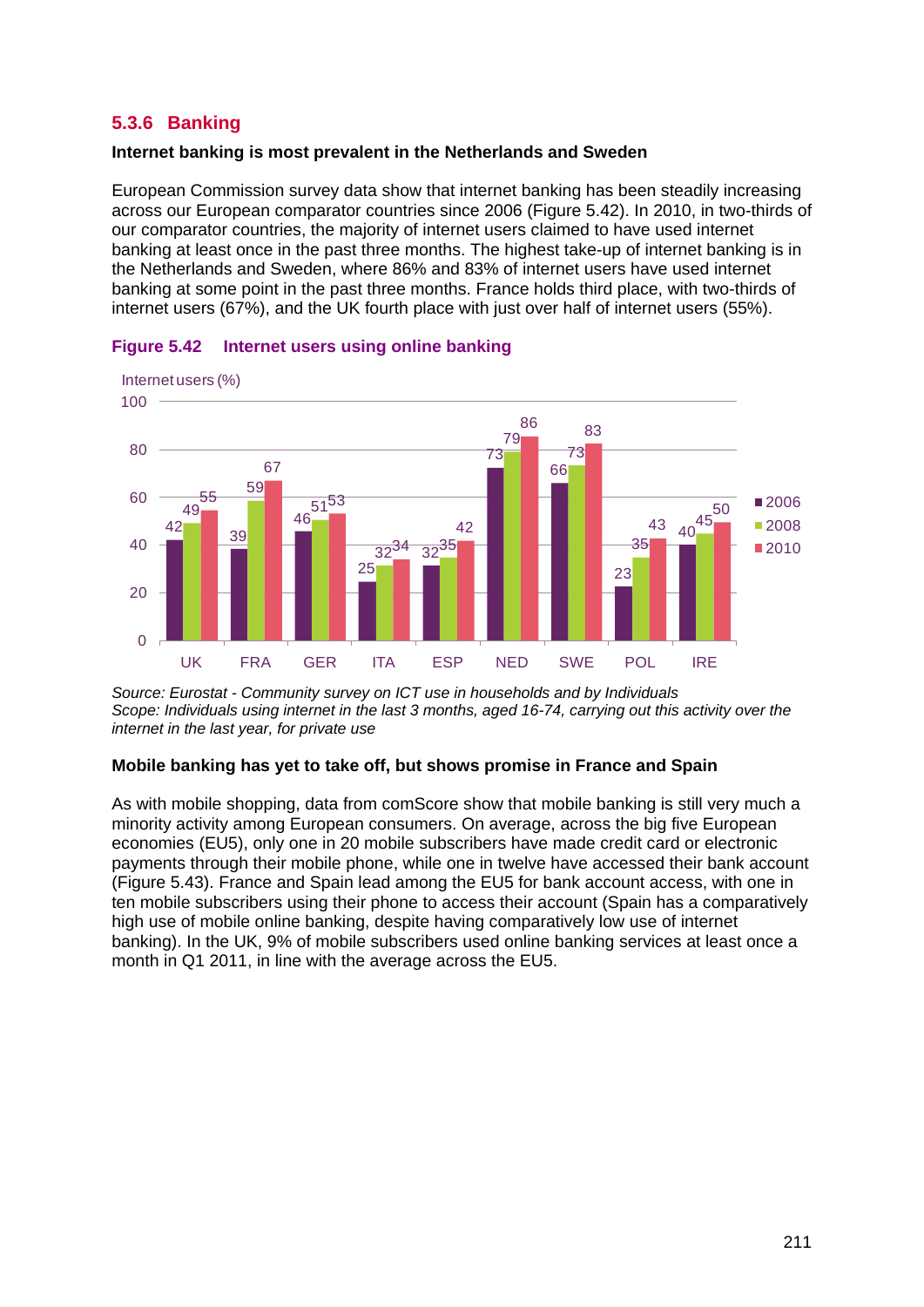# <span id="page-42-0"></span>**5.3.6 Banking**

#### **Internet banking is most prevalent in the Netherlands and Sweden**

European Commission survey data show that internet banking has been steadily increasing across our European comparator countries since 2006 [\(Figure 5.42\)](#page-42-1). In 2010, in two-thirds of our comparator countries, the majority of internet users claimed to have used internet banking at least once in the past three months. The highest take-up of internet banking is in the Netherlands and Sweden, where 86% and 83% of internet users have used internet banking at some point in the past three months. France holds third place, with two-thirds of internet users (67%), and the UK fourth place with just over half of internet users (55%).

![](_page_42_Figure_3.jpeg)

<span id="page-42-1"></span>![](_page_42_Figure_4.jpeg)

*Source: Eurostat - Community survey on ICT use in households and by Individuals Scope: Individuals using internet in the last 3 months, aged 16-74, carrying out this activity over the internet in the last year, for private use*

#### **Mobile banking has yet to take off, but shows promise in France and Spain**

As with mobile shopping, data from comScore show that mobile banking is still very much a minority activity among European consumers. On average, across the big five European economies (EU5), only one in 20 mobile subscribers have made credit card or electronic payments through their mobile phone, while one in twelve have accessed their bank account [\(Figure 5.43\)](#page-43-1). France and Spain lead among the EU5 for bank account access, with one in ten mobile subscribers using their phone to access their account (Spain has a comparatively high use of mobile online banking, despite having comparatively low use of internet banking). In the UK, 9% of mobile subscribers used online banking services at least once a month in Q1 2011, in line with the average across the EU5.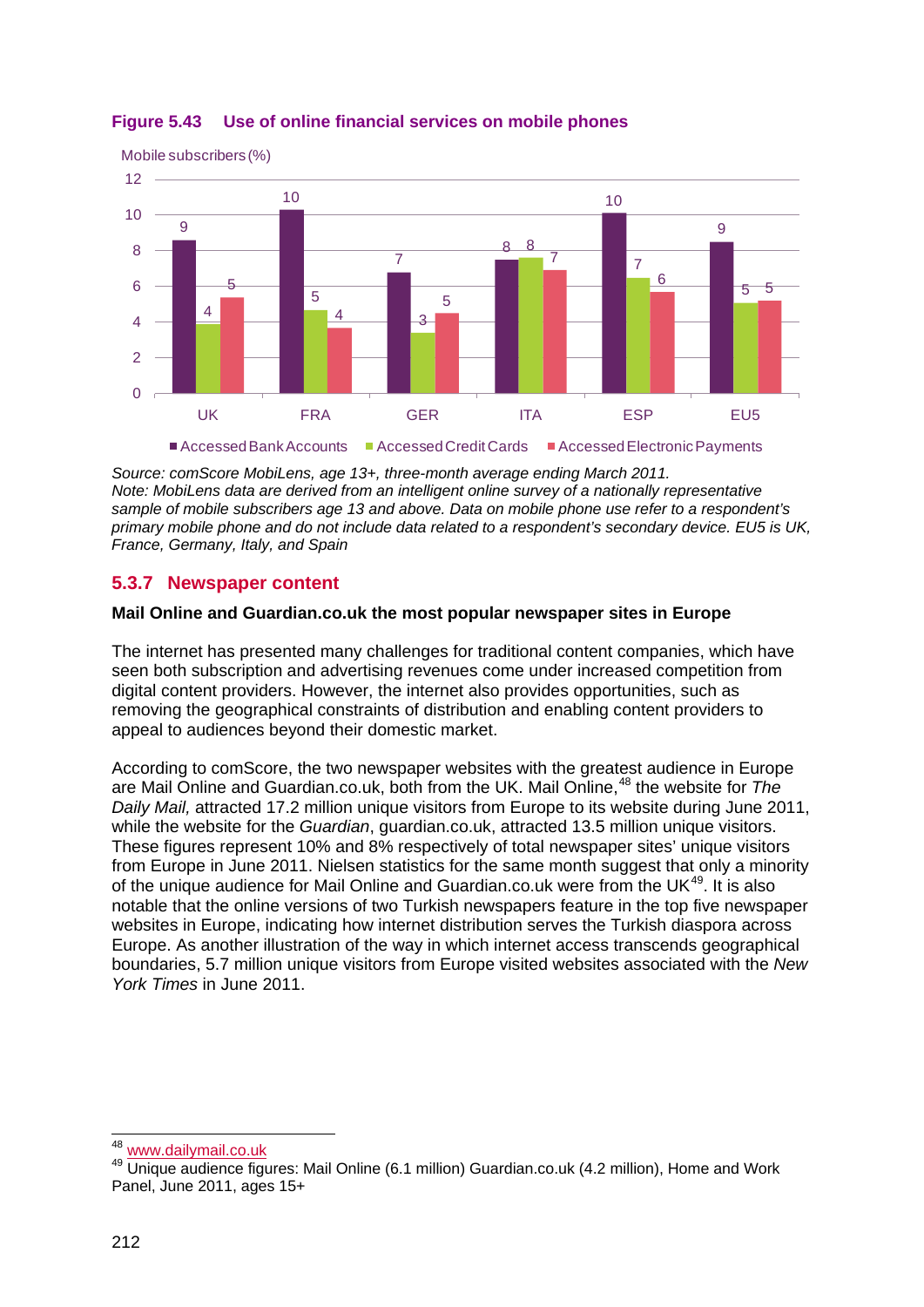![](_page_43_Figure_0.jpeg)

# <span id="page-43-1"></span>**Figure 5.43 Use of online financial services on mobile phones**

*Source: comScore MobiLens, age 13+, three-month average ending March 2011. Note: MobiLens data are derived from an intelligent online survey of a nationally representative sample of mobile subscribers age 13 and above. Data on mobile phone use refer to a respondent's primary mobile phone and do not include data related to a respondent's secondary device. EU5 is UK, France, Germany, Italy, and Spain*

# <span id="page-43-0"></span>**5.3.7 Newspaper content**

#### **Mail Online and Guardian.co.uk the most popular newspaper sites in Europe**

The internet has presented many challenges for traditional content companies, which have seen both subscription and advertising revenues come under increased competition from digital content providers. However, the internet also provides opportunities, such as removing the geographical constraints of distribution and enabling content providers to appeal to audiences beyond their domestic market.

According to comScore, the two newspaper websites with the greatest audience in Europe are Mail Online and Guardian.co.uk, both from the UK. Mail Online,<sup>[48](#page-43-2)</sup> the website for *The Daily Mail,* attracted 17.2 million unique visitors from Europe to its website during June 2011, while the website for the *Guardian*, guardian.co.uk, attracted 13.5 million unique visitors. These figures represent 10% and 8% respectively of total newspaper sites' unique visitors from Europe in June 2011. Nielsen statistics for the same month suggest that only a minority of the unique audience for Mail Online and Guardian.co.uk were from the UK<sup>[49](#page-43-3)</sup>. It is also notable that the online versions of two Turkish newspapers feature in the top five newspaper websites in Europe, indicating how internet distribution serves the Turkish diaspora across Europe. As another illustration of the way in which internet access transcends geographical boundaries, 5.7 million unique visitors from Europe visited websites associated with the *New York Times* in June 2011.

<sup>&</sup>lt;sup>48</sup> www.dailymail.co.uk

<span id="page-43-3"></span><span id="page-43-2"></span><sup>49</sup> Unique audience figures: Mail Online (6.1 million) Guardian.co.uk (4.2 million), Home and Work Panel, June 2011, ages 15+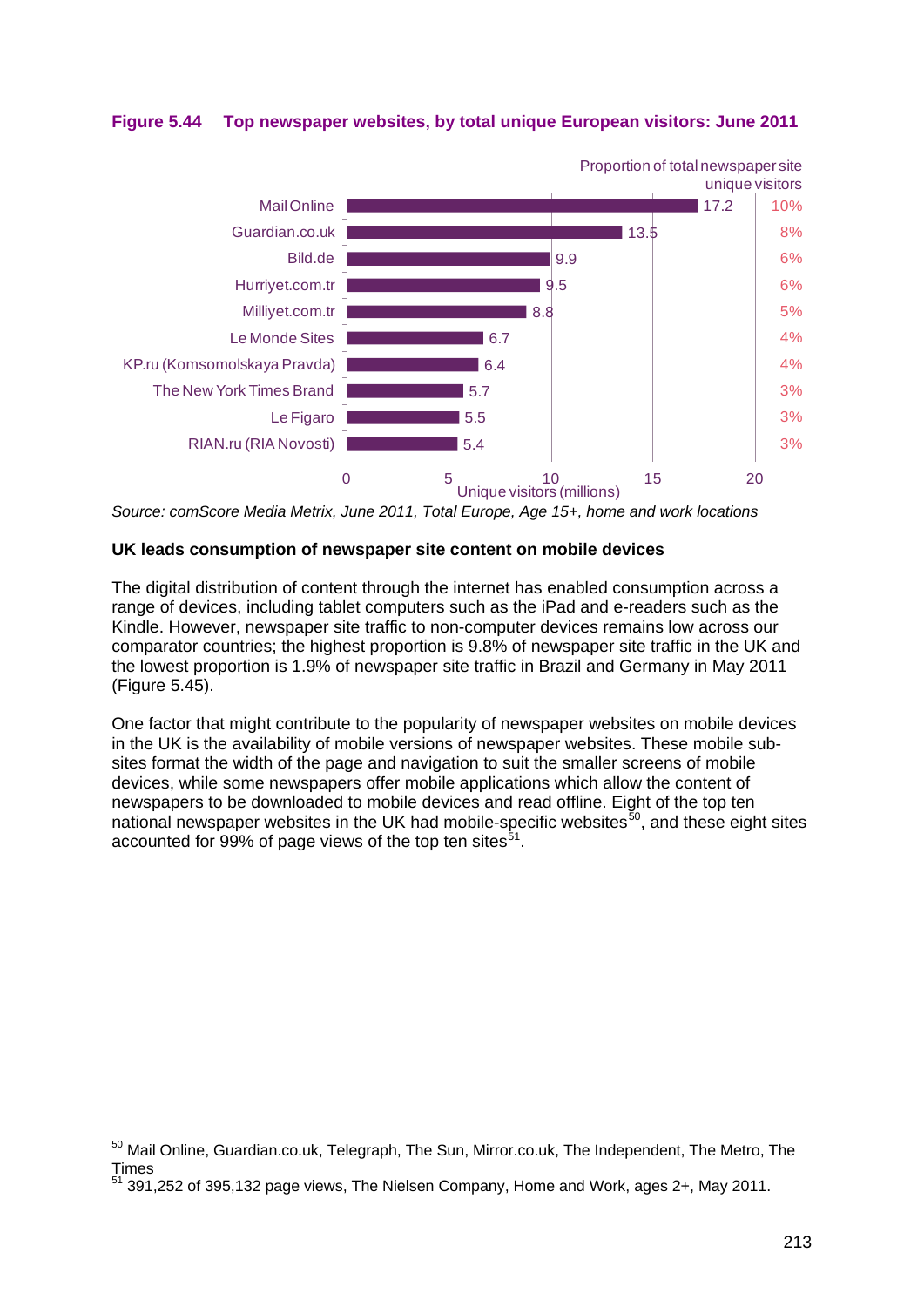![](_page_44_Figure_0.jpeg)

**Figure 5.44 Top newspaper websites, by total unique European visitors: June 2011**

*Source: comScore Media Metrix, June 2011, Total Europe, Age 15+, home and work locations*

#### **UK leads consumption of newspaper site content on mobile devices**

The digital distribution of content through the internet has enabled consumption across a range of devices, including tablet computers such as the iPad and e-readers such as the Kindle. However, newspaper site traffic to non-computer devices remains low across our comparator countries; the highest proportion is 9.8% of newspaper site traffic in the UK and the lowest proportion is 1.9% of newspaper site traffic in Brazil and Germany in May 2011 [\(Figure 5.45\)](#page-45-0).

One factor that might contribute to the popularity of newspaper websites on mobile devices in the UK is the availability of mobile versions of newspaper websites. These mobile subsites format the width of the page and navigation to suit the smaller screens of mobile devices, while some newspapers offer mobile applications which allow the content of newspapers to be downloaded to mobile devices and read offline. Eight of the top ten national newspaper websites in the UK had mobile-specific websites $50$ , and these eight sites accounted for 99% of page views of the top ten sites $^{51}$  $^{51}$  $^{51}$ .

<span id="page-44-0"></span> <sup>50</sup> Mail Online, Guardian.co.uk, Telegraph, The Sun, Mirror.co.uk, The Independent, The Metro, The Times

<span id="page-44-1"></span><sup>51</sup> 391,252 of 395,132 page views, The Nielsen Company, Home and Work, ages 2+, May 2011.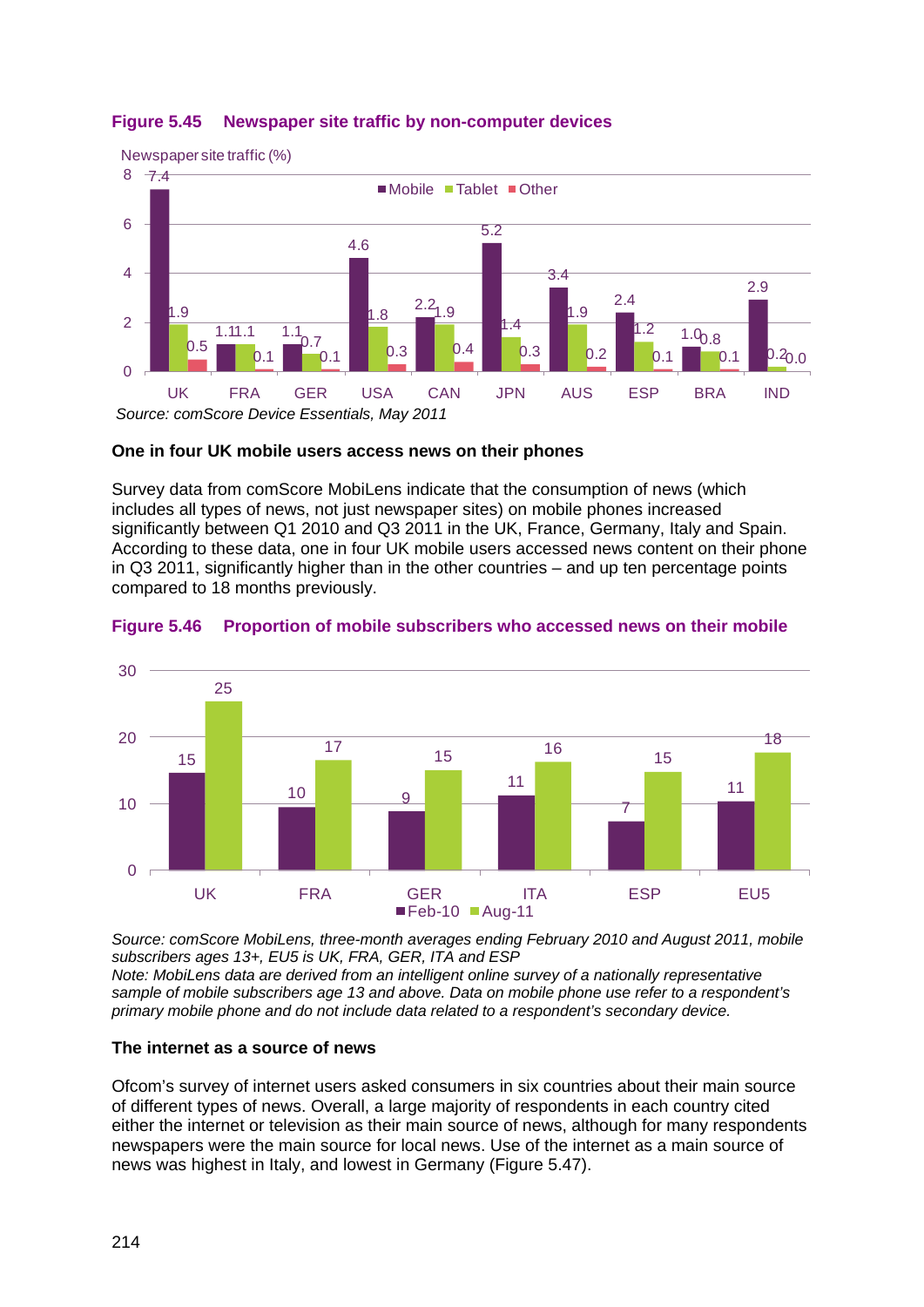![](_page_45_Figure_0.jpeg)

# <span id="page-45-0"></span>**Figure 5.45 Newspaper site traffic by non-computer devices**

![](_page_45_Figure_2.jpeg)

Survey data from comScore MobiLens indicate that the consumption of news (which includes all types of news, not just newspaper sites) on mobile phones increased significantly between Q1 2010 and Q3 2011 in the UK, France, Germany, Italy and Spain. According to these data, one in four UK mobile users accessed news content on their phone in Q3 2011, significantly higher than in the other countries – and up ten percentage points compared to 18 months previously.

![](_page_45_Figure_4.jpeg)

#### **Figure 5.46 Proportion of mobile subscribers who accessed news on their mobile**

*Source: comScore MobiLens, three-month averages ending February 2010 and August 2011, mobile subscribers ages 13+, EU5 is UK, FRA, GER, ITA and ESP*

*Note: MobiLens data are derived from an intelligent online survey of a nationally representative sample of mobile subscribers age 13 and above. Data on mobile phone use refer to a respondent's primary mobile phone and do not include data related to a respondent's secondary device.*

#### **The internet as a source of news**

Ofcom's survey of internet users asked consumers in six countries about their main source of different types of news. Overall, a large majority of respondents in each country cited either the internet or television as their main source of news, although for many respondents newspapers were the main source for local news. Use of the internet as a main source of news was highest in Italy, and lowest in Germany [\(Figure 5.47\)](#page-46-0).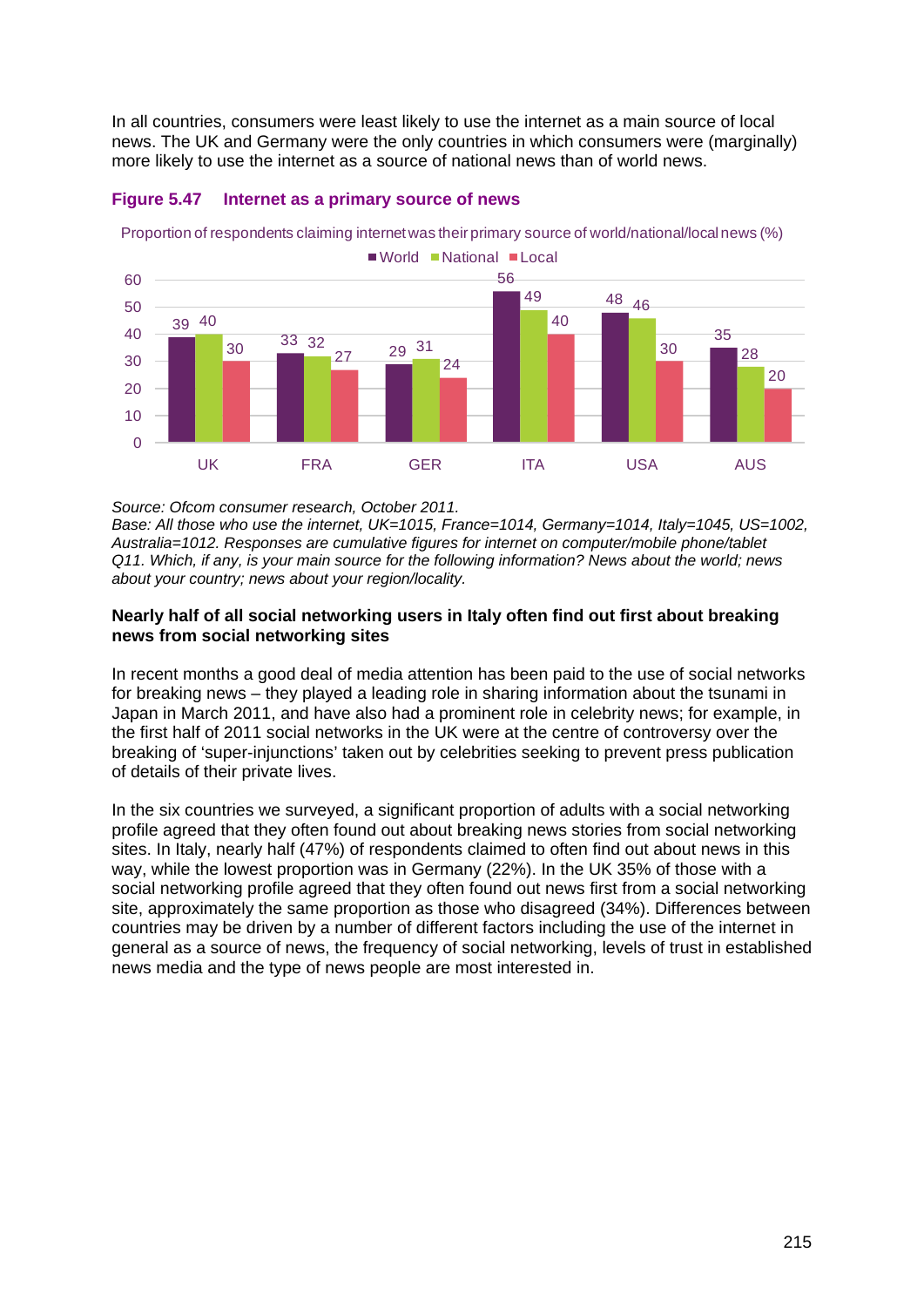In all countries, consumers were least likely to use the internet as a main source of local news. The UK and Germany were the only countries in which consumers were (marginally) more likely to use the internet as a source of national news than of world news.

![](_page_46_Figure_1.jpeg)

#### <span id="page-46-0"></span>**Figure 5.47 Internet as a primary source of news**

Proportion of respondents claiming internet was their primary source of world/national/local news (%)

#### *Source: Ofcom consumer research, October 2011.*

*Base: All those who use the internet, UK=1015, France=1014, Germany=1014, Italy=1045, US=1002, Australia=1012. Responses are cumulative figures for internet on computer/mobile phone/tablet Q11. Which, if any, is your main source for the following information? News about the world; news about your country; news about your region/locality.*

#### **Nearly half of all social networking users in Italy often find out first about breaking news from social networking sites**

In recent months a good deal of media attention has been paid to the use of social networks for breaking news – they played a leading role in sharing information about the tsunami in Japan in March 2011, and have also had a prominent role in celebrity news; for example, in the first half of 2011 social networks in the UK were at the centre of controversy over the breaking of 'super-injunctions' taken out by celebrities seeking to prevent press publication of details of their private lives.

In the six countries we surveyed, a significant proportion of adults with a social networking profile agreed that they often found out about breaking news stories from social networking sites. In Italy, nearly half (47%) of respondents claimed to often find out about news in this way, while the lowest proportion was in Germany (22%). In the UK 35% of those with a social networking profile agreed that they often found out news first from a social networking site, approximately the same proportion as those who disagreed (34%). Differences between countries may be driven by a number of different factors including the use of the internet in general as a source of news, the frequency of social networking, levels of trust in established news media and the type of news people are most interested in.